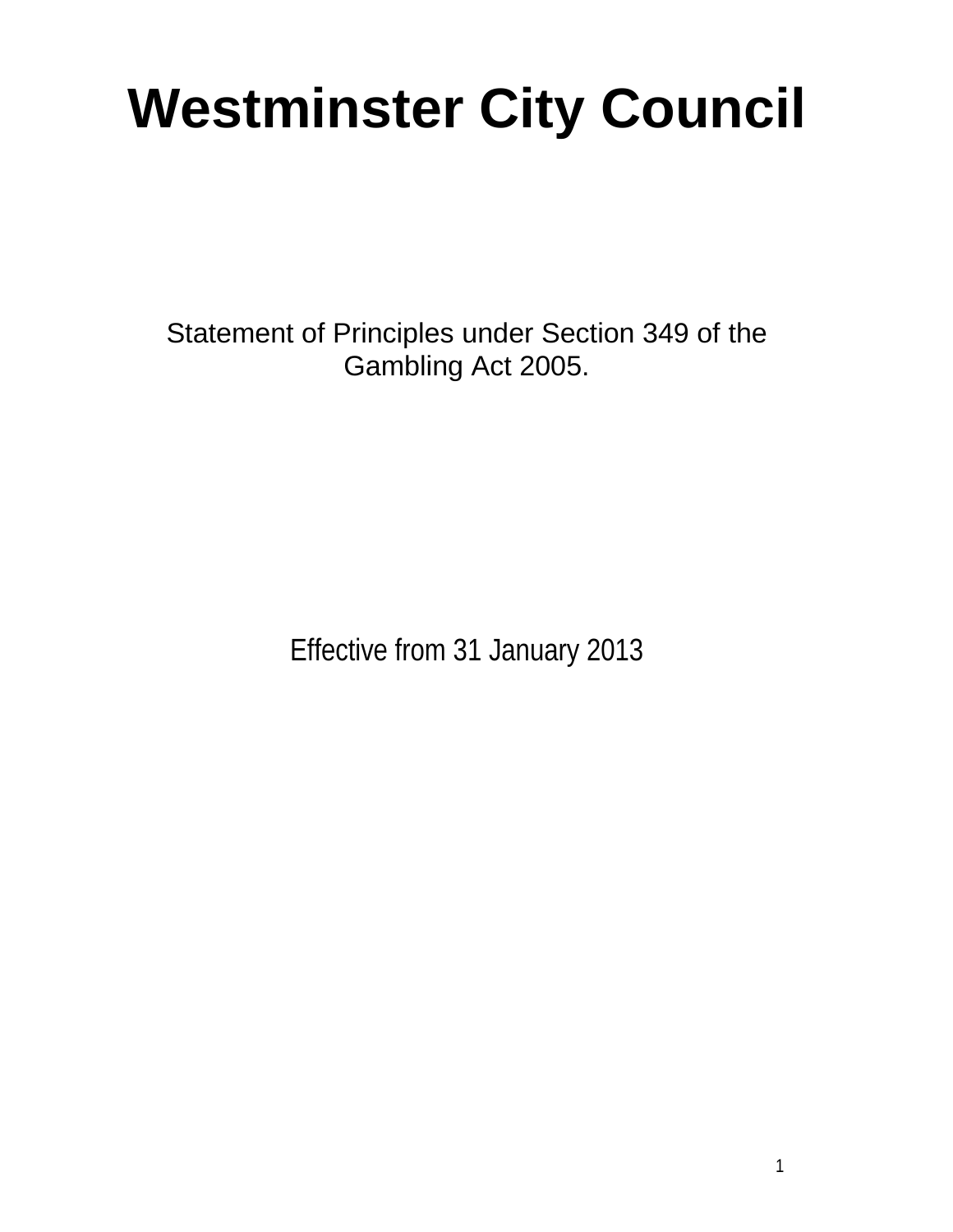# **Westminster City Council**

Statement of Principles under Section 349 of the Gambling Act 2005.

Effective from 31 January 2013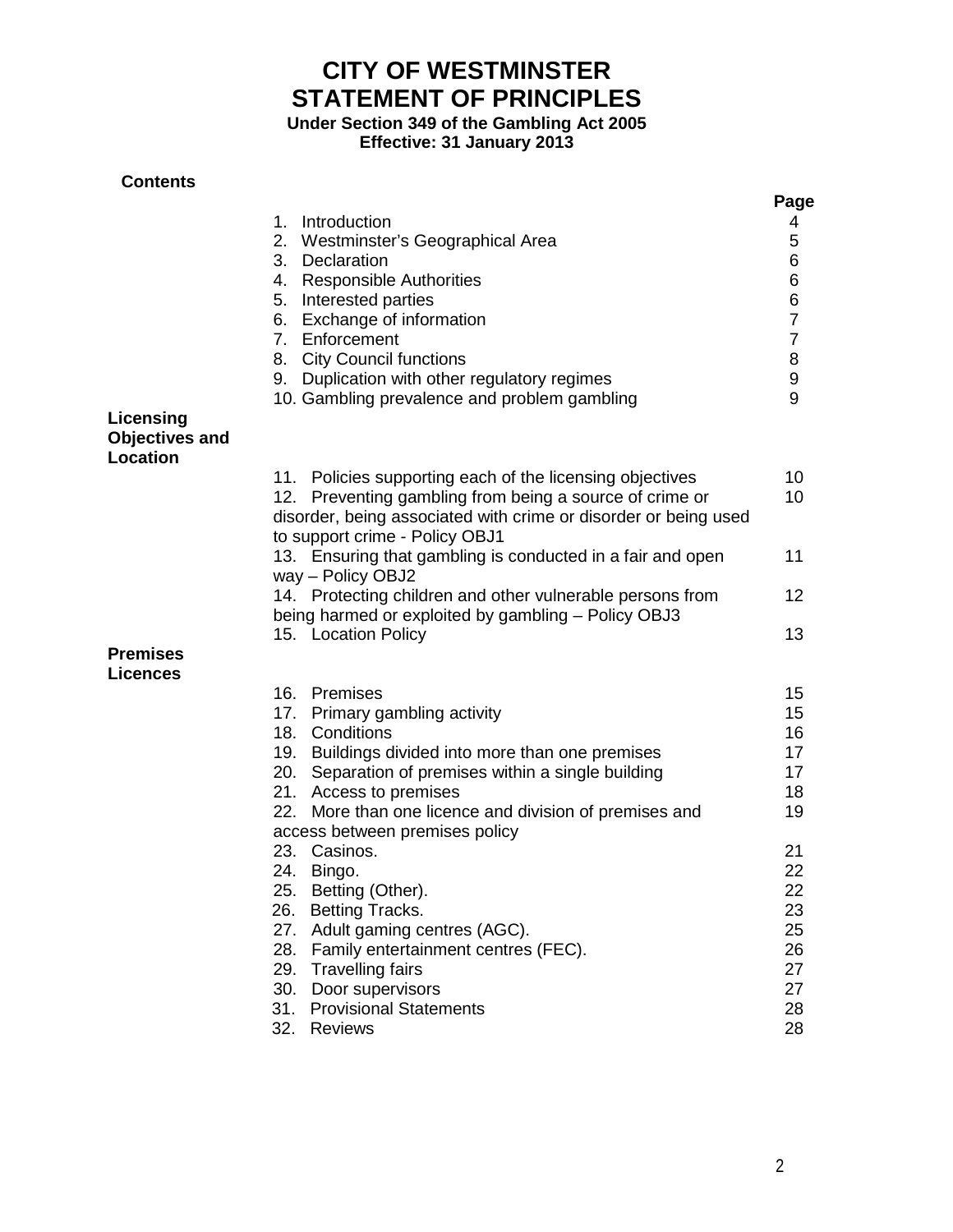# **CITY OF WESTMINSTER STATEMENT OF PRINCIPLES**

## **Under Section 349 of the Gambling Act 2005**

**Effective: 31 January 2013**

#### **Contents**

|                                   | Introduction<br>1.                                                                                                                                           | Page<br>4             |
|-----------------------------------|--------------------------------------------------------------------------------------------------------------------------------------------------------------|-----------------------|
|                                   | 2. Westminster's Geographical Area                                                                                                                           | 5                     |
|                                   | 3. Declaration                                                                                                                                               | 6                     |
|                                   | 4. Responsible Authorities                                                                                                                                   | 6                     |
|                                   | 5. Interested parties                                                                                                                                        | $\,6$                 |
|                                   | 6.<br>Exchange of information                                                                                                                                | $\overline{7}$        |
|                                   | 7. Enforcement                                                                                                                                               | $\overline{7}$        |
|                                   | 8. City Council functions                                                                                                                                    | $\,8\,$               |
|                                   | Duplication with other regulatory regimes<br>9.<br>10. Gambling prevalence and problem gambling                                                              | $\boldsymbol{9}$<br>9 |
| Licensing                         |                                                                                                                                                              |                       |
| <b>Objectives and</b><br>Location |                                                                                                                                                              |                       |
|                                   | 11. Policies supporting each of the licensing objectives                                                                                                     | 10                    |
|                                   | 12. Preventing gambling from being a source of crime or<br>disorder, being associated with crime or disorder or being used<br>to support crime - Policy OBJ1 | 10                    |
|                                   | 13. Ensuring that gambling is conducted in a fair and open<br>way - Policy OBJ2                                                                              | 11                    |
|                                   | 14. Protecting children and other vulnerable persons from<br>being harmed or exploited by gambling - Policy OBJ3                                             | 12                    |
|                                   | 15. Location Policy                                                                                                                                          | 13                    |
| <b>Premises</b>                   |                                                                                                                                                              |                       |
| <b>Licences</b>                   |                                                                                                                                                              |                       |
|                                   | 16. Premises                                                                                                                                                 | 15                    |
|                                   | 17. Primary gambling activity                                                                                                                                | 15                    |
|                                   | 18.<br>Conditions<br>Buildings divided into more than one premises<br>19.                                                                                    | 16<br>17              |
|                                   | Separation of premises within a single building<br>20.                                                                                                       | 17                    |
|                                   | 21. Access to premises                                                                                                                                       | 18                    |
|                                   | 22. More than one licence and division of premises and                                                                                                       | 19                    |
|                                   | access between premises policy                                                                                                                               |                       |
|                                   | 23. Casinos.                                                                                                                                                 | 21                    |
|                                   | 24. Bingo.                                                                                                                                                   | 22                    |
|                                   | 25. Betting (Other).                                                                                                                                         | 22                    |
|                                   | 26.<br>Betting Tracks.                                                                                                                                       | 23                    |
|                                   | 27.<br>Adult gaming centres (AGC).                                                                                                                           | 25                    |
|                                   | 28.<br>Family entertainment centres (FEC).<br>29.<br><b>Travelling fairs</b>                                                                                 | 26<br>27              |
|                                   | 30.<br>Door supervisors                                                                                                                                      | 27                    |
|                                   | <b>Provisional Statements</b><br>31.                                                                                                                         | 28                    |
|                                   | 32.<br><b>Reviews</b>                                                                                                                                        | 28                    |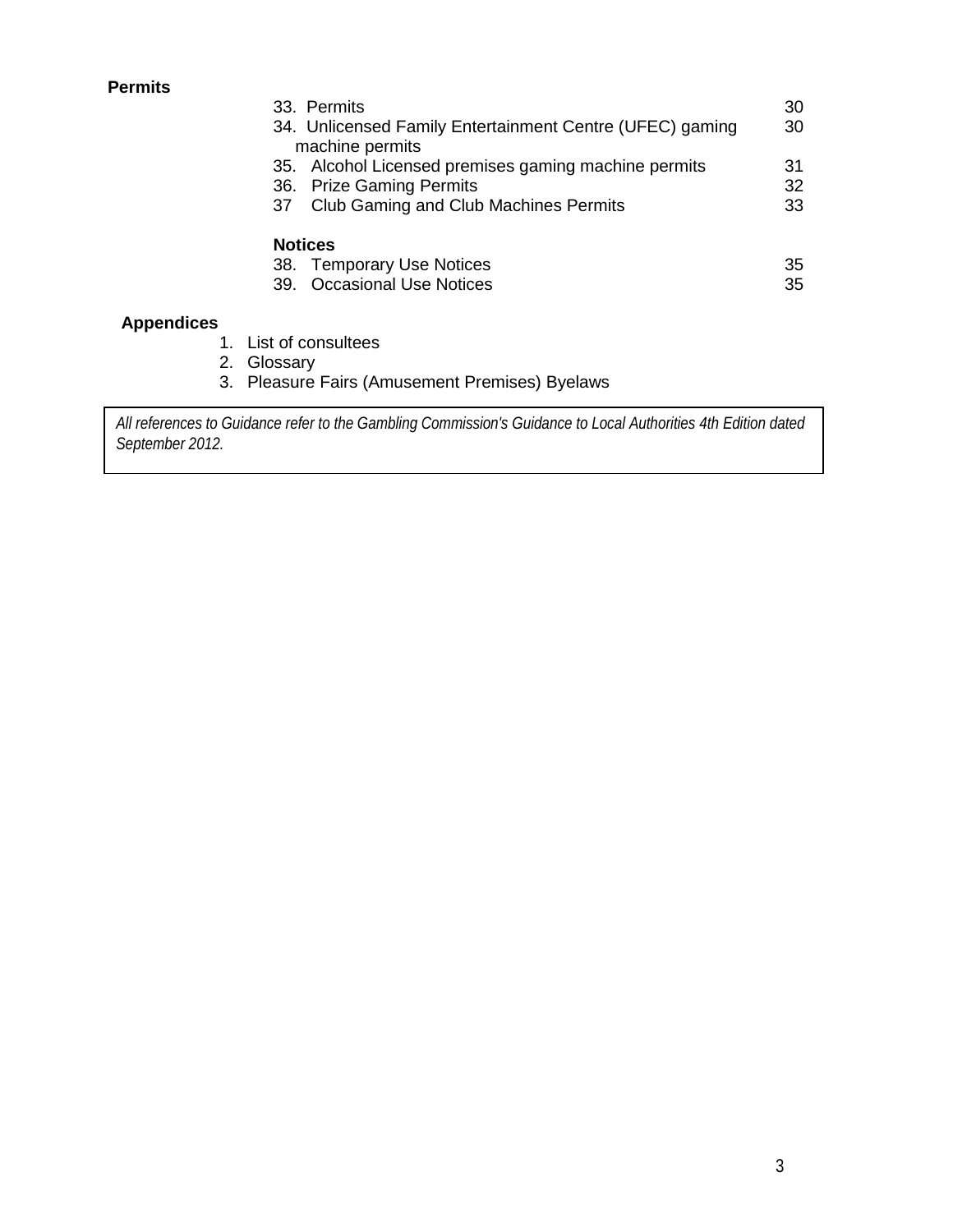## **Permits**

**Appendices**

| 33. Permits                                              | 30 |
|----------------------------------------------------------|----|
| 34. Unlicensed Family Entertainment Centre (UFEC) gaming | 30 |
| machine permits                                          |    |
| 35. Alcohol Licensed premises gaming machine permits     | 31 |
| 36. Prize Gaming Permits                                 | 32 |
| Club Gaming and Club Machines Permits<br>37              | 33 |
|                                                          |    |
| <b>Notices</b>                                           |    |
| 38. Temporary Use Notices                                | 35 |
| 39. Occasional Use Notices                               | 35 |
|                                                          |    |
|                                                          |    |
| List of consultance                                      |    |

- 1. List of consultees
- 2. Glossary
- 3. Pleasure Fairs (Amusement Premises) Byelaws

*All references to Guidance refer to the Gambling Commission's Guidance to Local Authorities 4th Edition dated September 2012.*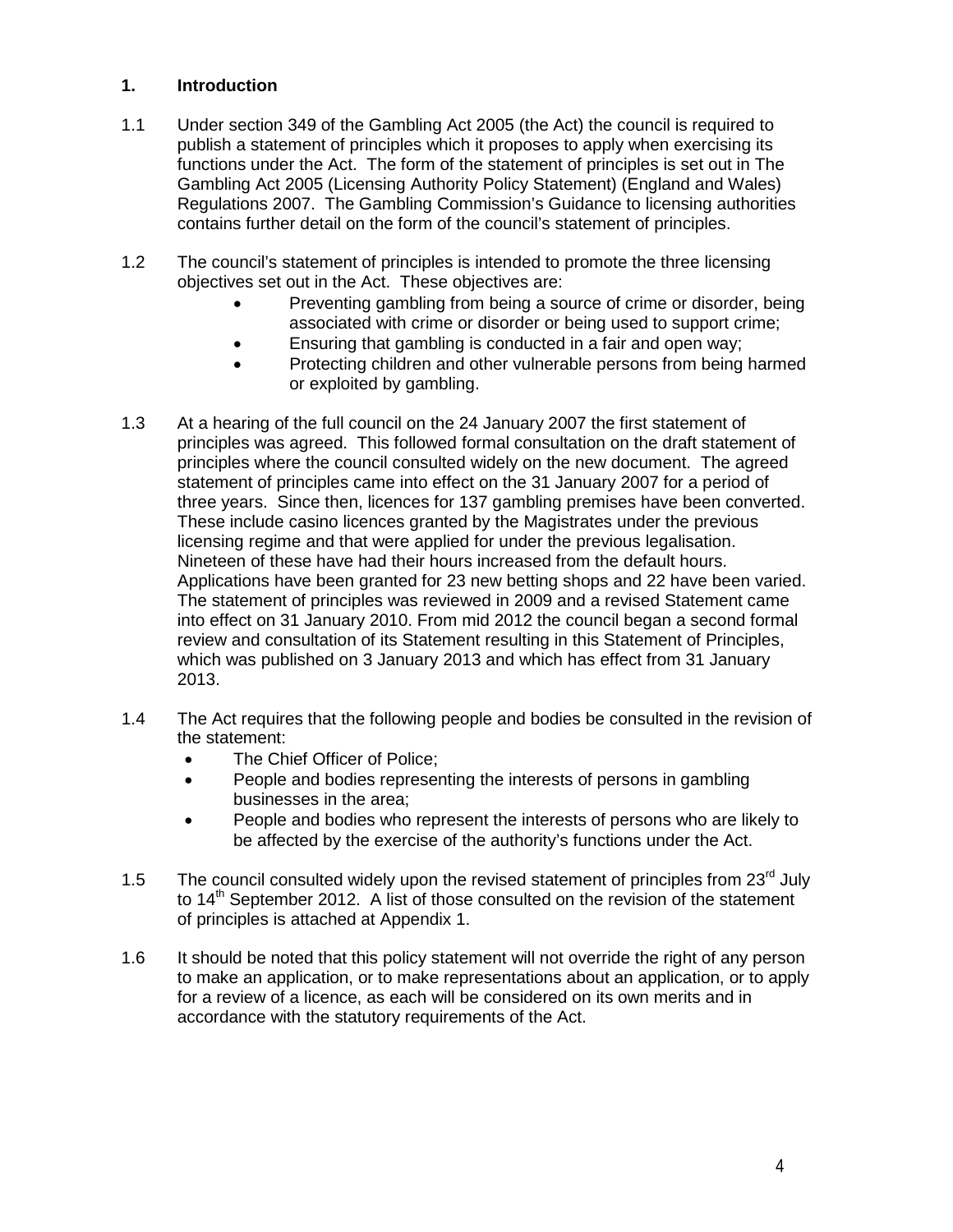## **1. Introduction**

- 1.1 Under section 349 of the Gambling Act 2005 (the Act) the council is required to publish a statement of principles which it proposes to apply when exercising its functions under the Act. The form of the statement of principles is set out in The Gambling Act 2005 (Licensing Authority Policy Statement) (England and Wales) Regulations 2007. The Gambling Commission's Guidance to licensing authorities contains further detail on the form of the council's statement of principles.
- 1.2 The council's statement of principles is intended to promote the three licensing objectives set out in the Act. These objectives are:
	- Preventing gambling from being a source of crime or disorder, being associated with crime or disorder or being used to support crime;
	- Ensuring that gambling is conducted in a fair and open way;
	- Protecting children and other vulnerable persons from being harmed or exploited by gambling.
- 1.3 At a hearing of the full council on the 24 January 2007 the first statement of principles was agreed. This followed formal consultation on the draft statement of principles where the council consulted widely on the new document. The agreed statement of principles came into effect on the 31 January 2007 for a period of three years. Since then, licences for 137 gambling premises have been converted. These include casino licences granted by the Magistrates under the previous licensing regime and that were applied for under the previous legalisation. Nineteen of these have had their hours increased from the default hours. Applications have been granted for 23 new betting shops and 22 have been varied. The statement of principles was reviewed in 2009 and a revised Statement came into effect on 31 January 2010. From mid 2012 the council began a second formal review and consultation of its Statement resulting in this Statement of Principles, which was published on 3 January 2013 and which has effect from 31 January 2013.
- 1.4 The Act requires that the following people and bodies be consulted in the revision of the statement:
	- The Chief Officer of Police;
	- People and bodies representing the interests of persons in gambling businesses in the area;
	- People and bodies who represent the interests of persons who are likely to be affected by the exercise of the authority's functions under the Act.
- 1.5 The council consulted widely upon the revised statement of principles from  $23<sup>rd</sup>$  July to 14<sup>th</sup> September 2012. A list of those consulted on the revision of the statement of principles is attached at Appendix 1.
- 1.6 It should be noted that this policy statement will not override the right of any person to make an application, or to make representations about an application, or to apply for a review of a licence, as each will be considered on its own merits and in accordance with the statutory requirements of the Act.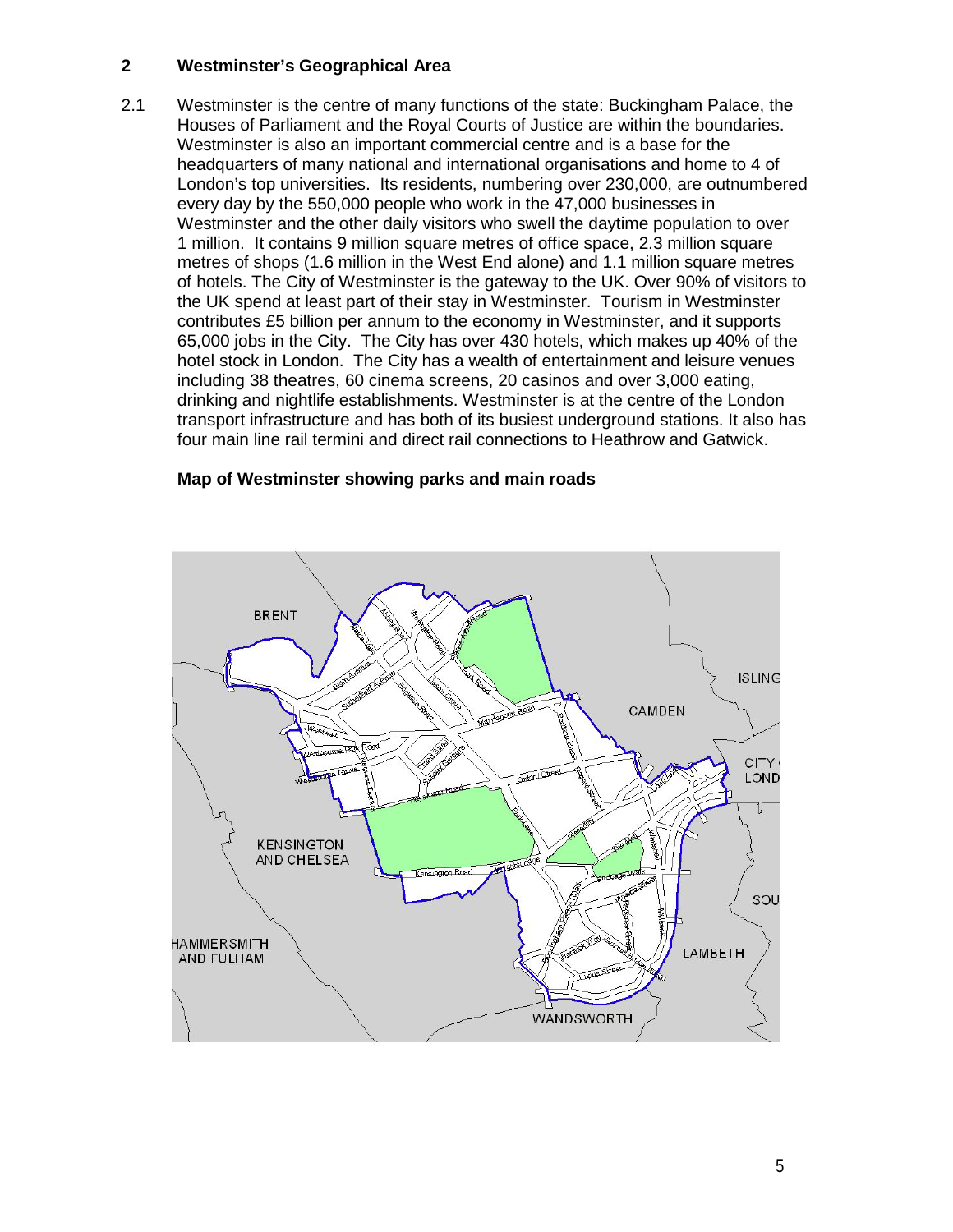#### **2 Westminster's Geographical Area**

2.1 Westminster is the centre of many functions of the state: Buckingham Palace, the Houses of Parliament and the Royal Courts of Justice are within the boundaries. Westminster is also an important commercial centre and is a base for the headquarters of many national and international organisations and home to 4 of London's top universities. Its residents, numbering over 230,000, are outnumbered every day by the 550,000 people who work in the 47,000 businesses in Westminster and the other daily visitors who swell the daytime population to over 1 million. It contains 9 million square metres of office space, 2.3 million square metres of shops (1.6 million in the West End alone) and 1.1 million square metres of hotels. The City of Westminster is the gateway to the UK. Over 90% of visitors to the UK spend at least part of their stay in Westminster. Tourism in Westminster contributes £5 billion per annum to the economy in Westminster, and it supports 65,000 jobs in the City. The City has over 430 hotels, which makes up 40% of the hotel stock in London. The City has a wealth of entertainment and leisure venues including 38 theatres, 60 cinema screens, 20 casinos and over 3,000 eating, drinking and nightlife establishments. Westminster is at the centre of the London transport infrastructure and has both of its busiest underground stations. It also has four main line rail termini and direct rail connections to Heathrow and Gatwick.



#### **Map of Westminster showing parks and main roads**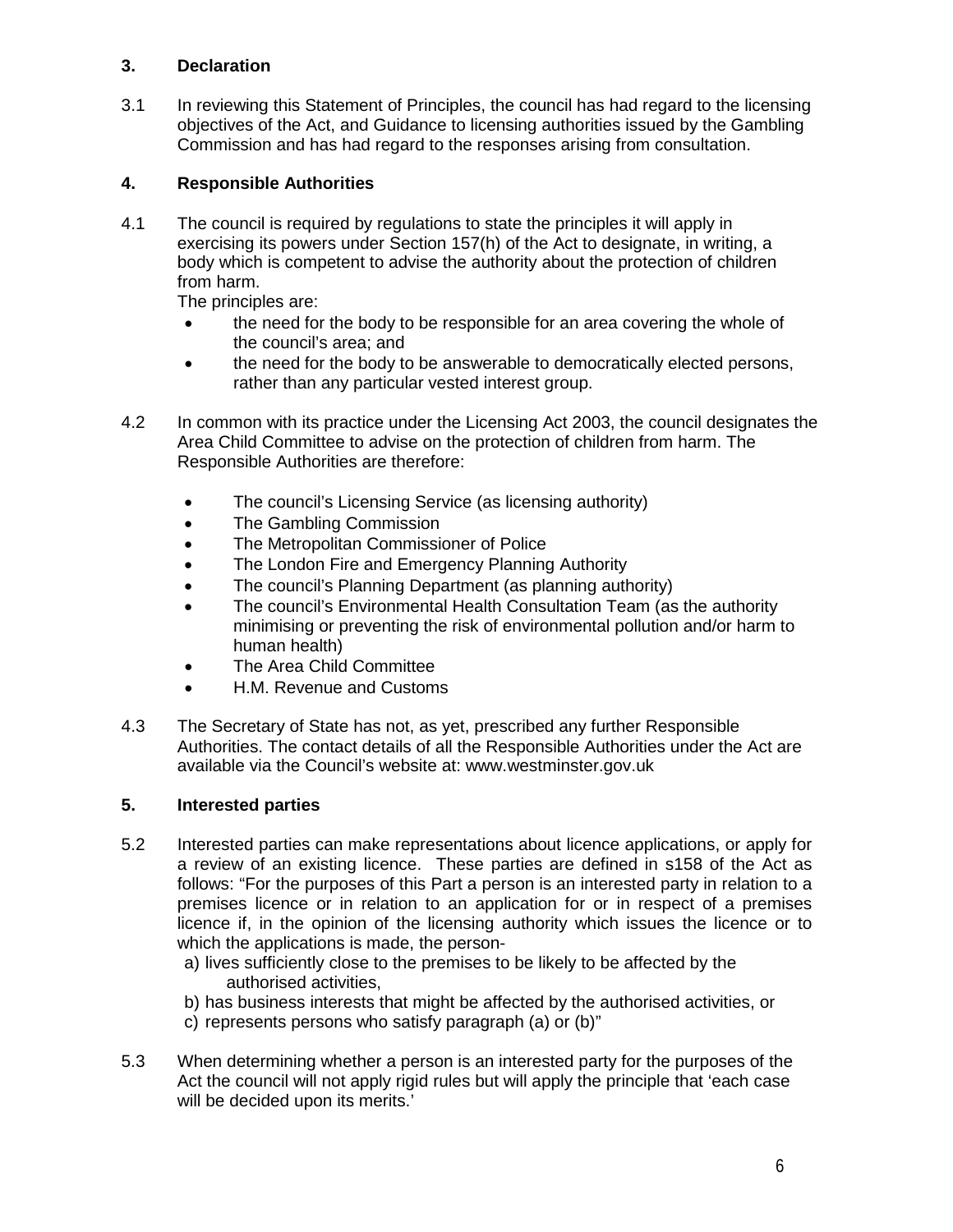## **3. Declaration**

3.1 In reviewing this Statement of Principles, the council has had regard to the licensing objectives of the Act, and Guidance to licensing authorities issued by the Gambling Commission and has had regard to the responses arising from consultation.

## **4. Responsible Authorities**

4.1 The council is required by regulations to state the principles it will apply in exercising its powers under Section 157(h) of the Act to designate, in writing, a body which is competent to advise the authority about the protection of children from harm.

The principles are:

- the need for the body to be responsible for an area covering the whole of the council's area; and
- the need for the body to be answerable to democratically elected persons, rather than any particular vested interest group.
- 4.2 In common with its practice under the Licensing Act 2003, the council designates the Area Child Committee to advise on the protection of children from harm. The Responsible Authorities are therefore:
	- The council's Licensing Service (as licensing authority)
	- The Gambling Commission
	- The Metropolitan Commissioner of Police
	- The London Fire and Emergency Planning Authority
	- The council's Planning Department (as planning authority)
	- The council's Environmental Health Consultation Team (as the authority minimising or preventing the risk of environmental pollution and/or harm to human health)
	- The Area Child Committee
	- H.M. Revenue and Customs
- 4.3 The Secretary of State has not, as yet, prescribed any further Responsible Authorities. The contact details of all the Responsible Authorities under the Act are available via the Council's website at: [www.westminster.gov.](http://www.westminster.gov/)uk

## **5. Interested parties**

- 5.2 Interested parties can make representations about licence applications, or apply for a review of an existing licence. These parties are defined in s158 of the Act as follows: "For the purposes of this Part a person is an interested party in relation to a premises licence or in relation to an application for or in respect of a premises licence if, in the opinion of the licensing authority which issues the licence or to which the applications is made, the person
	- a) lives sufficiently close to the premises to be likely to be affected by the authorised activities,
	- b) has business interests that might be affected by the authorised activities, or
	- c) represents persons who satisfy paragraph (a) or (b)"
- 5.3 When determining whether a person is an interested party for the purposes of the Act the council will not apply rigid rules but will apply the principle that 'each case will be decided upon its merits.'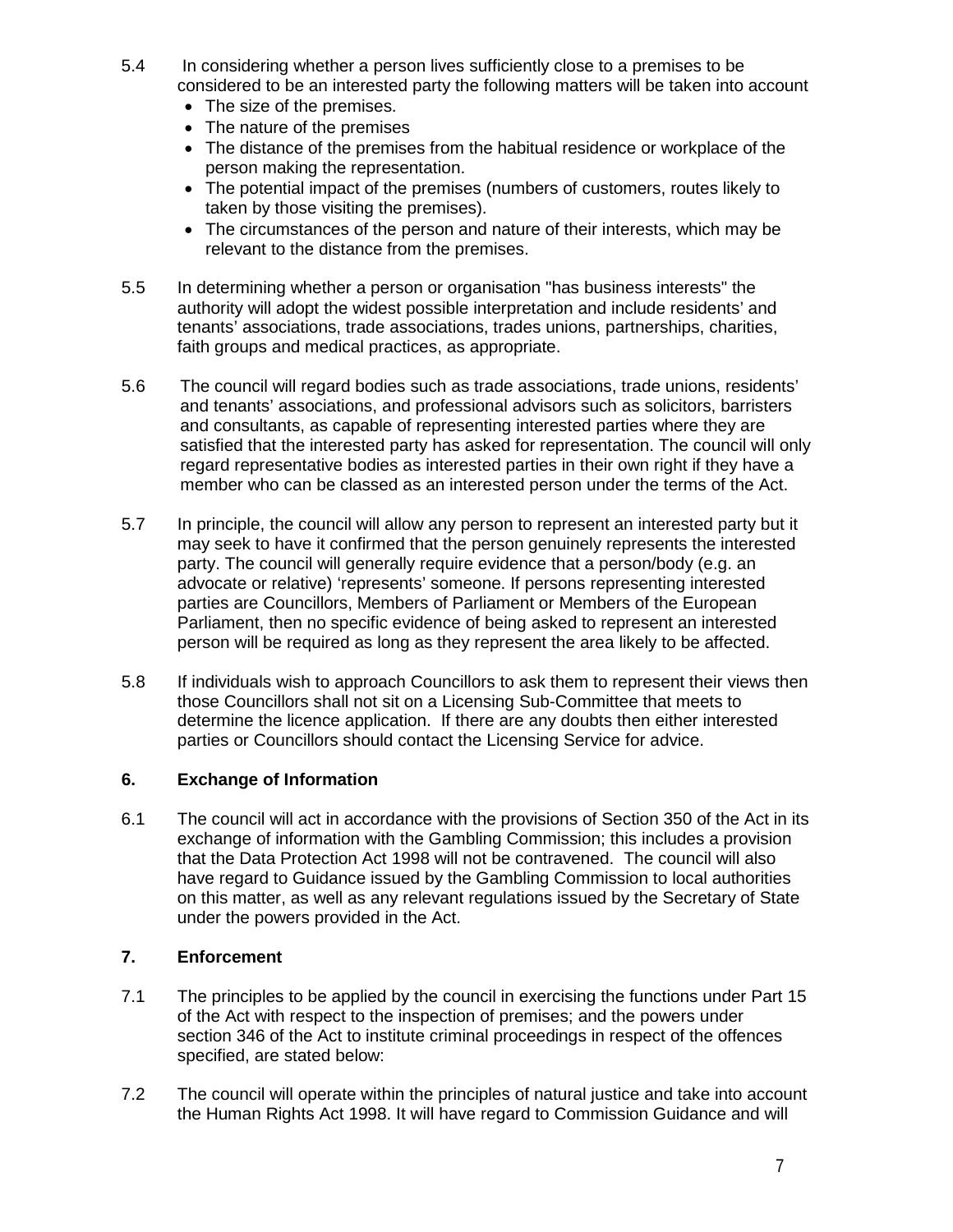- 5.4 In considering whether a person lives sufficiently close to a premises to be considered to be an interested party the following matters will be taken into account
	- The size of the premises.
	- The nature of the premises
	- The distance of the premises from the habitual residence or workplace of the person making the representation.
	- The potential impact of the premises (numbers of customers, routes likely to taken by those visiting the premises).
	- The circumstances of the person and nature of their interests, which may be relevant to the distance from the premises.
- 5.5 In determining whether a person or organisation "has business interests" the authority will adopt the widest possible interpretation and include residents' and tenants' associations, trade associations, trades unions, partnerships, charities, faith groups and medical practices, as appropriate.
- 5.6 The council will regard bodies such as trade associations, trade unions, residents' and tenants' associations, and professional advisors such as solicitors, barristers and consultants, as capable of representing interested parties where they are satisfied that the interested party has asked for representation. The council will only regard representative bodies as interested parties in their own right if they have a member who can be classed as an interested person under the terms of the Act.
- 5.7 In principle, the council will allow any person to represent an interested party but it may seek to have it confirmed that the person genuinely represents the interested party. The council will generally require evidence that a person/body (e.g. an advocate or relative) 'represents' someone. If persons representing interested parties are Councillors, Members of Parliament or Members of the European Parliament, then no specific evidence of being asked to represent an interested person will be required as long as they represent the area likely to be affected.
- 5.8 If individuals wish to approach Councillors to ask them to represent their views then those Councillors shall not sit on a Licensing Sub-Committee that meets to determine the licence application. If there are any doubts then either interested parties or Councillors should contact the Licensing Service for advice.

## **6. Exchange of Information**

6.1 The council will act in accordance with the provisions of Section 350 of the Act in its exchange of information with the Gambling Commission; this includes a provision that the Data Protection Act 1998 will not be contravened. The council will also have regard to Guidance issued by the Gambling Commission to local authorities on this matter, as well as any relevant regulations issued by the Secretary of State under the powers provided in the Act.

## **7. Enforcement**

- 7.1 The principles to be applied by the council in exercising the functions under Part 15 of the Act with respect to the inspection of premises; and the powers under section 346 of the Act to institute criminal proceedings in respect of the offences specified, are stated below:
- 7.2 The council will operate within the principles of natural justice and take into account the Human Rights Act 1998. It will have regard to Commission Guidance and will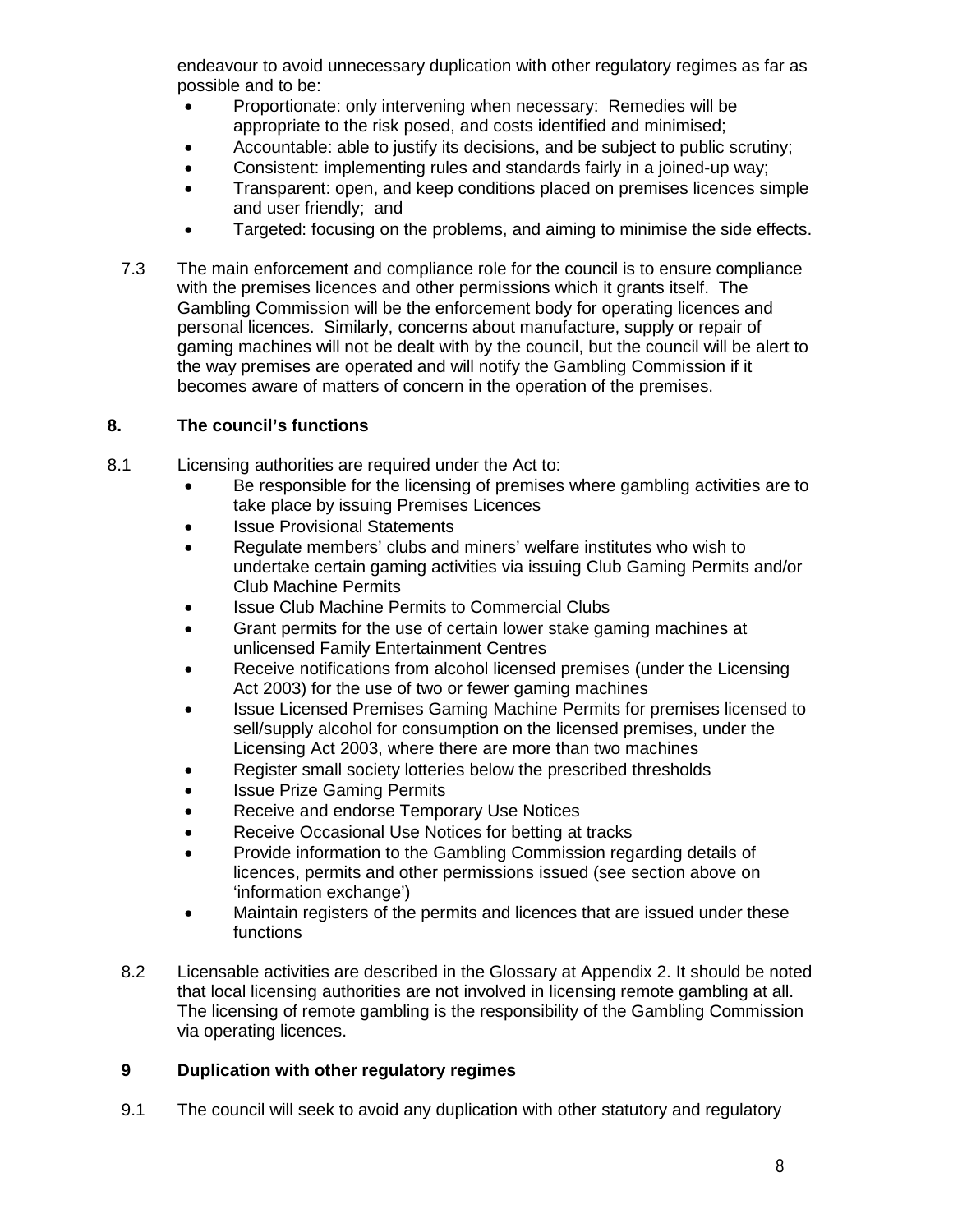endeavour to avoid unnecessary duplication with other regulatory regimes as far as possible and to be:

- Proportionate: only intervening when necessary: Remedies will be appropriate to the risk posed, and costs identified and minimised;
- Accountable: able to justify its decisions, and be subject to public scrutiny;
- Consistent: implementing rules and standards fairly in a joined-up way;
- Transparent: open, and keep conditions placed on premises licences simple and user friendly; and
- Targeted: focusing on the problems, and aiming to minimise the side effects.
- 7.3 The main enforcement and compliance role for the council is to ensure compliance with the premises licences and other permissions which it grants itself. The Gambling Commission will be the enforcement body for operating licences and personal licences. Similarly, concerns about manufacture, supply or repair of gaming machines will not be dealt with by the council, but the council will be alert to the way premises are operated and will notify the Gambling Commission if it becomes aware of matters of concern in the operation of the premises.

## **8. The council's functions**

- 8.1 Licensing authorities are required under the Act to:
	- Be responsible for the licensing of premises where gambling activities are to take place by issuing Premises Licences
	- **Issue Provisional Statements**
	- Regulate members' clubs and miners' welfare institutes who wish to undertake certain gaming activities via issuing Club Gaming Permits and/or Club Machine Permits
	- Issue Club Machine Permits to Commercial Clubs
	- Grant permits for the use of certain lower stake gaming machines at unlicensed Family Entertainment Centres
	- Receive notifications from alcohol licensed premises (under the Licensing Act 2003) for the use of two or fewer gaming machines
	- Issue Licensed Premises Gaming Machine Permits for premises licensed to sell/supply alcohol for consumption on the licensed premises, under the Licensing Act 2003, where there are more than two machines
	- Register small society lotteries below the prescribed thresholds
	- **Issue Prize Gaming Permits**
	- Receive and endorse Temporary Use Notices
	- Receive Occasional Use Notices for betting at tracks
	- Provide information to the Gambling Commission regarding details of licences, permits and other permissions issued (see section above on 'information exchange')
	- Maintain registers of the permits and licences that are issued under these functions
	- 8.2 Licensable activities are described in the Glossary at Appendix 2. It should be noted that local licensing authorities are not involved in licensing remote gambling at all. The licensing of remote gambling is the responsibility of the Gambling Commission via operating licences.

## **9 Duplication with other regulatory regimes**

9.1 The council will seek to avoid any duplication with other statutory and regulatory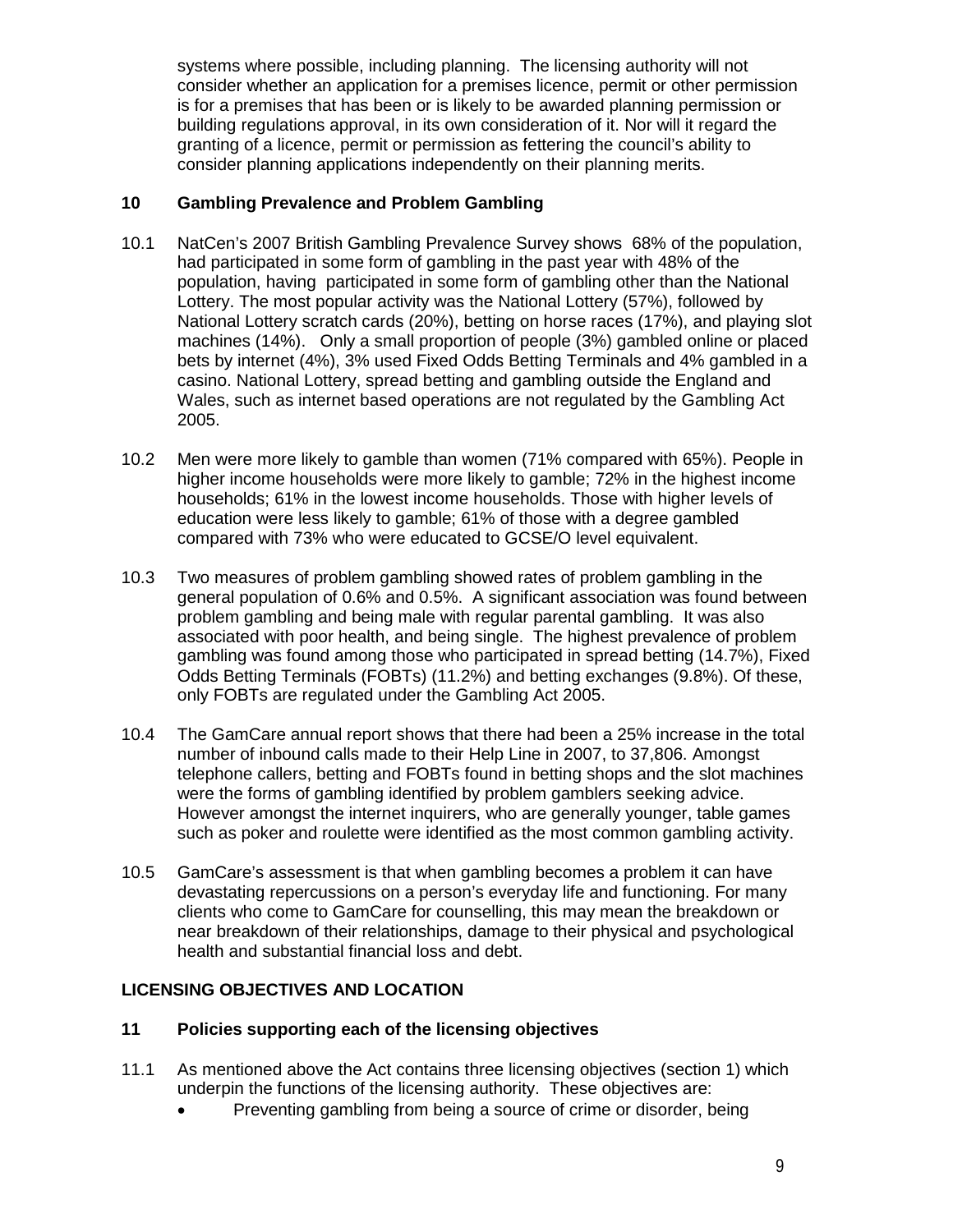systems where possible, including planning. The licensing authority will not consider whether an application for a premises licence, permit or other permission is for a premises that has been or is likely to be awarded planning permission or building regulations approval, in its own consideration of it. Nor will it regard the granting of a licence, permit or permission as fettering the council's ability to consider planning applications independently on their planning merits.

## **10 Gambling Prevalence and Problem Gambling**

- 10.1 NatCen's 2007 British Gambling Prevalence Survey shows 68% of the population, had participated in some form of gambling in the past year with 48% of the population, having participated in some form of gambling other than the National Lottery. The most popular activity was the National Lottery (57%), followed by National Lottery scratch cards (20%), betting on horse races (17%), and playing slot machines (14%). Only a small proportion of people (3%) gambled online or placed bets by internet (4%), 3% used Fixed Odds Betting Terminals and 4% gambled in a casino. National Lottery, spread betting and gambling outside the England and Wales, such as internet based operations are not regulated by the Gambling Act 2005.
- 10.2 Men were more likely to gamble than women (71% compared with 65%). People in higher income households were more likely to gamble; 72% in the highest income households; 61% in the lowest income households. Those with higher levels of education were less likely to gamble; 61% of those with a degree gambled compared with 73% who were educated to GCSE/O level equivalent.
- 10.3 Two measures of problem gambling showed rates of problem gambling in the general population of 0.6% and 0.5%. A significant association was found between problem gambling and being male with regular parental gambling. It was also associated with poor health, and being single. The highest prevalence of problem gambling was found among those who participated in spread betting (14.7%), Fixed Odds Betting Terminals (FOBTs) (11.2%) and betting exchanges (9.8%). Of these, only FOBTs are regulated under the Gambling Act 2005.
- 10.4 The GamCare annual report shows that there had been a 25% increase in the total number of inbound calls made to their Help Line in 2007, to 37,806. Amongst telephone callers, betting and FOBTs found in betting shops and the slot machines were the forms of gambling identified by problem gamblers seeking advice. However amongst the internet inquirers, who are generally younger, table games such as poker and roulette were identified as the most common gambling activity.
- 10.5 GamCare's assessment is that when gambling becomes a problem it can have devastating repercussions on a person's everyday life and functioning. For many clients who come to GamCare for counselling, this may mean the breakdown or near breakdown of their relationships, damage to their physical and psychological health and substantial financial loss and debt.

## **LICENSING OBJECTIVES AND LOCATION**

## **11 Policies supporting each of the licensing objectives**

- 11.1 As mentioned above the Act contains three licensing objectives (section 1) which underpin the functions of the licensing authority. These objectives are:
	- Preventing gambling from being a source of crime or disorder, being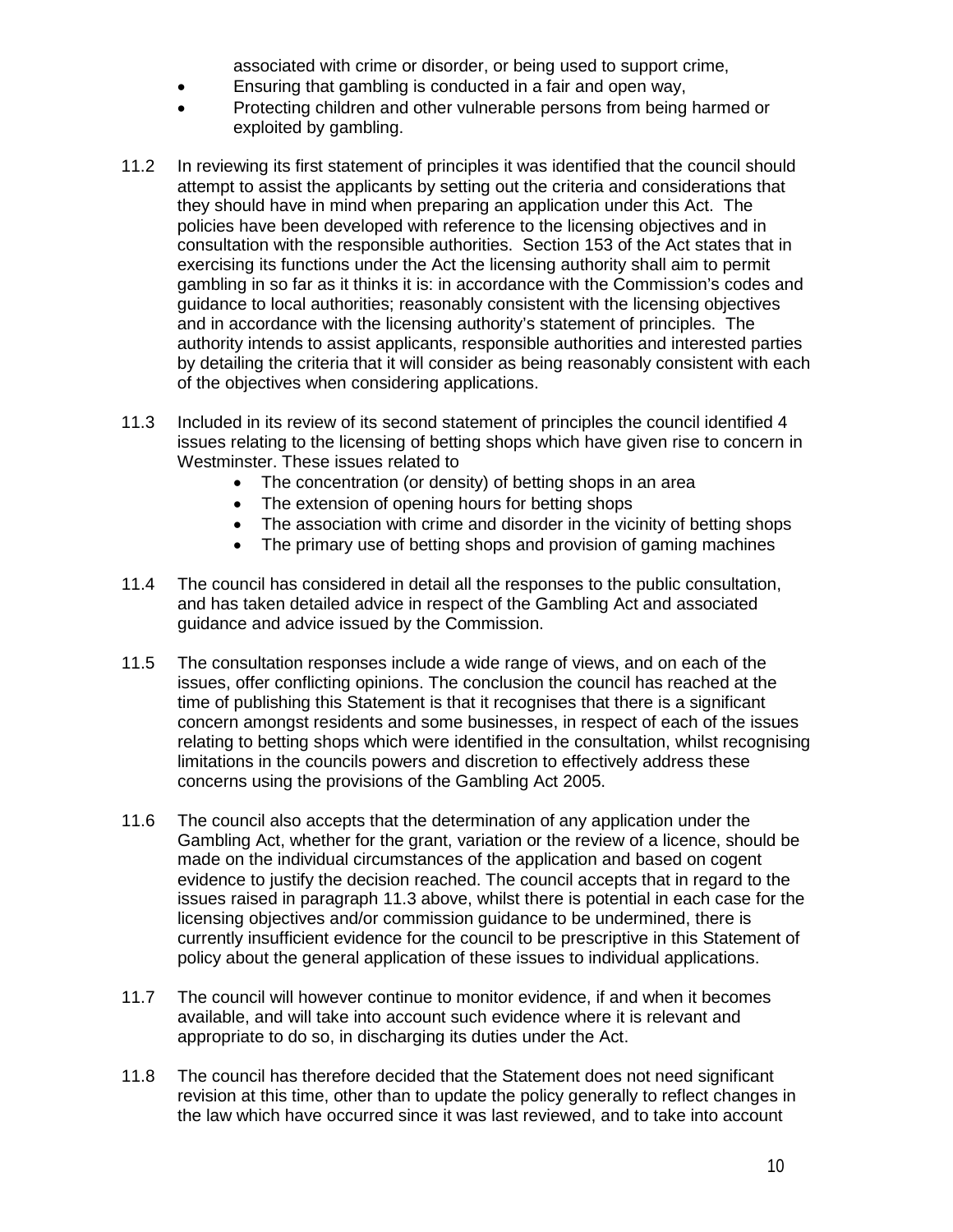associated with crime or disorder, or being used to support crime,

- Ensuring that gambling is conducted in a fair and open way,
- Protecting children and other vulnerable persons from being harmed or exploited by gambling.
- 11.2 In reviewing its first statement of principles it was identified that the council should attempt to assist the applicants by setting out the criteria and considerations that they should have in mind when preparing an application under this Act. The policies have been developed with reference to the licensing objectives and in consultation with the responsible authorities. Section 153 of the Act states that in exercising its functions under the Act the licensing authority shall aim to permit gambling in so far as it thinks it is: in accordance with the Commission's codes and guidance to local authorities; reasonably consistent with the licensing objectives and in accordance with the licensing authority's statement of principles. The authority intends to assist applicants, responsible authorities and interested parties by detailing the criteria that it will consider as being reasonably consistent with each of the objectives when considering applications.
- 11.3 Included in its review of its second statement of principles the council identified 4 issues relating to the licensing of betting shops which have given rise to concern in Westminster. These issues related to
	- The concentration (or density) of betting shops in an area
	- The extension of opening hours for betting shops
	- The association with crime and disorder in the vicinity of betting shops
	- The primary use of betting shops and provision of gaming machines
- 11.4 The council has considered in detail all the responses to the public consultation, and has taken detailed advice in respect of the Gambling Act and associated guidance and advice issued by the Commission.
- 11.5 The consultation responses include a wide range of views, and on each of the issues, offer conflicting opinions. The conclusion the council has reached at the time of publishing this Statement is that it recognises that there is a significant concern amongst residents and some businesses, in respect of each of the issues relating to betting shops which were identified in the consultation, whilst recognising limitations in the councils powers and discretion to effectively address these concerns using the provisions of the Gambling Act 2005.
- 11.6 The council also accepts that the determination of any application under the Gambling Act, whether for the grant, variation or the review of a licence, should be made on the individual circumstances of the application and based on cogent evidence to justify the decision reached. The council accepts that in regard to the issues raised in paragraph 11.3 above, whilst there is potential in each case for the licensing objectives and/or commission guidance to be undermined, there is currently insufficient evidence for the council to be prescriptive in this Statement of policy about the general application of these issues to individual applications.
- 11.7 The council will however continue to monitor evidence, if and when it becomes available, and will take into account such evidence where it is relevant and appropriate to do so, in discharging its duties under the Act.
- 11.8 The council has therefore decided that the Statement does not need significant revision at this time, other than to update the policy generally to reflect changes in the law which have occurred since it was last reviewed, and to take into account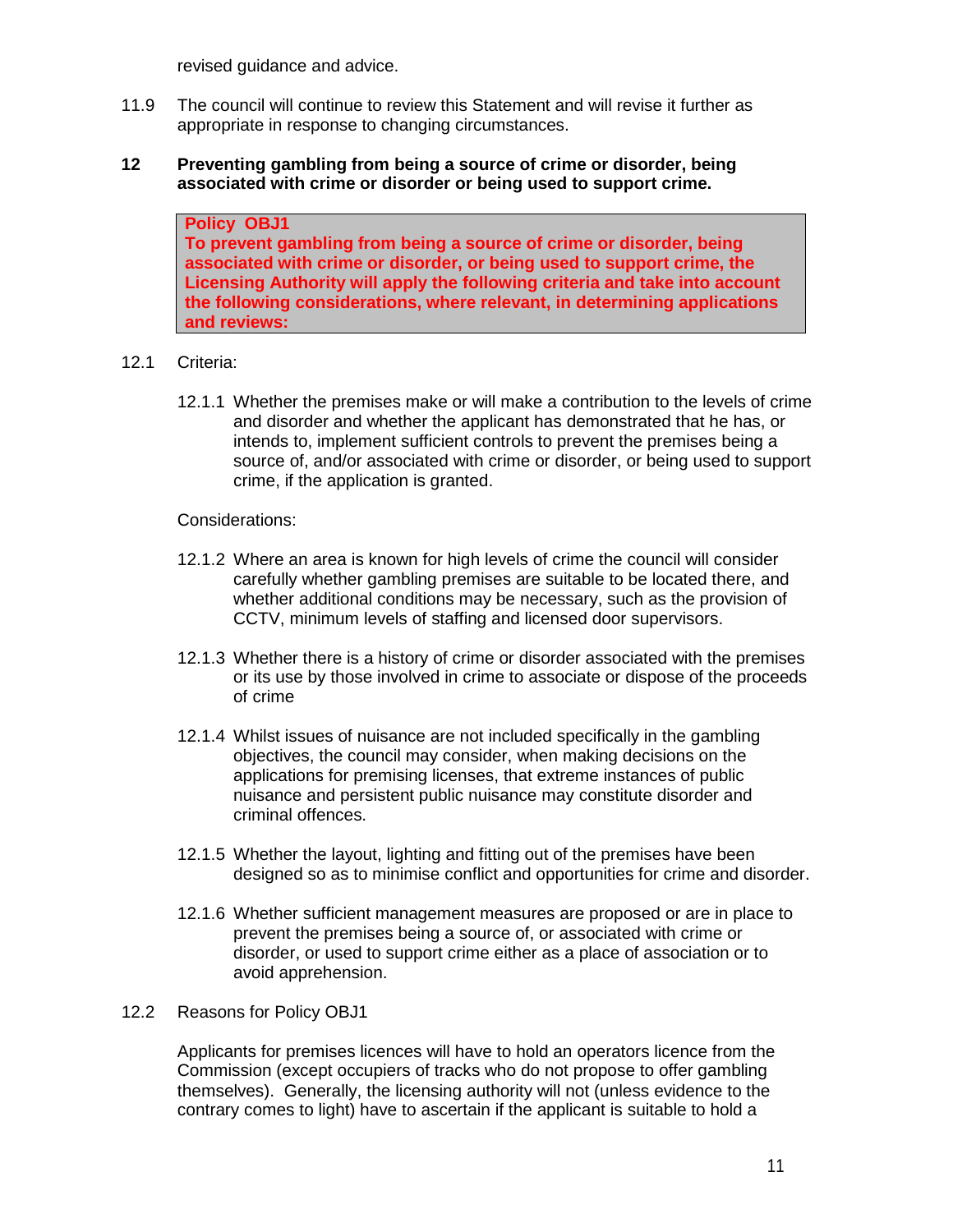revised guidance and advice.

- 11.9 The council will continue to review this Statement and will revise it further as appropriate in response to changing circumstances.
- **12 Preventing gambling from being a source of crime or disorder, being associated with crime or disorder or being used to support crime.**

**Policy OBJ1 To prevent gambling from being a source of crime or disorder, being associated with crime or disorder, or being used to support crime, the Licensing Authority will apply the following criteria and take into account the following considerations, where relevant, in determining applications and reviews:** 

#### 12.1 Criteria:

12.1.1 Whether the premises make or will make a contribution to the levels of crime and disorder and whether the applicant has demonstrated that he has, or intends to, implement sufficient controls to prevent the premises being a source of, and/or associated with crime or disorder, or being used to support crime, if the application is granted.

Considerations:

- 12.1.2 Where an area is known for high levels of crime the council will consider carefully whether gambling premises are suitable to be located there, and whether additional conditions may be necessary, such as the provision of CCTV, minimum levels of staffing and licensed door supervisors.
- 12.1.3 Whether there is a history of crime or disorder associated with the premises or its use by those involved in crime to associate or dispose of the proceeds of crime
- 12.1.4 Whilst issues of nuisance are not included specifically in the gambling objectives, the council may consider, when making decisions on the applications for premising licenses, that extreme instances of public nuisance and persistent public nuisance may constitute disorder and criminal offences.
- 12.1.5 Whether the layout, lighting and fitting out of the premises have been designed so as to minimise conflict and opportunities for crime and disorder.
- 12.1.6 Whether sufficient management measures are proposed or are in place to prevent the premises being a source of, or associated with crime or disorder, or used to support crime either as a place of association or to avoid apprehension.

#### 12.2 Reasons for Policy OBJ1

Applicants for premises licences will have to hold an operators licence from the Commission (except occupiers of tracks who do not propose to offer gambling themselves). Generally, the licensing authority will not (unless evidence to the contrary comes to light) have to ascertain if the applicant is suitable to hold a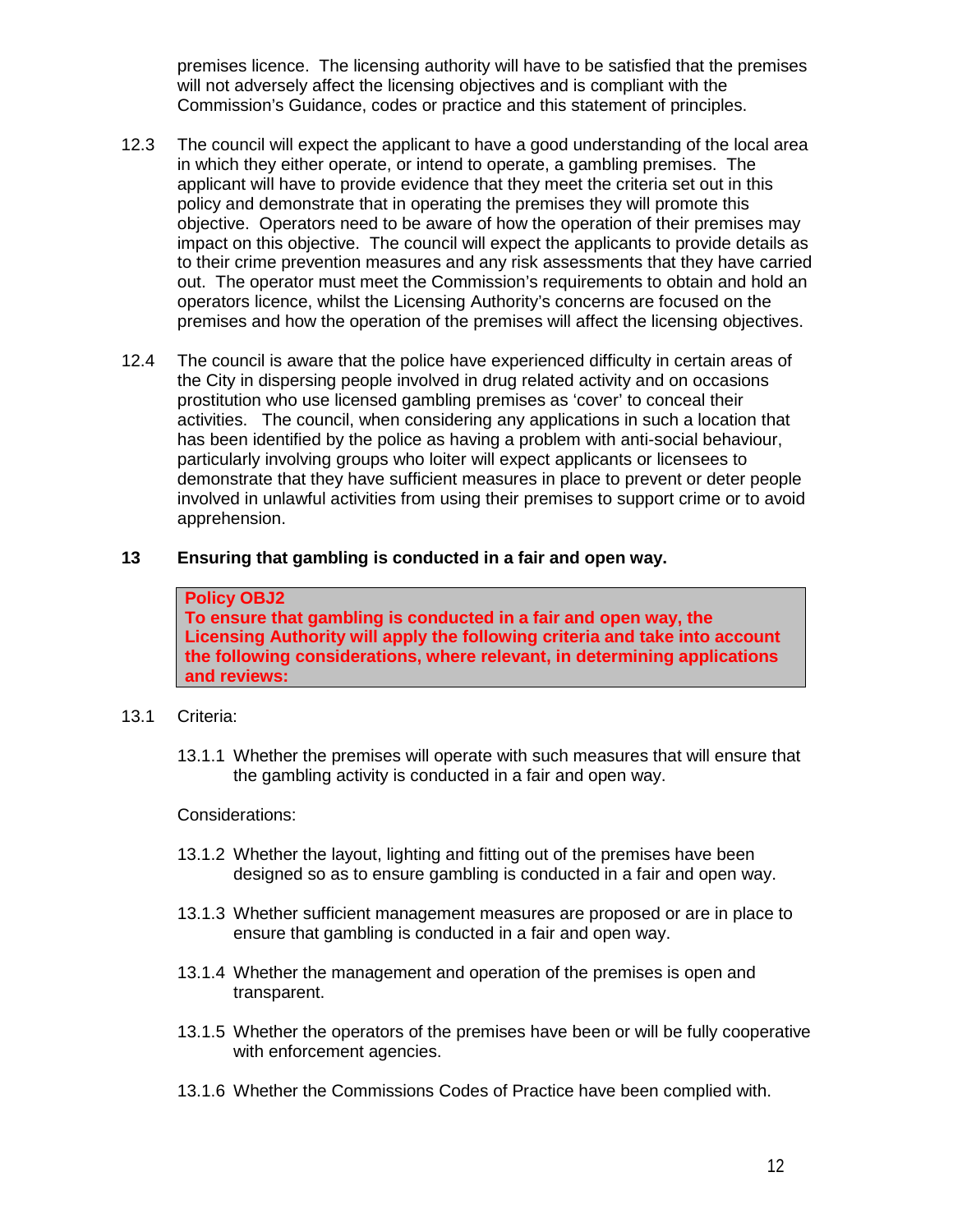premises licence. The licensing authority will have to be satisfied that the premises will not adversely affect the licensing objectives and is compliant with the Commission's Guidance, codes or practice and this statement of principles.

- 12.3 The council will expect the applicant to have a good understanding of the local area in which they either operate, or intend to operate, a gambling premises. The applicant will have to provide evidence that they meet the criteria set out in this policy and demonstrate that in operating the premises they will promote this objective. Operators need to be aware of how the operation of their premises may impact on this objective. The council will expect the applicants to provide details as to their crime prevention measures and any risk assessments that they have carried out. The operator must meet the Commission's requirements to obtain and hold an operators licence, whilst the Licensing Authority's concerns are focused on the premises and how the operation of the premises will affect the licensing objectives.
- 12.4 The council is aware that the police have experienced difficulty in certain areas of the City in dispersing people involved in drug related activity and on occasions prostitution who use licensed gambling premises as 'cover' to conceal their activities. The council, when considering any applications in such a location that has been identified by the police as having a problem with anti-social behaviour, particularly involving groups who loiter will expect applicants or licensees to demonstrate that they have sufficient measures in place to prevent or deter people involved in unlawful activities from using their premises to support crime or to avoid apprehension.
- **13 Ensuring that gambling is conducted in a fair and open way.**

#### **Policy OBJ2 To ensure that gambling is conducted in a fair and open way, the Licensing Authority will apply the following criteria and take into account the following considerations, where relevant, in determining applications and reviews:**

#### 13.1 Criteria:

13.1.1 Whether the premises will operate with such measures that will ensure that the gambling activity is conducted in a fair and open way.

#### Considerations:

- 13.1.2 Whether the layout, lighting and fitting out of the premises have been designed so as to ensure gambling is conducted in a fair and open way.
- 13.1.3 Whether sufficient management measures are proposed or are in place to ensure that gambling is conducted in a fair and open way.
- 13.1.4 Whether the management and operation of the premises is open and transparent.
- 13.1.5 Whether the operators of the premises have been or will be fully cooperative with enforcement agencies.
- 13.1.6 Whether the Commissions Codes of Practice have been complied with.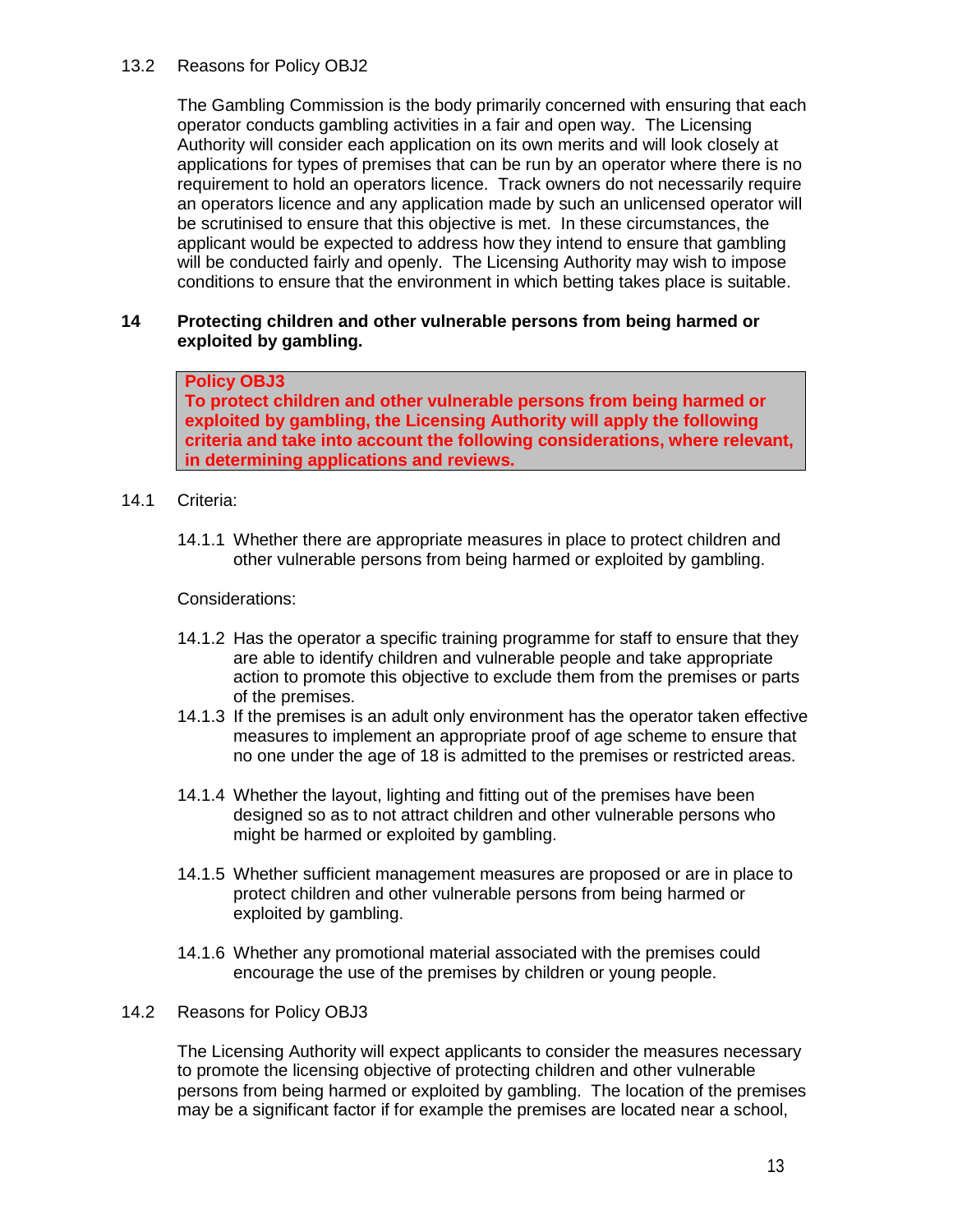#### 13.2 Reasons for Policy OBJ2

The Gambling Commission is the body primarily concerned with ensuring that each operator conducts gambling activities in a fair and open way. The Licensing Authority will consider each application on its own merits and will look closely at applications for types of premises that can be run by an operator where there is no requirement to hold an operators licence. Track owners do not necessarily require an operators licence and any application made by such an unlicensed operator will be scrutinised to ensure that this objective is met. In these circumstances, the applicant would be expected to address how they intend to ensure that gambling will be conducted fairly and openly. The Licensing Authority may wish to impose conditions to ensure that the environment in which betting takes place is suitable.

#### **14 Protecting children and other vulnerable persons from being harmed or exploited by gambling.**

#### **Policy OBJ3**

**To protect children and other vulnerable persons from being harmed or exploited by gambling, the Licensing Authority will apply the following criteria and take into account the following considerations, where relevant, in determining applications and reviews.** 

- 14.1 Criteria:
	- 14.1.1 Whether there are appropriate measures in place to protect children and other vulnerable persons from being harmed or exploited by gambling.

Considerations:

- 14.1.2 Has the operator a specific training programme for staff to ensure that they are able to identify children and vulnerable people and take appropriate action to promote this objective to exclude them from the premises or parts of the premises.
- 14.1.3 If the premises is an adult only environment has the operator taken effective measures to implement an appropriate proof of age scheme to ensure that no one under the age of 18 is admitted to the premises or restricted areas.
- 14.1.4 Whether the layout, lighting and fitting out of the premises have been designed so as to not attract children and other vulnerable persons who might be harmed or exploited by gambling.
- 14.1.5 Whether sufficient management measures are proposed or are in place to protect children and other vulnerable persons from being harmed or exploited by gambling.
- 14.1.6 Whether any promotional material associated with the premises could encourage the use of the premises by children or young people.

#### 14.2 Reasons for Policy OBJ3

The Licensing Authority will expect applicants to consider the measures necessary to promote the licensing objective of protecting children and other vulnerable persons from being harmed or exploited by gambling. The location of the premises may be a significant factor if for example the premises are located near a school,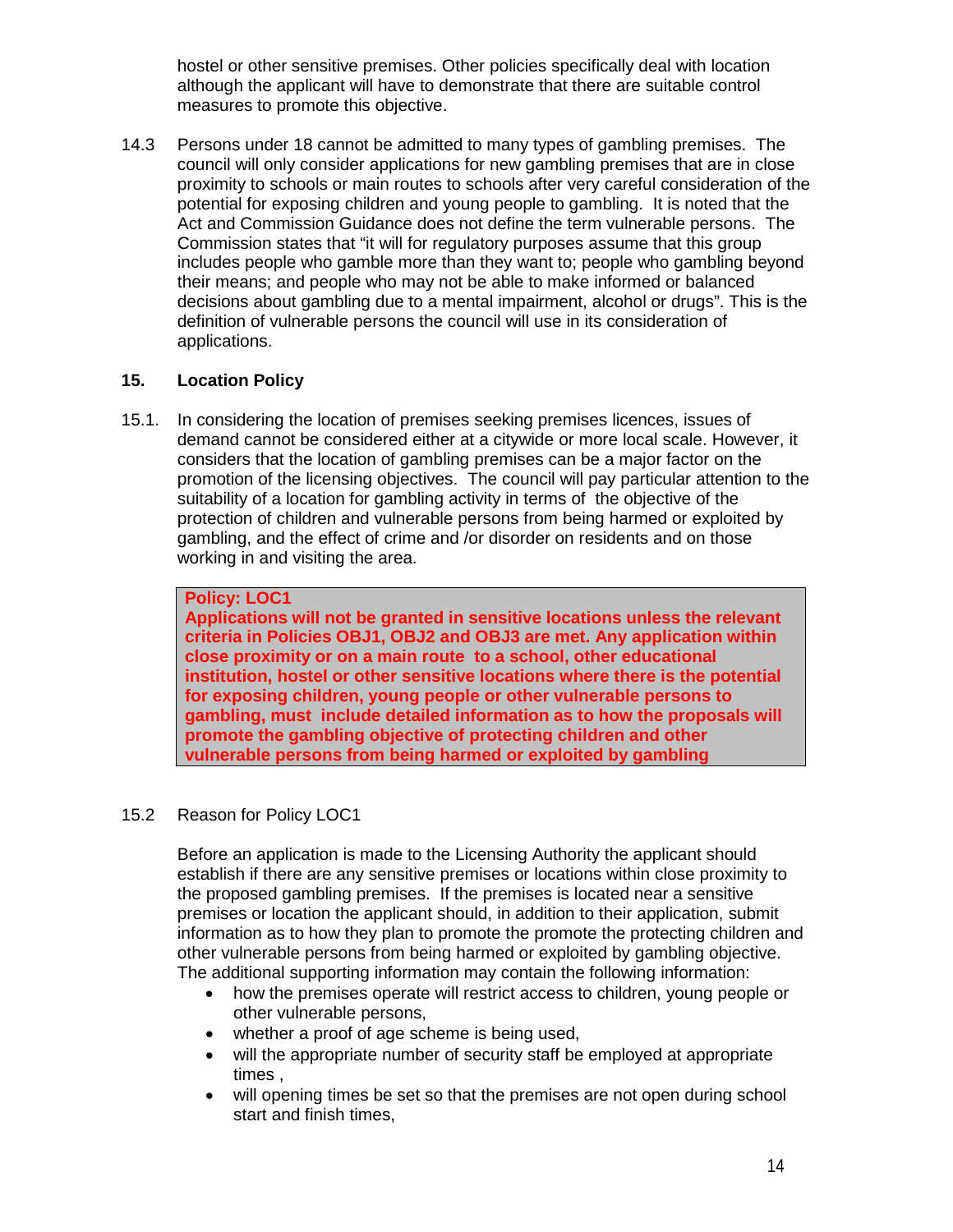hostel or other sensitive premises. Other policies specifically deal with location although the applicant will have to demonstrate that there are suitable control measures to promote this objective.

14.3 Persons under 18 cannot be admitted to many types of gambling premises. The council will only consider applications for new gambling premises that are in close proximity to schools or main routes to schools after very careful consideration of the potential for exposing children and young people to gambling. It is noted that the Act and Commission Guidance does not define the term vulnerable persons. The Commission states that "it will for regulatory purposes assume that this group includes people who gamble more than they want to; people who gambling beyond their means; and people who may not be able to make informed or balanced decisions about gambling due to a mental impairment, alcohol or drugs". This is the definition of vulnerable persons the council will use in its consideration of applications.

#### **15. Location Policy**

15.1. In considering the location of premises seeking premises licences, issues of demand cannot be considered either at a citywide or more local scale. However, it considers that the location of gambling premises can be a major factor on the promotion of the licensing objectives. The council will pay particular attention to the suitability of a location for gambling activity in terms of the objective of the protection of children and vulnerable persons from being harmed or exploited by gambling, and the effect of crime and /or disorder on residents and on those working in and visiting the area.

#### **Policy: LOC1**

**Applications will not be granted in sensitive locations unless the relevant criteria in Policies OBJ1, OBJ2 and OBJ3 are met. Any application within close proximity or on a main route to a school, other educational institution, hostel or other sensitive locations where there is the potential for exposing children, young people or other vulnerable persons to gambling, must include detailed information as to how the proposals will promote the gambling objective of protecting children and other vulnerable persons from being harmed or exploited by gambling** 

#### 15.2 Reason for Policy LOC1

Before an application is made to the Licensing Authority the applicant should establish if there are any sensitive premises or locations within close proximity to the proposed gambling premises. If the premises is located near a sensitive premises or location the applicant should, in addition to their application, submit information as to how they plan to promote the promote the protecting children and other vulnerable persons from being harmed or exploited by gambling objective. The additional supporting information may contain the following information:

- how the premises operate will restrict access to children, young people or other vulnerable persons,
- whether a proof of age scheme is being used,
- will the appropriate number of security staff be employed at appropriate times ,
- will opening times be set so that the premises are not open during school start and finish times,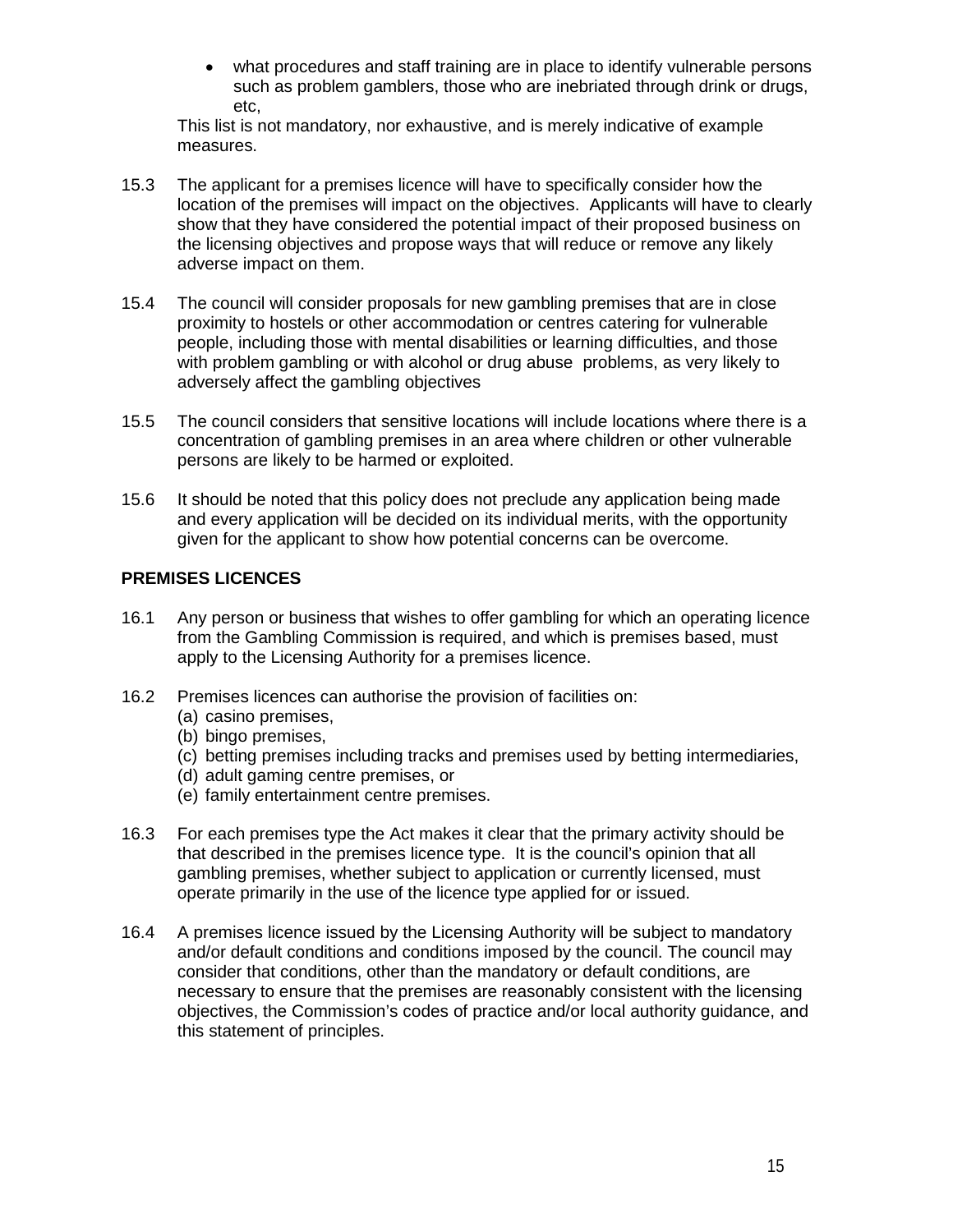• what procedures and staff training are in place to identify vulnerable persons such as problem gamblers, those who are inebriated through drink or drugs, etc,

This list is not mandatory, nor exhaustive, and is merely indicative of example measures.

- 15.3 The applicant for a premises licence will have to specifically consider how the location of the premises will impact on the objectives. Applicants will have to clearly show that they have considered the potential impact of their proposed business on the licensing objectives and propose ways that will reduce or remove any likely adverse impact on them.
- 15.4 The council will consider proposals for new gambling premises that are in close proximity to hostels or other accommodation or centres catering for vulnerable people, including those with mental disabilities or learning difficulties, and those with problem gambling or with alcohol or drug abuse problems, as very likely to adversely affect the gambling objectives
- 15.5 The council considers that sensitive locations will include locations where there is a concentration of gambling premises in an area where children or other vulnerable persons are likely to be harmed or exploited.
- 15.6 It should be noted that this policy does not preclude any application being made and every application will be decided on its individual merits, with the opportunity given for the applicant to show how potential concerns can be overcome.

#### **PREMISES LICENCES**

- 16.1 Any person or business that wishes to offer gambling for which an operating licence from the Gambling Commission is required, and which is premises based, must apply to the Licensing Authority for a premises licence.
- 16.2 Premises licences can authorise the provision of facilities on:
	- (a) casino premises,
	- (b) bingo premises,
	- (c) betting premises including tracks and premises used by betting intermediaries,
	- (d) adult gaming centre premises, or
	- (e) family entertainment centre premises.
- 16.3 For each premises type the Act makes it clear that the primary activity should be that described in the premises licence type. It is the council's opinion that all gambling premises, whether subject to application or currently licensed, must operate primarily in the use of the licence type applied for or issued.
- 16.4 A premises licence issued by the Licensing Authority will be subject to mandatory and/or default conditions and conditions imposed by the council. The council may consider that conditions, other than the mandatory or default conditions, are necessary to ensure that the premises are reasonably consistent with the licensing objectives, the Commission's codes of practice and/or local authority guidance, and this statement of principles.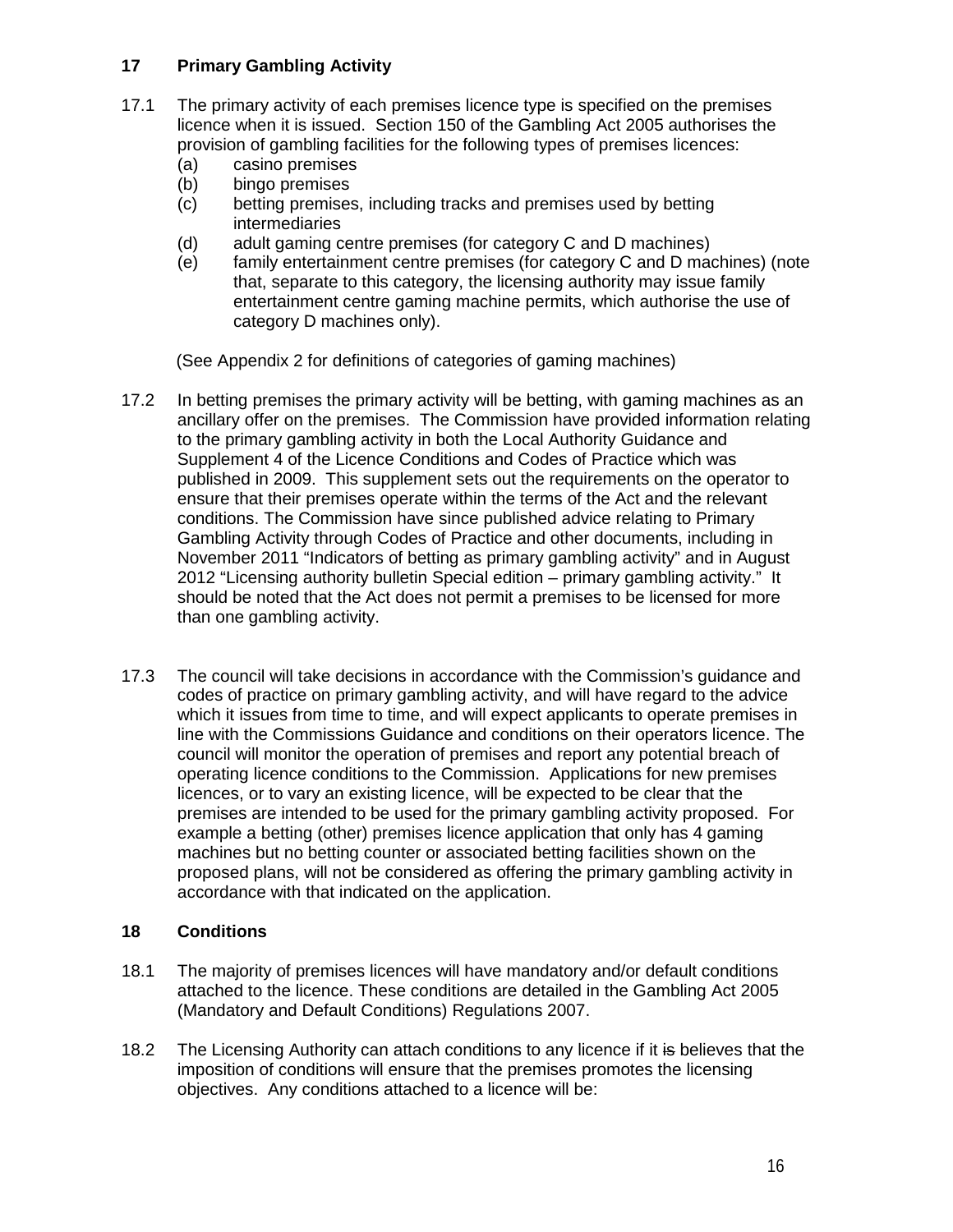## **17 Primary Gambling Activity**

- 17.1 The primary activity of each premises licence type is specified on the premises licence when it is issued. Section 150 of the Gambling Act 2005 authorises the provision of gambling facilities for the following types of premises licences:
	- (a) casino premises
	- (b) bingo premises
	- (c) betting premises, including tracks and premises used by betting intermediaries
	- (d) adult gaming centre premises (for category C and D machines)
	- (e) family entertainment centre premises (for category C and D machines) (note that, separate to this category, the licensing authority may issue family entertainment centre gaming machine permits, which authorise the use of category D machines only).

(See Appendix 2 for definitions of categories of gaming machines)

- 17.2 In betting premises the primary activity will be betting, with gaming machines as an ancillary offer on the premises. The Commission have provided information relating to the primary gambling activity in both the Local Authority Guidance and Supplement 4 of the Licence Conditions and Codes of Practice which was published in 2009. This supplement sets out the requirements on the operator to ensure that their premises operate within the terms of the Act and the relevant conditions. The Commission have since published advice relating to Primary Gambling Activity through Codes of Practice and other documents, including in November 2011 "Indicators of betting as primary gambling activity" and in August 2012 "Licensing authority bulletin Special edition – primary gambling activity." It should be noted that the Act does not permit a premises to be licensed for more than one gambling activity.
- 17.3 The council will take decisions in accordance with the Commission's guidance and codes of practice on primary gambling activity, and will have regard to the advice which it issues from time to time, and will expect applicants to operate premises in line with the Commissions Guidance and conditions on their operators licence. The council will monitor the operation of premises and report any potential breach of operating licence conditions to the Commission. Applications for new premises licences, or to vary an existing licence, will be expected to be clear that the premises are intended to be used for the primary gambling activity proposed. For example a betting (other) premises licence application that only has 4 gaming machines but no betting counter or associated betting facilities shown on the proposed plans, will not be considered as offering the primary gambling activity in accordance with that indicated on the application.

#### **18 Conditions**

- 18.1 The majority of premises licences will have mandatory and/or default conditions attached to the licence. These conditions are detailed in the Gambling Act 2005 (Mandatory and Default Conditions) Regulations 2007.
- 18.2 The Licensing Authority can attach conditions to any licence if it is believes that the imposition of conditions will ensure that the premises promotes the licensing objectives. Any conditions attached to a licence will be: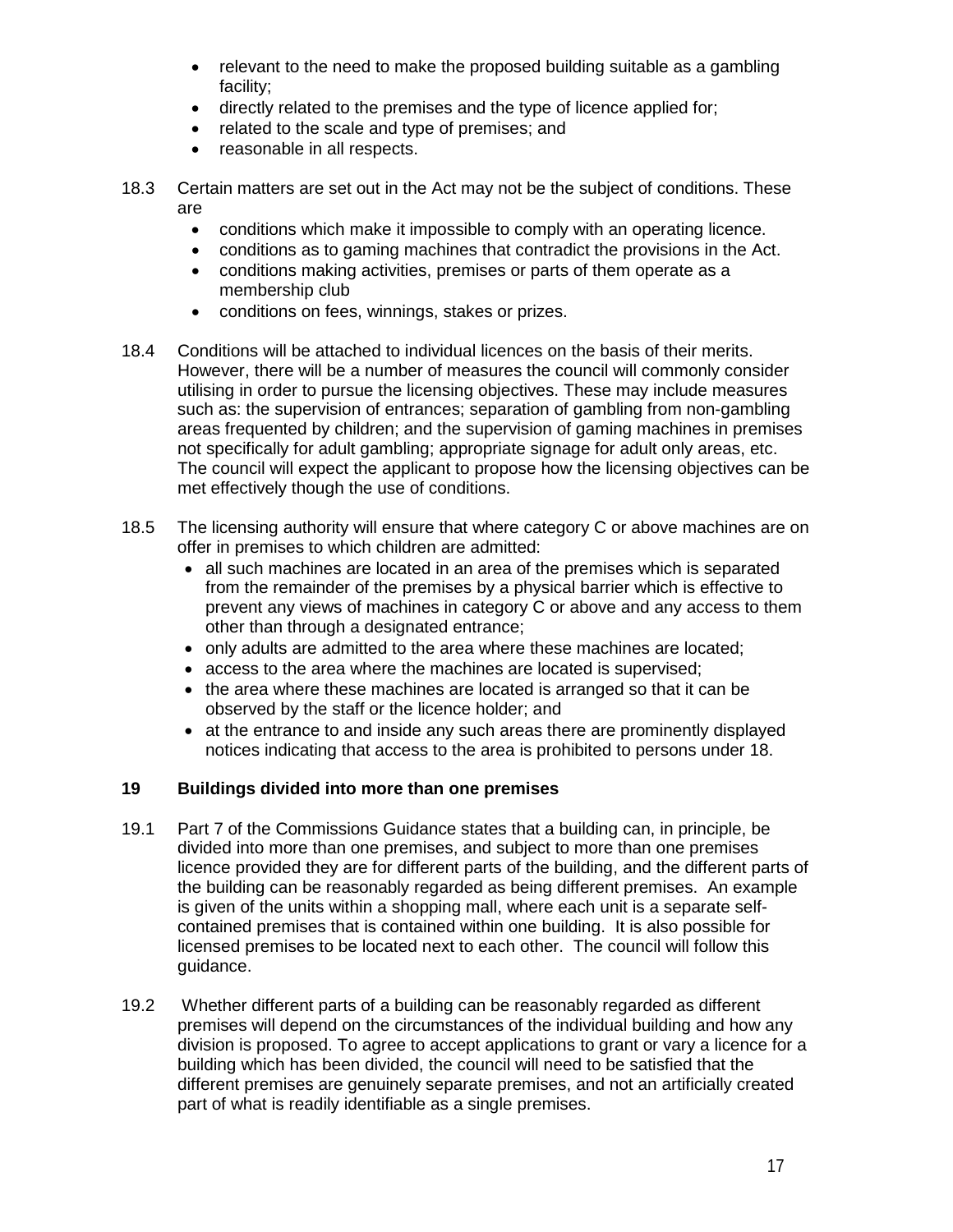- relevant to the need to make the proposed building suitable as a gambling facility;
- directly related to the premises and the type of licence applied for;
- related to the scale and type of premises; and
- reasonable in all respects.
- 18.3 Certain matters are set out in the Act may not be the subject of conditions. These are
	- conditions which make it impossible to comply with an operating licence.
	- conditions as to gaming machines that contradict the provisions in the Act.
	- conditions making activities, premises or parts of them operate as a membership club
	- conditions on fees, winnings, stakes or prizes.
- 18.4 Conditions will be attached to individual licences on the basis of their merits. However, there will be a number of measures the council will commonly consider utilising in order to pursue the licensing objectives. These may include measures such as: the supervision of entrances; separation of gambling from non-gambling areas frequented by children; and the supervision of gaming machines in premises not specifically for adult gambling; appropriate signage for adult only areas, etc. The council will expect the applicant to propose how the licensing objectives can be met effectively though the use of conditions.
- 18.5 The licensing authority will ensure that where category C or above machines are on offer in premises to which children are admitted:
	- all such machines are located in an area of the premises which is separated from the remainder of the premises by a physical barrier which is effective to prevent any views of machines in category C or above and any access to them other than through a designated entrance;
	- only adults are admitted to the area where these machines are located;
	- access to the area where the machines are located is supervised;
	- the area where these machines are located is arranged so that it can be observed by the staff or the licence holder; and
	- at the entrance to and inside any such areas there are prominently displayed notices indicating that access to the area is prohibited to persons under 18.

#### **19 Buildings divided into more than one premises**

- 19.1 Part 7 of the Commissions Guidance states that a building can, in principle, be divided into more than one premises, and subject to more than one premises licence provided they are for different parts of the building, and the different parts of the building can be reasonably regarded as being different premises. An example is given of the units within a shopping mall, where each unit is a separate selfcontained premises that is contained within one building. It is also possible for licensed premises to be located next to each other. The council will follow this guidance.
- 19.2 Whether different parts of a building can be reasonably regarded as different premises will depend on the circumstances of the individual building and how any division is proposed. To agree to accept applications to grant or vary a licence for a building which has been divided, the council will need to be satisfied that the different premises are genuinely separate premises, and not an artificially created part of what is readily identifiable as a single premises.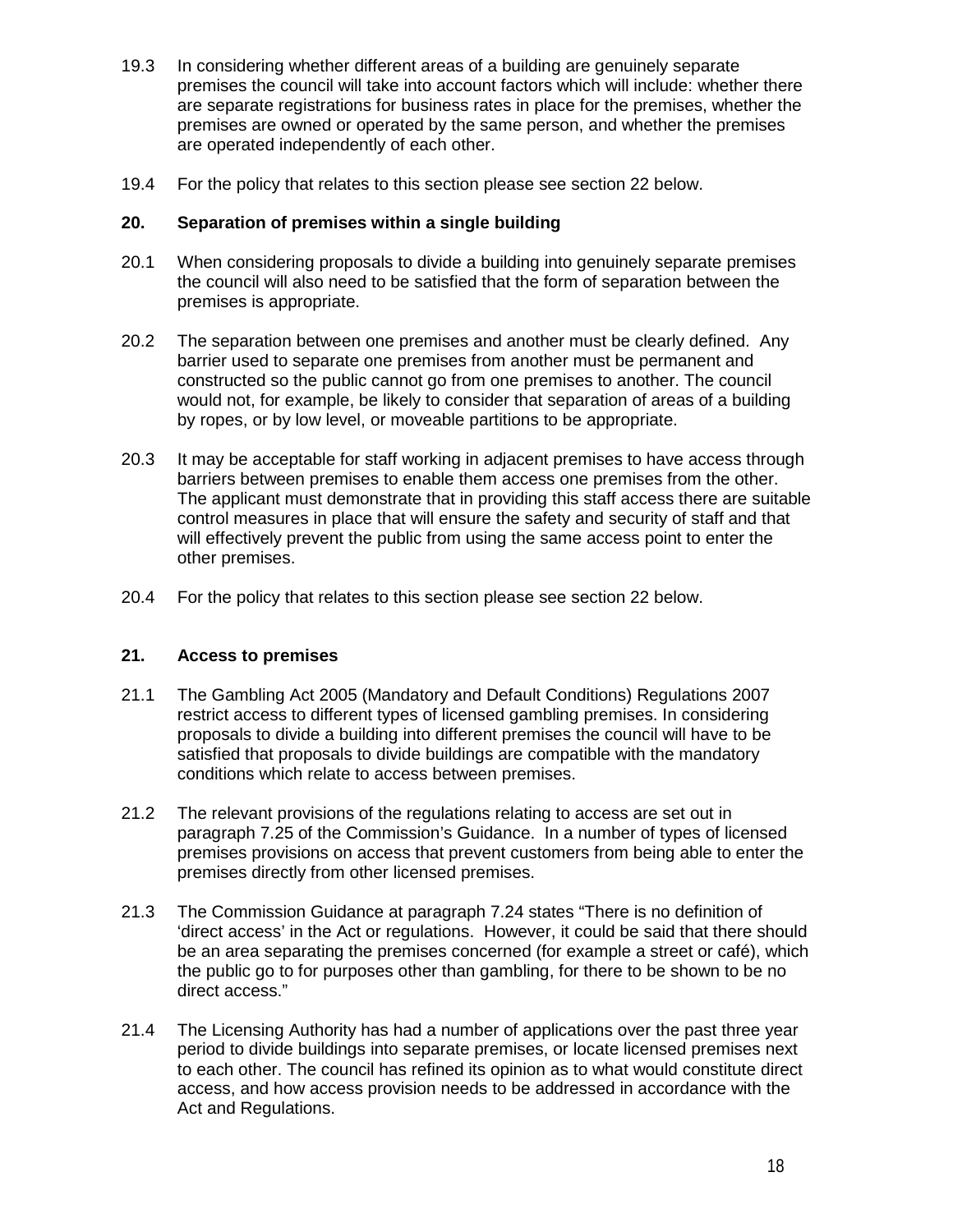- 19.3 In considering whether different areas of a building are genuinely separate premises the council will take into account factors which will include: whether there are separate registrations for business rates in place for the premises, whether the premises are owned or operated by the same person, and whether the premises are operated independently of each other.
- 19.4 For the policy that relates to this section please see section 22 below.

#### **20. Separation of premises within a single building**

- 20.1 When considering proposals to divide a building into genuinely separate premises the council will also need to be satisfied that the form of separation between the premises is appropriate.
- 20.2 The separation between one premises and another must be clearly defined. Any barrier used to separate one premises from another must be permanent and constructed so the public cannot go from one premises to another. The council would not, for example, be likely to consider that separation of areas of a building by ropes, or by low level, or moveable partitions to be appropriate.
- 20.3 It may be acceptable for staff working in adjacent premises to have access through barriers between premises to enable them access one premises from the other. The applicant must demonstrate that in providing this staff access there are suitable control measures in place that will ensure the safety and security of staff and that will effectively prevent the public from using the same access point to enter the other premises.
- 20.4 For the policy that relates to this section please see section 22 below.

#### **21. Access to premises**

- 21.1 The Gambling Act 2005 (Mandatory and Default Conditions) Regulations 2007 restrict access to different types of licensed gambling premises. In considering proposals to divide a building into different premises the council will have to be satisfied that proposals to divide buildings are compatible with the mandatory conditions which relate to access between premises.
- 21.2 The relevant provisions of the regulations relating to access are set out in paragraph 7.25 of the Commission's Guidance. In a number of types of licensed premises provisions on access that prevent customers from being able to enter the premises directly from other licensed premises.
- 21.3 The Commission Guidance at paragraph 7.24 states "There is no definition of 'direct access' in the Act or regulations. However, it could be said that there should be an area separating the premises concerned (for example a street or café), which the public go to for purposes other than gambling, for there to be shown to be no direct access."
- 21.4 The Licensing Authority has had a number of applications over the past three year period to divide buildings into separate premises, or locate licensed premises next to each other. The council has refined its opinion as to what would constitute direct access, and how access provision needs to be addressed in accordance with the Act and Regulations.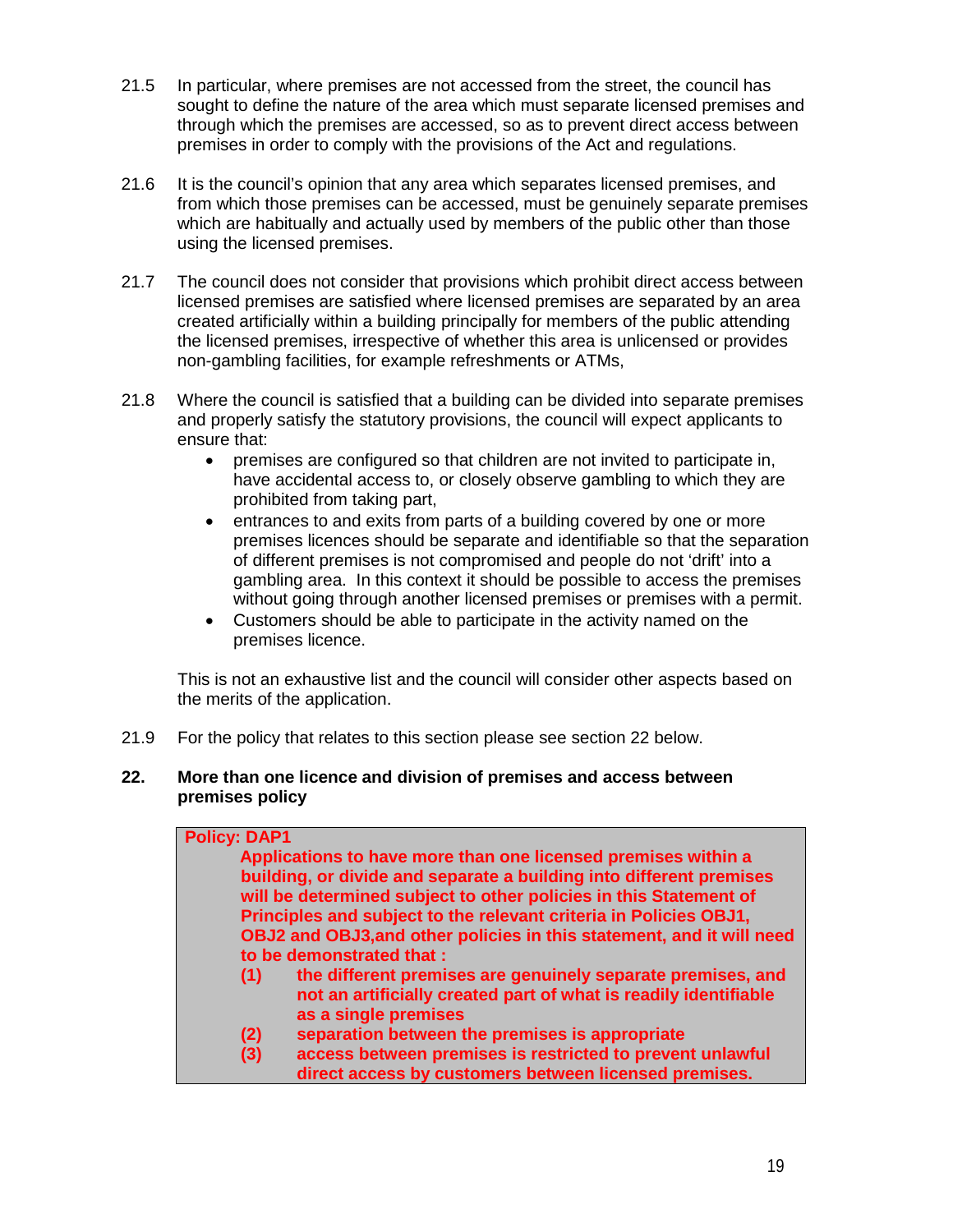- 21.5 In particular, where premises are not accessed from the street, the council has sought to define the nature of the area which must separate licensed premises and through which the premises are accessed, so as to prevent direct access between premises in order to comply with the provisions of the Act and regulations.
- 21.6 It is the council's opinion that any area which separates licensed premises, and from which those premises can be accessed, must be genuinely separate premises which are habitually and actually used by members of the public other than those using the licensed premises.
- 21.7 The council does not consider that provisions which prohibit direct access between licensed premises are satisfied where licensed premises are separated by an area created artificially within a building principally for members of the public attending the licensed premises, irrespective of whether this area is unlicensed or provides non-gambling facilities, for example refreshments or ATMs,
- 21.8 Where the council is satisfied that a building can be divided into separate premises and properly satisfy the statutory provisions, the council will expect applicants to ensure that:
	- premises are configured so that children are not invited to participate in, have accidental access to, or closely observe gambling to which they are prohibited from taking part,
	- entrances to and exits from parts of a building covered by one or more premises licences should be separate and identifiable so that the separation of different premises is not compromised and people do not 'drift' into a gambling area. In this context it should be possible to access the premises without going through another licensed premises or premises with a permit.
	- Customers should be able to participate in the activity named on the premises licence.

This is not an exhaustive list and the council will consider other aspects based on the merits of the application.

21.9 For the policy that relates to this section please see section 22 below.

#### **22. More than one licence and division of premises and access between premises policy**

#### **Policy: DAP1**

**Applications to have more than one licensed premises within a building, or divide and separate a building into different premises will be determined subject to other policies in this Statement of Principles and subject to the relevant criteria in Policies OBJ1, OBJ2 and OBJ3,and other policies in this statement, and it will need to be demonstrated that :**

- **(1) the different premises are genuinely separate premises, and not an artificially created part of what is readily identifiable as a single premises**
- 
- **(2) separation between the premises is appropriate (3) access between premises is restricted to prevent unlawful direct access by customers between licensed premises.**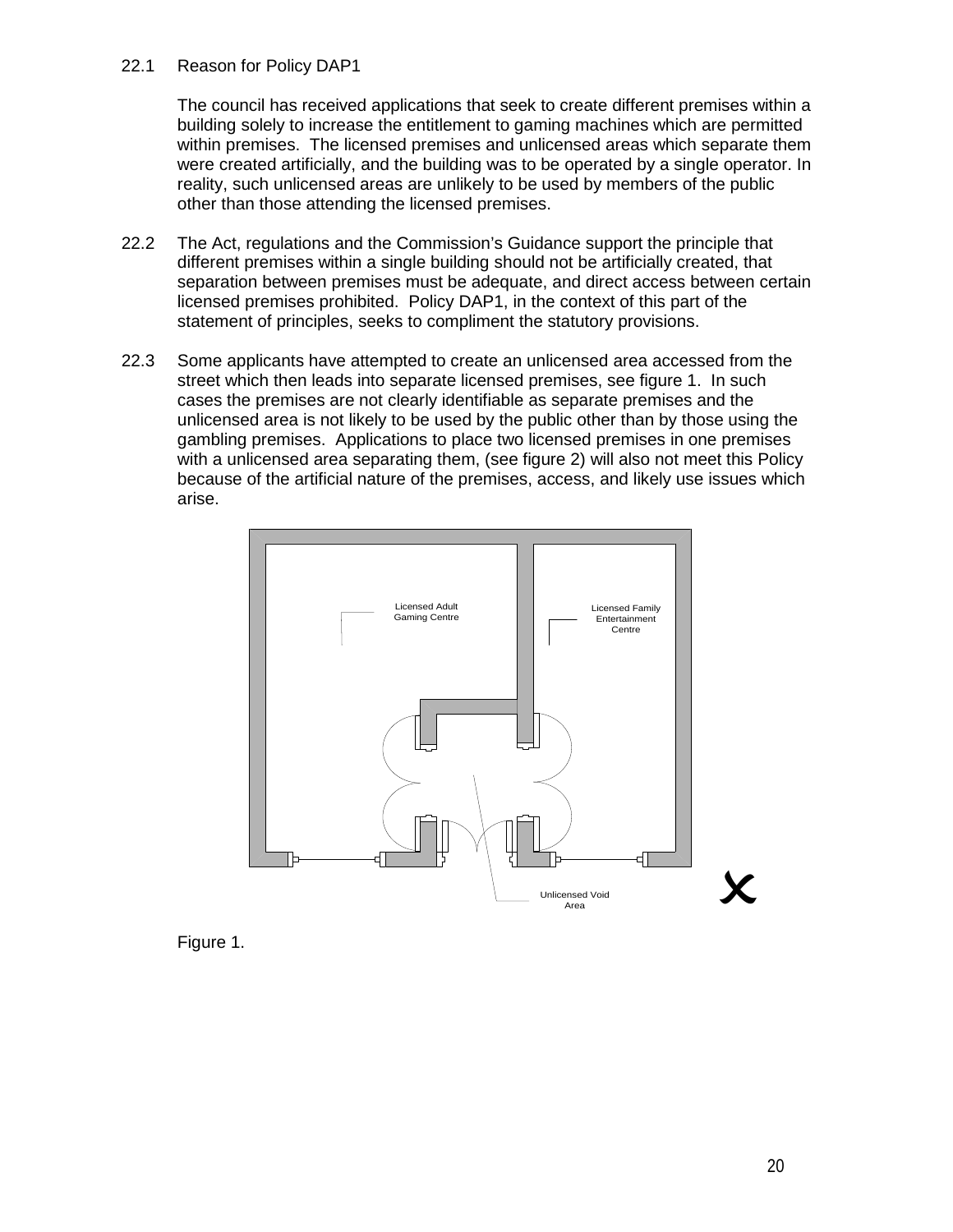#### 22.1 Reason for Policy DAP1

The council has received applications that seek to create different premises within a building solely to increase the entitlement to gaming machines which are permitted within premises. The licensed premises and unlicensed areas which separate them were created artificially, and the building was to be operated by a single operator. In reality, such unlicensed areas are unlikely to be used by members of the public other than those attending the licensed premises.

- 22.2 The Act, regulations and the Commission's Guidance support the principle that different premises within a single building should not be artificially created, that separation between premises must be adequate, and direct access between certain licensed premises prohibited. Policy DAP1, in the context of this part of the statement of principles, seeks to compliment the statutory provisions.
- 22.3 Some applicants have attempted to create an unlicensed area accessed from the street which then leads into separate licensed premises, see figure 1. In such cases the premises are not clearly identifiable as separate premises and the unlicensed area is not likely to be used by the public other than by those using the gambling premises. Applications to place two licensed premises in one premises with a unlicensed area separating them, (see figure 2) will also not meet this Policy because of the artificial nature of the premises, access, and likely use issues which arise.



Figure 1.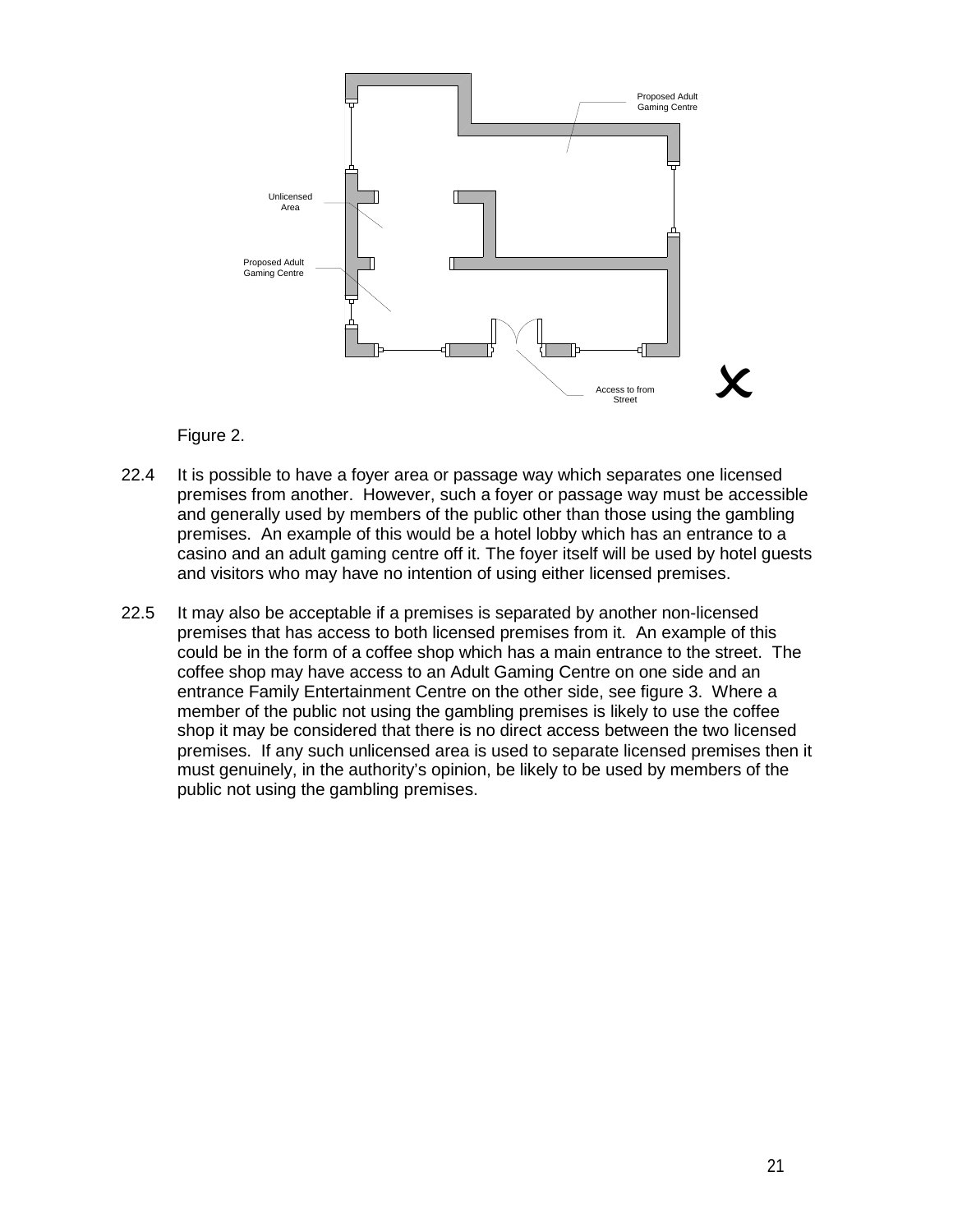

Figure 2.

- 22.4 It is possible to have a foyer area or passage way which separates one licensed premises from another. However, such a foyer or passage way must be accessible and generally used by members of the public other than those using the gambling premises. An example of this would be a hotel lobby which has an entrance to a casino and an adult gaming centre off it. The foyer itself will be used by hotel guests and visitors who may have no intention of using either licensed premises.
- 22.5 It may also be acceptable if a premises is separated by another non-licensed premises that has access to both licensed premises from it. An example of this could be in the form of a coffee shop which has a main entrance to the street. The coffee shop may have access to an Adult Gaming Centre on one side and an entrance Family Entertainment Centre on the other side, see figure 3. Where a member of the public not using the gambling premises is likely to use the coffee shop it may be considered that there is no direct access between the two licensed premises. If any such unlicensed area is used to separate licensed premises then it must genuinely, in the authority's opinion, be likely to be used by members of the public not using the gambling premises.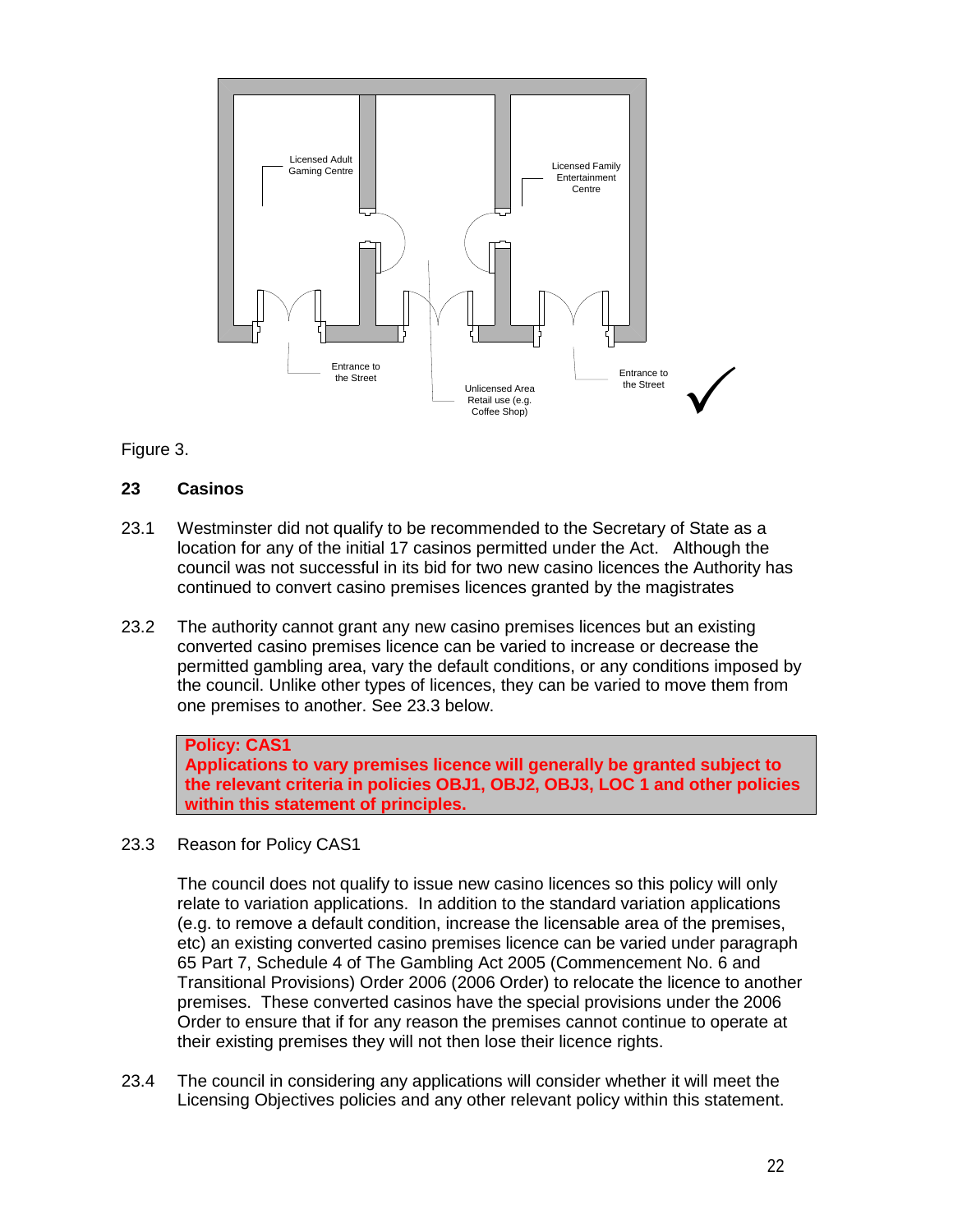

Figure 3.

#### **23 Casinos**

- 23.1 Westminster did not qualify to be recommended to the Secretary of State as a location for any of the initial 17 casinos permitted under the Act. Although the council was not successful in its bid for two new casino licences the Authority has continued to convert casino premises licences granted by the magistrates
- 23.2 The authority cannot grant any new casino premises licences but an existing converted casino premises licence can be varied to increase or decrease the permitted gambling area, vary the default conditions, or any conditions imposed by the council. Unlike other types of licences, they can be varied to move them from one premises to another. See 23.3 below.

#### **Policy: CAS1**

**Applications to vary premises licence will generally be granted subject to the relevant criteria in policies OBJ1, OBJ2, OBJ3, LOC 1 and other policies within this statement of principles.**

23.3 Reason for Policy CAS1

The council does not qualify to issue new casino licences so this policy will only relate to variation applications. In addition to the standard variation applications (e.g. to remove a default condition, increase the licensable area of the premises, etc) an existing converted casino premises licence can be varied under paragraph 65 Part 7, Schedule 4 of The Gambling Act 2005 (Commencement No. 6 and Transitional Provisions) Order 2006 (2006 Order) to relocate the licence to another premises. These converted casinos have the special provisions under the 2006 Order to ensure that if for any reason the premises cannot continue to operate at their existing premises they will not then lose their licence rights.

23.4 The council in considering any applications will consider whether it will meet the Licensing Objectives policies and any other relevant policy within this statement.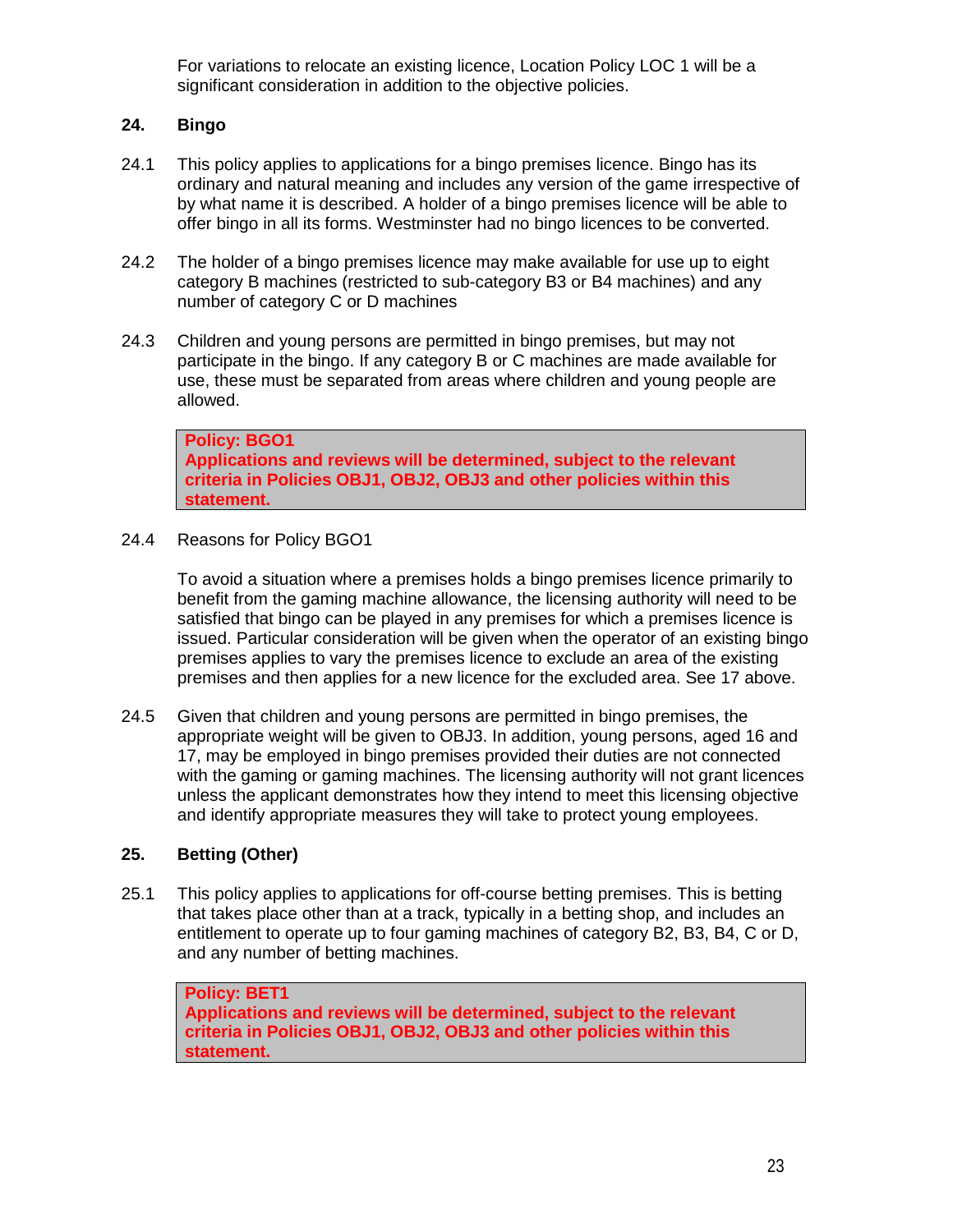For variations to relocate an existing licence, Location Policy LOC 1 will be a significant consideration in addition to the objective policies.

## **24. Bingo**

- 24.1 This policy applies to applications for a bingo premises licence. Bingo has its ordinary and natural meaning and includes any version of the game irrespective of by what name it is described. A holder of a bingo premises licence will be able to offer bingo in all its forms. Westminster had no bingo licences to be converted.
- 24.2 The holder of a bingo premises licence may make available for use up to eight category B machines (restricted to sub-category B3 or B4 machines) and any number of category C or D machines
- 24.3 Children and young persons are permitted in bingo premises, but may not participate in the bingo. If any category B or C machines are made available for use, these must be separated from areas where children and young people are allowed.

**Policy: BGO1 Applications and reviews will be determined, subject to the relevant criteria in Policies OBJ1, OBJ2, OBJ3 and other policies within this statement.**

24.4 Reasons for Policy BGO1

To avoid a situation where a premises holds a bingo premises licence primarily to benefit from the gaming machine allowance, the licensing authority will need to be satisfied that bingo can be played in any premises for which a premises licence is issued. Particular consideration will be given when the operator of an existing bingo premises applies to vary the premises licence to exclude an area of the existing premises and then applies for a new licence for the excluded area. See 17 above.

24.5 Given that children and young persons are permitted in bingo premises, the appropriate weight will be given to OBJ3. In addition, young persons, aged 16 and 17, may be employed in bingo premises provided their duties are not connected with the gaming or gaming machines. The licensing authority will not grant licences unless the applicant demonstrates how they intend to meet this licensing objective and identify appropriate measures they will take to protect young employees.

## **25. Betting (Other)**

25.1 This policy applies to applications for off-course betting premises. This is betting that takes place other than at a track, typically in a betting shop, and includes an entitlement to operate up to four gaming machines of category B2, B3, B4, C or D, and any number of betting machines.

**Policy: BET1 Applications and reviews will be determined, subject to the relevant criteria in Policies OBJ1, OBJ2, OBJ3 and other policies within this statement.**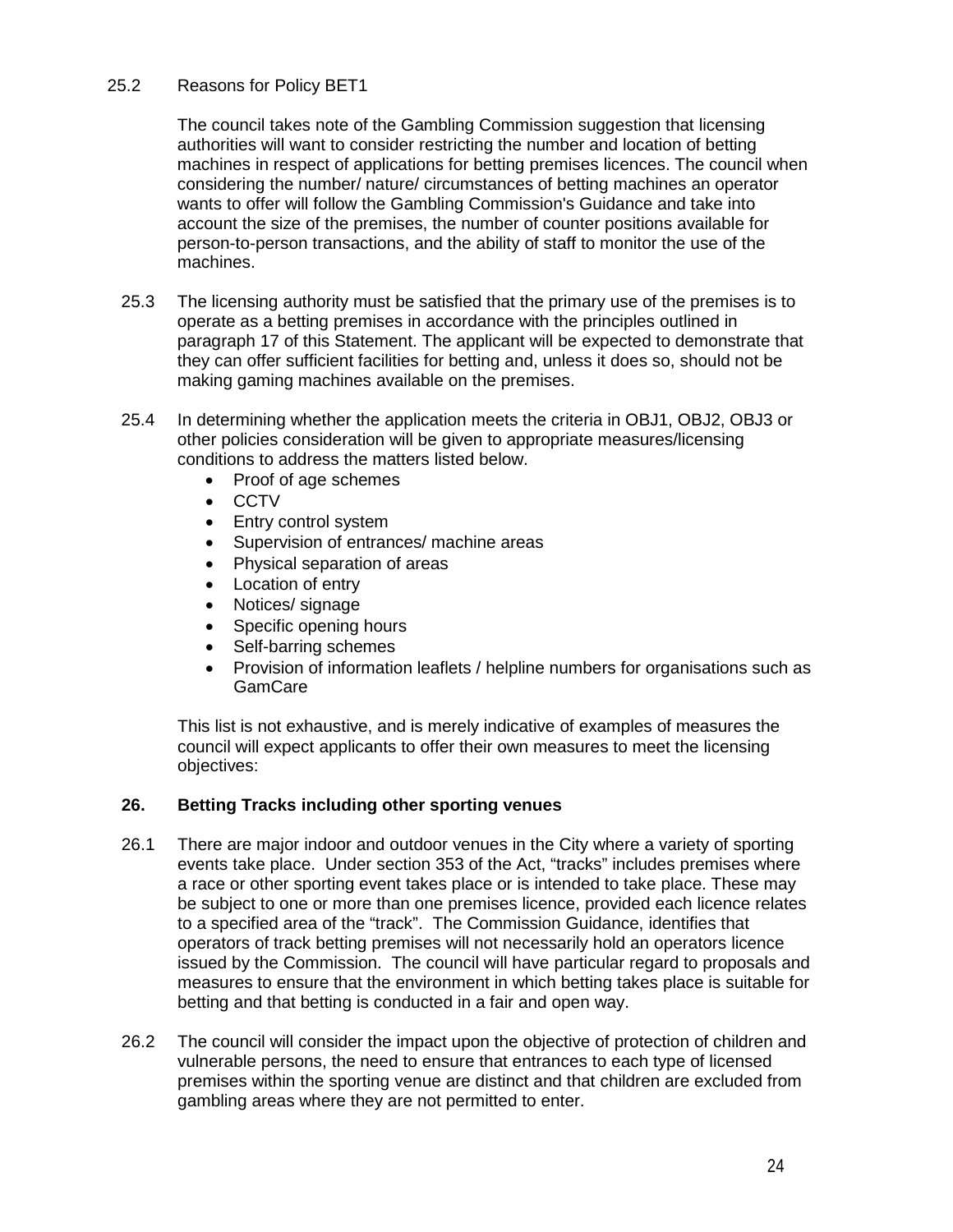#### 25.2 Reasons for Policy BET1

The council takes note of the Gambling Commission suggestion that licensing authorities will want to consider restricting the number and location of betting machines in respect of applications for betting premises licences. The council when considering the number/ nature/ circumstances of betting machines an operator wants to offer will follow the Gambling Commission's Guidance and take into account the size of the premises, the number of counter positions available for person-to-person transactions, and the ability of staff to monitor the use of the machines.

- 25.3 The licensing authority must be satisfied that the primary use of the premises is to operate as a betting premises in accordance with the principles outlined in paragraph 17 of this Statement. The applicant will be expected to demonstrate that they can offer sufficient facilities for betting and, unless it does so, should not be making gaming machines available on the premises.
- 25.4 In determining whether the application meets the criteria in OBJ1, OBJ2, OBJ3 or other policies consideration will be given to appropriate measures/licensing conditions to address the matters listed below.
	- Proof of age schemes
	- CCTV
	- Entry control system
	- Supervision of entrances/ machine areas
	- Physical separation of areas
	- Location of entry
	- Notices/ signage
	- Specific opening hours
	- Self-barring schemes
	- Provision of information leaflets / helpline numbers for organisations such as **GamCare**

This list is not exhaustive, and is merely indicative of examples of measures the council will expect applicants to offer their own measures to meet the licensing objectives:

#### **26. Betting Tracks including other sporting venues**

- 26.1 There are major indoor and outdoor venues in the City where a variety of sporting events take place. Under section 353 of the Act, "tracks" includes premises where a race or other sporting event takes place or is intended to take place. These may be subject to one or more than one premises licence, provided each licence relates to a specified area of the "track". The Commission Guidance, identifies that operators of track betting premises will not necessarily hold an operators licence issued by the Commission. The council will have particular regard to proposals and measures to ensure that the environment in which betting takes place is suitable for betting and that betting is conducted in a fair and open way.
- 26.2 The council will consider the impact upon the objective of protection of children and vulnerable persons, the need to ensure that entrances to each type of licensed premises within the sporting venue are distinct and that children are excluded from gambling areas where they are not permitted to enter.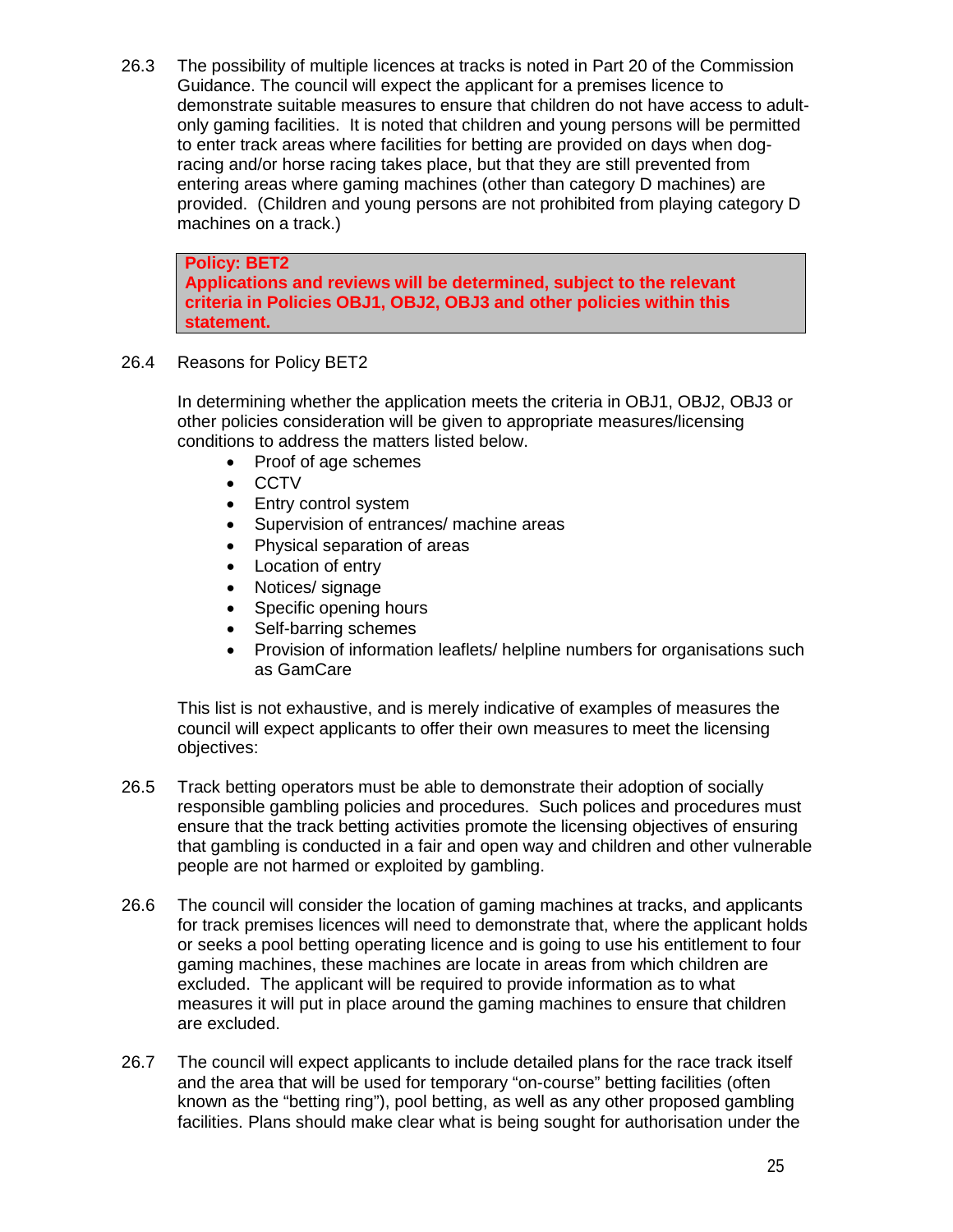26.3 The possibility of multiple licences at tracks is noted in Part 20 of the Commission Guidance. The council will expect the applicant for a premises licence to demonstrate suitable measures to ensure that children do not have access to adultonly gaming facilities. It is noted that children and young persons will be permitted to enter track areas where facilities for betting are provided on days when dogracing and/or horse racing takes place, but that they are still prevented from entering areas where gaming machines (other than category D machines) are provided. (Children and young persons are not prohibited from playing category D machines on a track.)

**Policy: BET2 Applications and reviews will be determined, subject to the relevant criteria in Policies OBJ1, OBJ2, OBJ3 and other policies within this statement.**

#### 26.4 Reasons for Policy BET2

In determining whether the application meets the criteria in OBJ1, OBJ2, OBJ3 or other policies consideration will be given to appropriate measures/licensing conditions to address the matters listed below.

- Proof of age schemes
- CCTV
- Entry control system
- Supervision of entrances/ machine areas
- Physical separation of areas
- Location of entry
- Notices/ signage
- Specific opening hours
- Self-barring schemes
- Provision of information leaflets/ helpline numbers for organisations such as GamCare

This list is not exhaustive, and is merely indicative of examples of measures the council will expect applicants to offer their own measures to meet the licensing objectives:

- 26.5 Track betting operators must be able to demonstrate their adoption of socially responsible gambling policies and procedures. Such polices and procedures must ensure that the track betting activities promote the licensing objectives of ensuring that gambling is conducted in a fair and open way and children and other vulnerable people are not harmed or exploited by gambling.
- 26.6 The council will consider the location of gaming machines at tracks, and applicants for track premises licences will need to demonstrate that, where the applicant holds or seeks a pool betting operating licence and is going to use his entitlement to four gaming machines, these machines are locate in areas from which children are excluded. The applicant will be required to provide information as to what measures it will put in place around the gaming machines to ensure that children are excluded.
- 26.7 The council will expect applicants to include detailed plans for the race track itself and the area that will be used for temporary "on-course" betting facilities (often known as the "betting ring"), pool betting, as well as any other proposed gambling facilities. Plans should make clear what is being sought for authorisation under the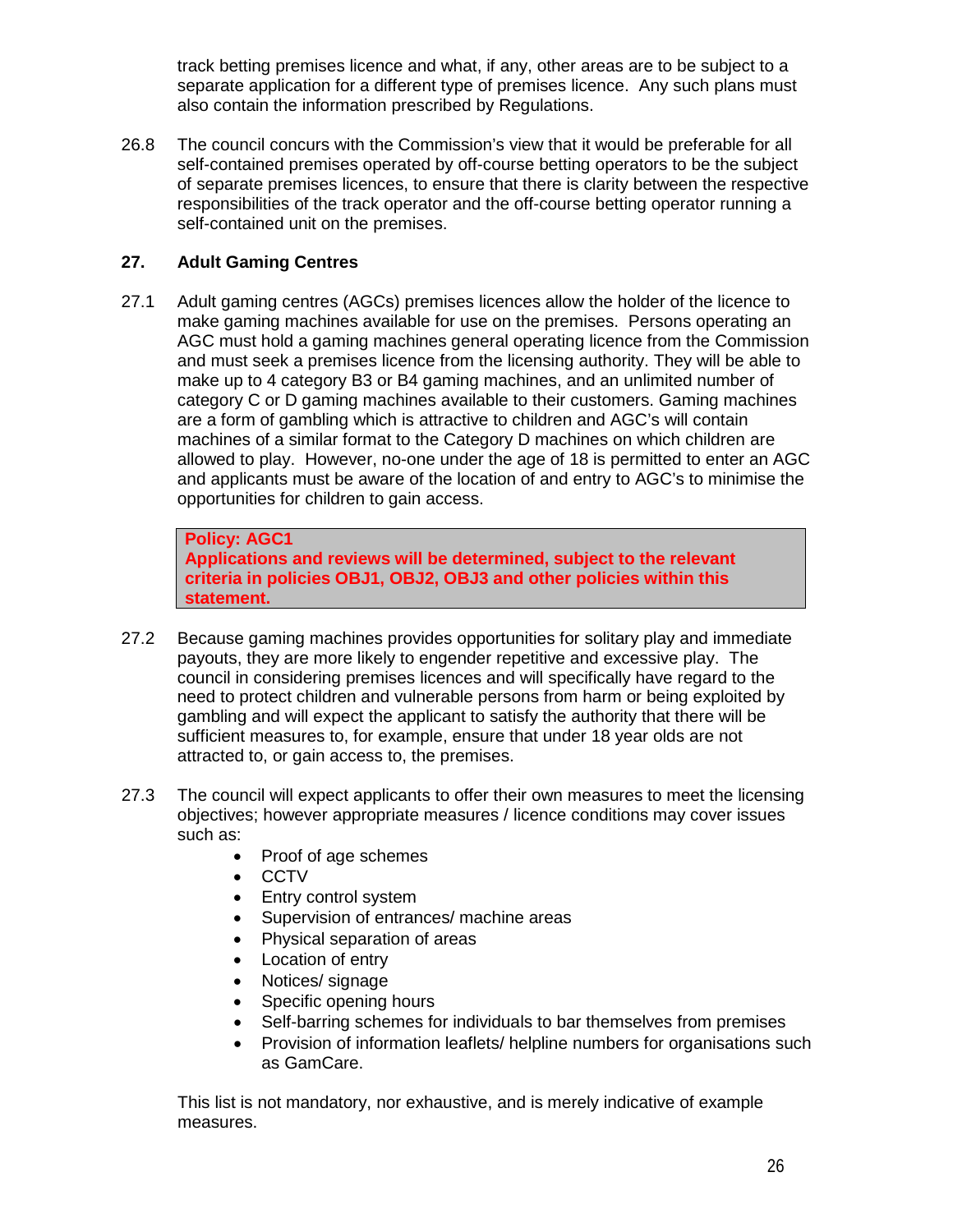track betting premises licence and what, if any, other areas are to be subject to a separate application for a different type of premises licence. Any such plans must also contain the information prescribed by Regulations.

26.8 The council concurs with the Commission's view that it would be preferable for all self-contained premises operated by off-course betting operators to be the subject of separate premises licences, to ensure that there is clarity between the respective responsibilities of the track operator and the off-course betting operator running a self-contained unit on the premises.

## **27. Adult Gaming Centres**

27.1 Adult gaming centres (AGCs) premises licences allow the holder of the licence to make gaming machines available for use on the premises. Persons operating an AGC must hold a gaming machines general operating licence from the Commission and must seek a premises licence from the licensing authority. They will be able to make up to 4 category B3 or B4 gaming machines, and an unlimited number of category C or D gaming machines available to their customers. Gaming machines are a form of gambling which is attractive to children and AGC's will contain machines of a similar format to the Category D machines on which children are allowed to play. However, no-one under the age of 18 is permitted to enter an AGC and applicants must be aware of the location of and entry to AGC's to minimise the opportunities for children to gain access.

**Policy: AGC1 Applications and reviews will be determined, subject to the relevant criteria in policies OBJ1, OBJ2, OBJ3 and other policies within this statement.**

- 27.2 Because gaming machines provides opportunities for solitary play and immediate payouts, they are more likely to engender repetitive and excessive play. The council in considering premises licences and will specifically have regard to the need to protect children and vulnerable persons from harm or being exploited by gambling and will expect the applicant to satisfy the authority that there will be sufficient measures to, for example, ensure that under 18 year olds are not attracted to, or gain access to, the premises.
- 27.3 The council will expect applicants to offer their own measures to meet the licensing objectives; however appropriate measures / licence conditions may cover issues such as:
	- Proof of age schemes
	- CCTV
	- Entry control system
	- Supervision of entrances/ machine areas
	- Physical separation of areas
	- Location of entry
	- Notices/ signage
	- Specific opening hours
	- Self-barring schemes for individuals to bar themselves from premises
	- Provision of information leaflets/ helpline numbers for organisations such as GamCare.

This list is not mandatory, nor exhaustive, and is merely indicative of example measures.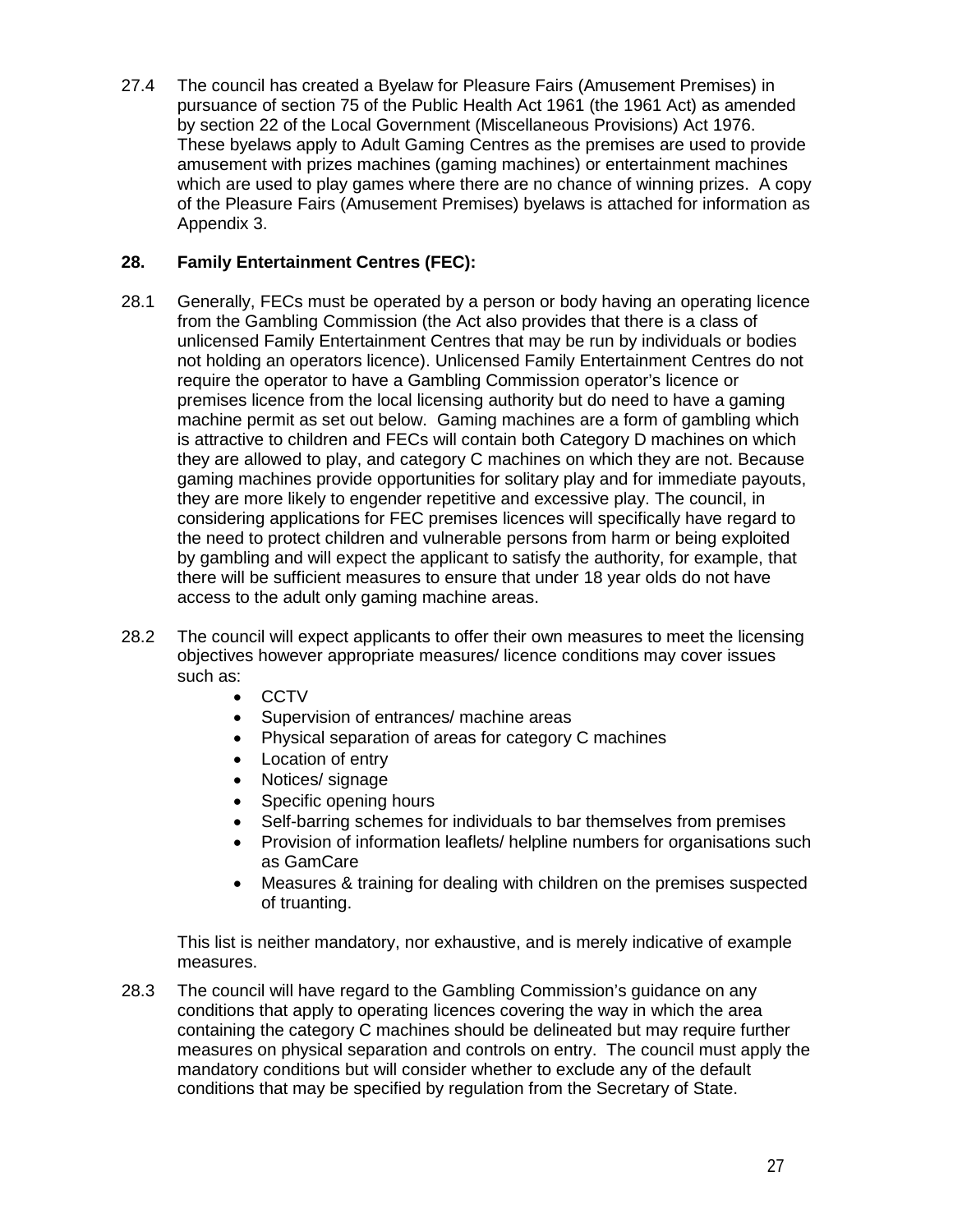27.4 The council has created a Byelaw for Pleasure Fairs (Amusement Premises) in pursuance of section 75 of the Public Health Act 1961 (the 1961 Act) as amended by section 22 of the Local Government (Miscellaneous Provisions) Act 1976. These byelaws apply to Adult Gaming Centres as the premises are used to provide amusement with prizes machines (gaming machines) or entertainment machines which are used to play games where there are no chance of winning prizes. A copy of the Pleasure Fairs (Amusement Premises) byelaws is attached for information as Appendix 3.

## **28. Family Entertainment Centres (FEC):**

- 28.1 Generally, FECs must be operated by a person or body having an operating licence from the Gambling Commission (the Act also provides that there is a class of unlicensed Family Entertainment Centres that may be run by individuals or bodies not holding an operators licence). Unlicensed Family Entertainment Centres do not require the operator to have a Gambling Commission operator's licence or premises licence from the local licensing authority but do need to have a gaming machine permit as set out below. Gaming machines are a form of gambling which is attractive to children and FECs will contain both Category D machines on which they are allowed to play, and category C machines on which they are not. Because gaming machines provide opportunities for solitary play and for immediate payouts, they are more likely to engender repetitive and excessive play. The council, in considering applications for FEC premises licences will specifically have regard to the need to protect children and vulnerable persons from harm or being exploited by gambling and will expect the applicant to satisfy the authority, for example, that there will be sufficient measures to ensure that under 18 year olds do not have access to the adult only gaming machine areas.
- 28.2 The council will expect applicants to offer their own measures to meet the licensing objectives however appropriate measures/ licence conditions may cover issues such as:
	- CCTV
	- Supervision of entrances/ machine areas
	- Physical separation of areas for category C machines
	- Location of entry
	- Notices/ signage
	- Specific opening hours
	- Self-barring schemes for individuals to bar themselves from premises
	- Provision of information leaflets/ helpline numbers for organisations such as GamCare
	- Measures & training for dealing with children on the premises suspected of truanting.

This list is neither mandatory, nor exhaustive, and is merely indicative of example measures.

28.3 The council will have regard to the Gambling Commission's guidance on any conditions that apply to operating licences covering the way in which the area containing the category C machines should be delineated but may require further measures on physical separation and controls on entry. The council must apply the mandatory conditions but will consider whether to exclude any of the default conditions that may be specified by regulation from the Secretary of State.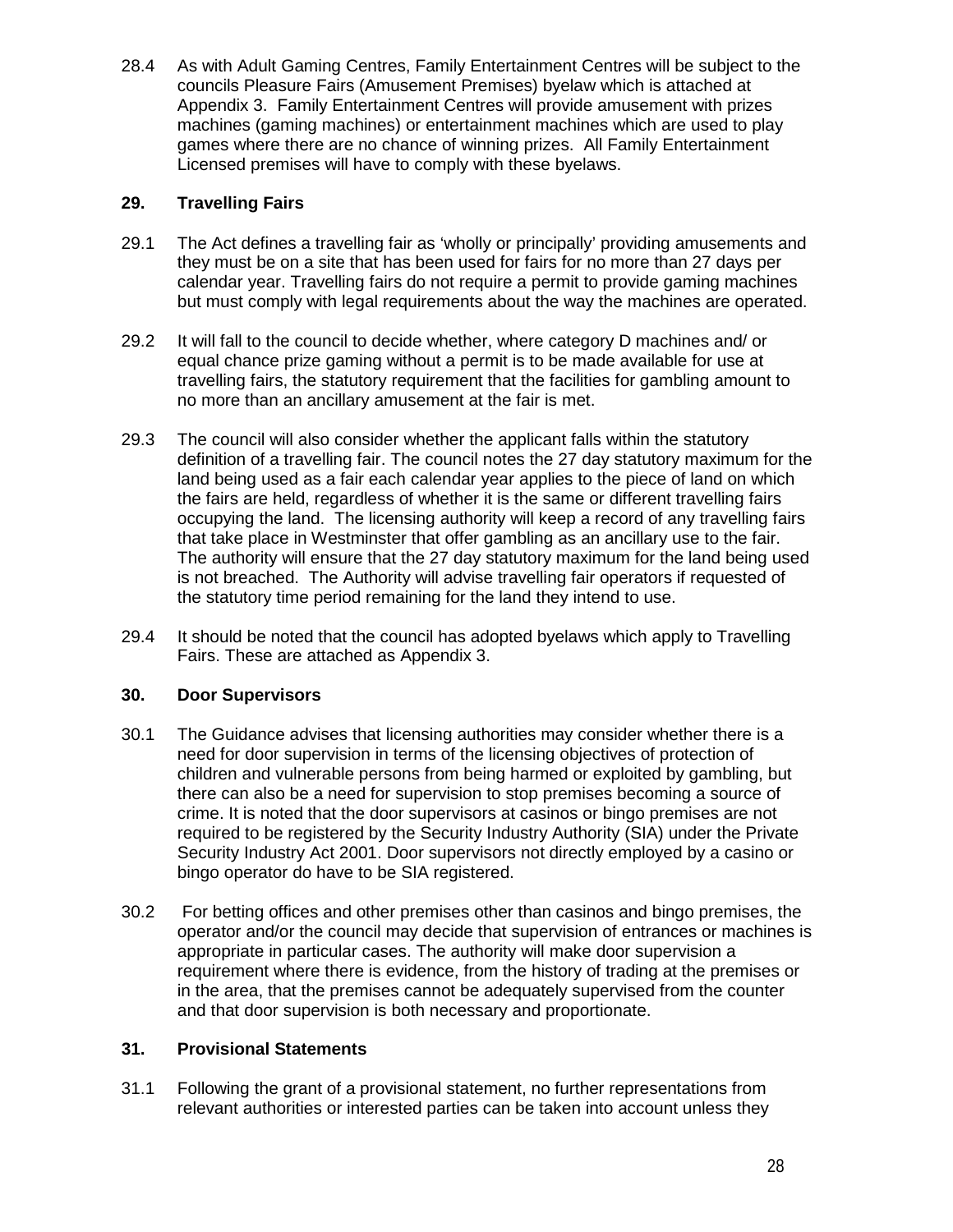28.4 As with Adult Gaming Centres, Family Entertainment Centres will be subject to the councils Pleasure Fairs (Amusement Premises) byelaw which is attached at Appendix 3. Family Entertainment Centres will provide amusement with prizes machines (gaming machines) or entertainment machines which are used to play games where there are no chance of winning prizes. All Family Entertainment Licensed premises will have to comply with these byelaws.

## **29. Travelling Fairs**

- 29.1 The Act defines a travelling fair as 'wholly or principally' providing amusements and they must be on a site that has been used for fairs for no more than 27 days per calendar year. Travelling fairs do not require a permit to provide gaming machines but must comply with legal requirements about the way the machines are operated.
- 29.2 It will fall to the council to decide whether, where category D machines and/ or equal chance prize gaming without a permit is to be made available for use at travelling fairs, the statutory requirement that the facilities for gambling amount to no more than an ancillary amusement at the fair is met.
- 29.3 The council will also consider whether the applicant falls within the statutory definition of a travelling fair. The council notes the 27 day statutory maximum for the land being used as a fair each calendar year applies to the piece of land on which the fairs are held, regardless of whether it is the same or different travelling fairs occupying the land. The licensing authority will keep a record of any travelling fairs that take place in Westminster that offer gambling as an ancillary use to the fair. The authority will ensure that the 27 day statutory maximum for the land being used is not breached. The Authority will advise travelling fair operators if requested of the statutory time period remaining for the land they intend to use.
- 29.4 It should be noted that the council has adopted byelaws which apply to Travelling Fairs. These are attached as Appendix 3.

#### **30. Door Supervisors**

- 30.1 The Guidance advises that licensing authorities may consider whether there is a need for door supervision in terms of the licensing objectives of protection of children and vulnerable persons from being harmed or exploited by gambling, but there can also be a need for supervision to stop premises becoming a source of crime. It is noted that the door supervisors at casinos or bingo premises are not required to be registered by the Security Industry Authority (SIA) under the Private Security Industry Act 2001. Door supervisors not directly employed by a casino or bingo operator do have to be SIA registered.
- 30.2 For betting offices and other premises other than casinos and bingo premises, the operator and/or the council may decide that supervision of entrances or machines is appropriate in particular cases. The authority will make door supervision a requirement where there is evidence, from the history of trading at the premises or in the area, that the premises cannot be adequately supervised from the counter and that door supervision is both necessary and proportionate.

#### **31. Provisional Statements**

31.1 Following the grant of a provisional statement, no further representations from relevant authorities or interested parties can be taken into account unless they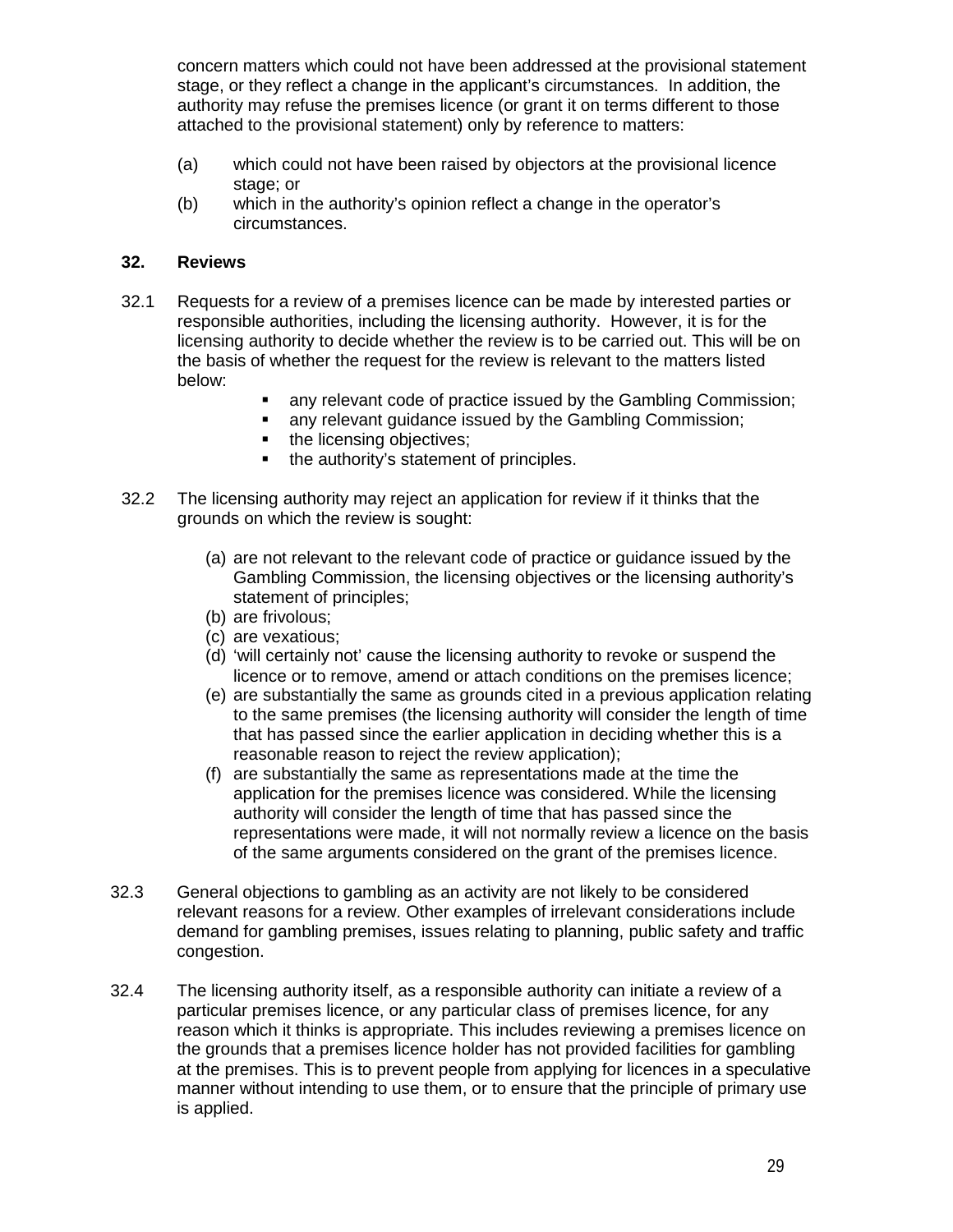concern matters which could not have been addressed at the provisional statement stage, or they reflect a change in the applicant's circumstances. In addition, the authority may refuse the premises licence (or grant it on terms different to those attached to the provisional statement) only by reference to matters:

- (a) which could not have been raised by objectors at the provisional licence stage; or
- (b) which in the authority's opinion reflect a change in the operator's circumstances.

#### **32. Reviews**

- 32.1 Requests for a review of a premises licence can be made by interested parties or responsible authorities, including the licensing authority. However, it is for the licensing authority to decide whether the review is to be carried out. This will be on the basis of whether the request for the review is relevant to the matters listed below:
	- any relevant code of practice issued by the Gambling Commission;
	- any relevant guidance issued by the Gambling Commission;
	- the licensing objectives;
	- the authority's statement of principles.
- 32.2 The licensing authority may reject an application for review if it thinks that the grounds on which the review is sought:
	- (a) are not relevant to the relevant code of practice or guidance issued by the Gambling Commission, the licensing objectives or the licensing authority's statement of principles;
	- (b) are frivolous;
	- (c) are vexatious;
	- (d) 'will certainly not' cause the licensing authority to revoke or suspend the licence or to remove, amend or attach conditions on the premises licence;
	- (e) are substantially the same as grounds cited in a previous application relating to the same premises (the licensing authority will consider the length of time that has passed since the earlier application in deciding whether this is a reasonable reason to reject the review application);
	- (f) are substantially the same as representations made at the time the application for the premises licence was considered. While the licensing authority will consider the length of time that has passed since the representations were made, it will not normally review a licence on the basis of the same arguments considered on the grant of the premises licence.
- 32.3 General objections to gambling as an activity are not likely to be considered relevant reasons for a review. Other examples of irrelevant considerations include demand for gambling premises, issues relating to planning, public safety and traffic congestion.
- 32.4 The licensing authority itself, as a responsible authority can initiate a review of a particular premises licence, or any particular class of premises licence, for any reason which it thinks is appropriate. This includes reviewing a premises licence on the grounds that a premises licence holder has not provided facilities for gambling at the premises. This is to prevent people from applying for licences in a speculative manner without intending to use them, or to ensure that the principle of primary use is applied.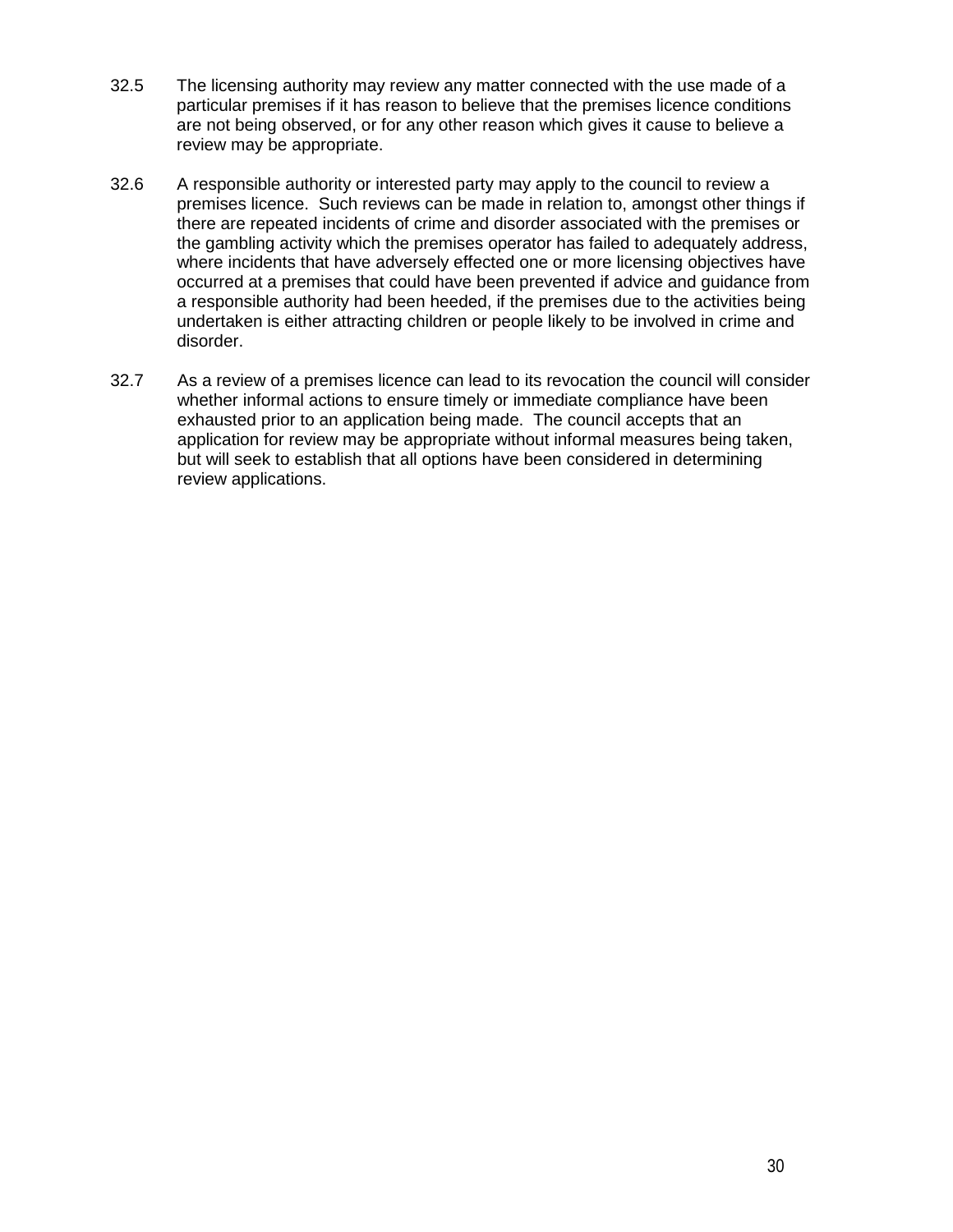- 32.5 The licensing authority may review any matter connected with the use made of a particular premises if it has reason to believe that the premises licence conditions are not being observed, or for any other reason which gives it cause to believe a review may be appropriate.
- 32.6 A responsible authority or interested party may apply to the council to review a premises licence. Such reviews can be made in relation to, amongst other things if there are repeated incidents of crime and disorder associated with the premises or the gambling activity which the premises operator has failed to adequately address, where incidents that have adversely effected one or more licensing objectives have occurred at a premises that could have been prevented if advice and guidance from a responsible authority had been heeded, if the premises due to the activities being undertaken is either attracting children or people likely to be involved in crime and disorder.
- 32.7 As a review of a premises licence can lead to its revocation the council will consider whether informal actions to ensure timely or immediate compliance have been exhausted prior to an application being made. The council accepts that an application for review may be appropriate without informal measures being taken, but will seek to establish that all options have been considered in determining review applications.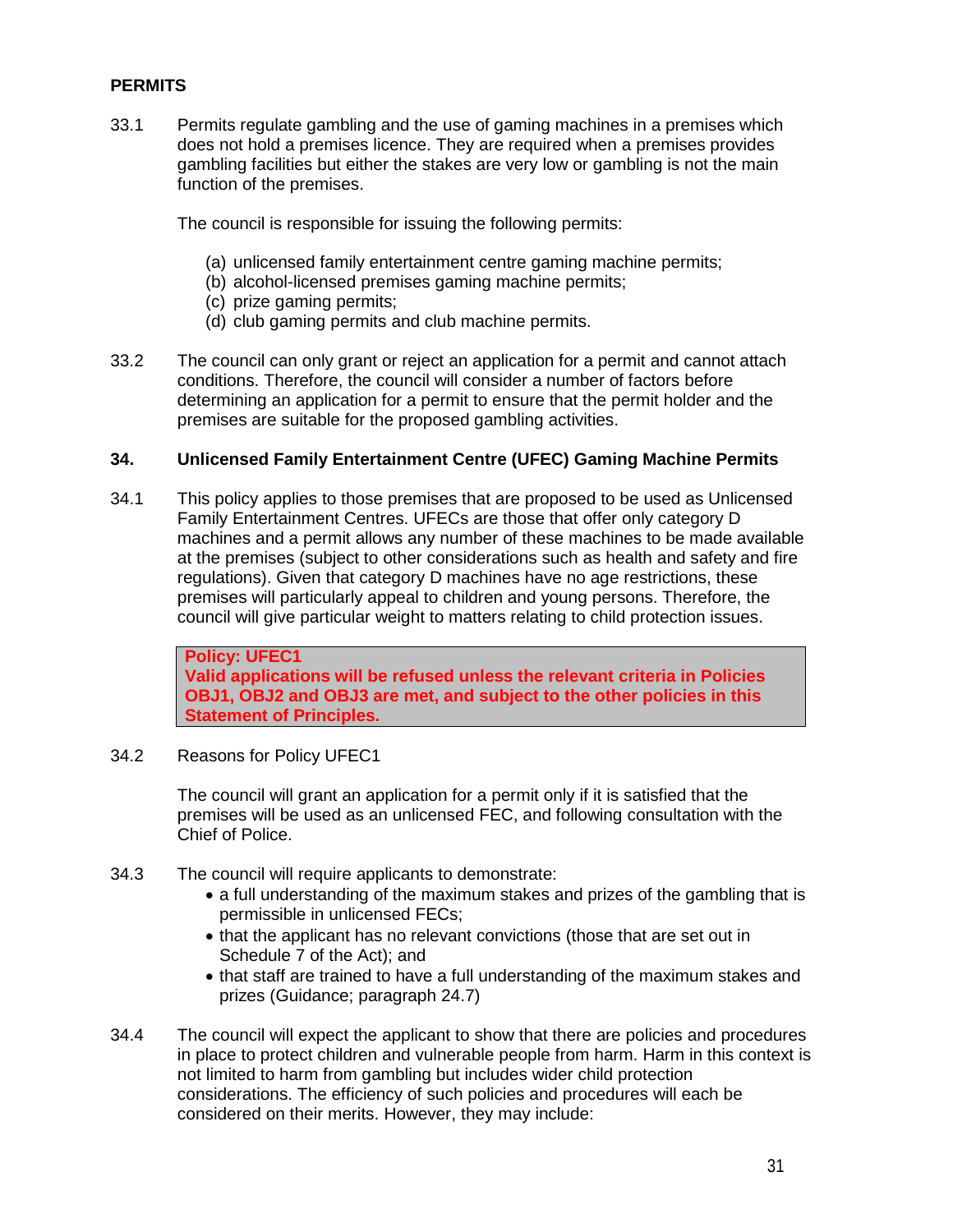## **PERMITS**

33.1 Permits regulate gambling and the use of gaming machines in a premises which does not hold a premises licence. They are required when a premises provides gambling facilities but either the stakes are very low or gambling is not the main function of the premises.

The council is responsible for issuing the following permits:

- (a) unlicensed family entertainment centre gaming machine permits;
- (b) alcohol-licensed premises gaming machine permits;
- (c) prize gaming permits;
- (d) club gaming permits and club machine permits.
- 33.2 The council can only grant or reject an application for a permit and cannot attach conditions. Therefore, the council will consider a number of factors before determining an application for a permit to ensure that the permit holder and the premises are suitable for the proposed gambling activities.

#### **34. Unlicensed Family Entertainment Centre (UFEC) Gaming Machine Permits**

34.1 This policy applies to those premises that are proposed to be used as Unlicensed Family Entertainment Centres. UFECs are those that offer only category D machines and a permit allows any number of these machines to be made available at the premises (subject to other considerations such as health and safety and fire regulations). Given that category D machines have no age restrictions, these premises will particularly appeal to children and young persons. Therefore, the council will give particular weight to matters relating to child protection issues.

> **Policy: UFEC1 Valid applications will be refused unless the relevant criteria in Policies OBJ1, OBJ2 and OBJ3 are met, and subject to the other policies in this Statement of Principles.**

34.2 Reasons for Policy UFEC1

The council will grant an application for a permit only if it is satisfied that the premises will be used as an unlicensed FEC, and following consultation with the Chief of Police.

- 34.3 The council will require applicants to demonstrate:
	- a full understanding of the maximum stakes and prizes of the gambling that is permissible in unlicensed FECs;
	- that the applicant has no relevant convictions (those that are set out in Schedule 7 of the Act); and
	- that staff are trained to have a full understanding of the maximum stakes and prizes (Guidance; paragraph 24.7)
- 34.4 The council will expect the applicant to show that there are policies and procedures in place to protect children and vulnerable people from harm. Harm in this context is not limited to harm from gambling but includes wider child protection considerations. The efficiency of such policies and procedures will each be considered on their merits. However, they may include: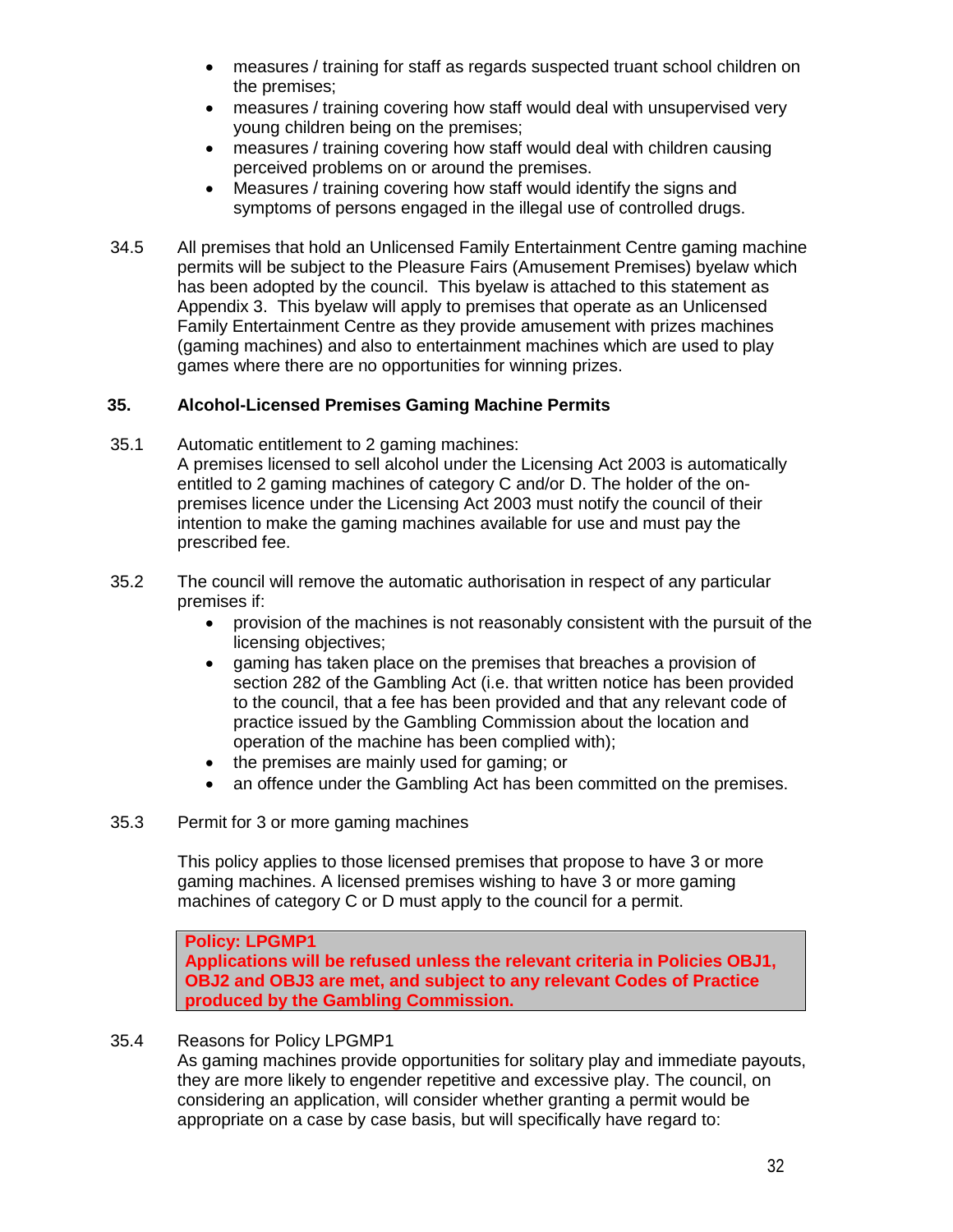- measures / training for staff as regards suspected truant school children on the premises;
- measures / training covering how staff would deal with unsupervised very young children being on the premises;
- measures / training covering how staff would deal with children causing perceived problems on or around the premises.
- Measures / training covering how staff would identify the signs and symptoms of persons engaged in the illegal use of controlled drugs.
- 34.5 All premises that hold an Unlicensed Family Entertainment Centre gaming machine permits will be subject to the Pleasure Fairs (Amusement Premises) byelaw which has been adopted by the council. This byelaw is attached to this statement as Appendix 3. This byelaw will apply to premises that operate as an Unlicensed Family Entertainment Centre as they provide amusement with prizes machines (gaming machines) and also to entertainment machines which are used to play games where there are no opportunities for winning prizes.

#### **35. Alcohol-Licensed Premises Gaming Machine Permits**

- 35.1 Automatic entitlement to 2 gaming machines: A premises licensed to sell alcohol under the Licensing Act 2003 is automatically entitled to 2 gaming machines of category C and/or D. The holder of the onpremises licence under the Licensing Act 2003 must notify the council of their intention to make the gaming machines available for use and must pay the prescribed fee.
- 35.2 The council will remove the automatic authorisation in respect of any particular premises if:
	- provision of the machines is not reasonably consistent with the pursuit of the licensing objectives;
	- gaming has taken place on the premises that breaches a provision of section 282 of the Gambling Act (i.e. that written notice has been provided to the council, that a fee has been provided and that any relevant code of practice issued by the Gambling Commission about the location and operation of the machine has been complied with);
	- the premises are mainly used for gaming; or
	- an offence under the Gambling Act has been committed on the premises.

#### 35.3 Permit for 3 or more gaming machines

This policy applies to those licensed premises that propose to have 3 or more gaming machines. A licensed premises wishing to have 3 or more gaming machines of category C or D must apply to the council for a permit.

**Policy: LPGMP1**

**Applications will be refused unless the relevant criteria in Policies OBJ1, OBJ2 and OBJ3 are met, and subject to any relevant Codes of Practice produced by the Gambling Commission.**

#### 35.4 Reasons for Policy LPGMP1

As gaming machines provide opportunities for solitary play and immediate payouts, they are more likely to engender repetitive and excessive play. The council, on considering an application, will consider whether granting a permit would be appropriate on a case by case basis, but will specifically have regard to: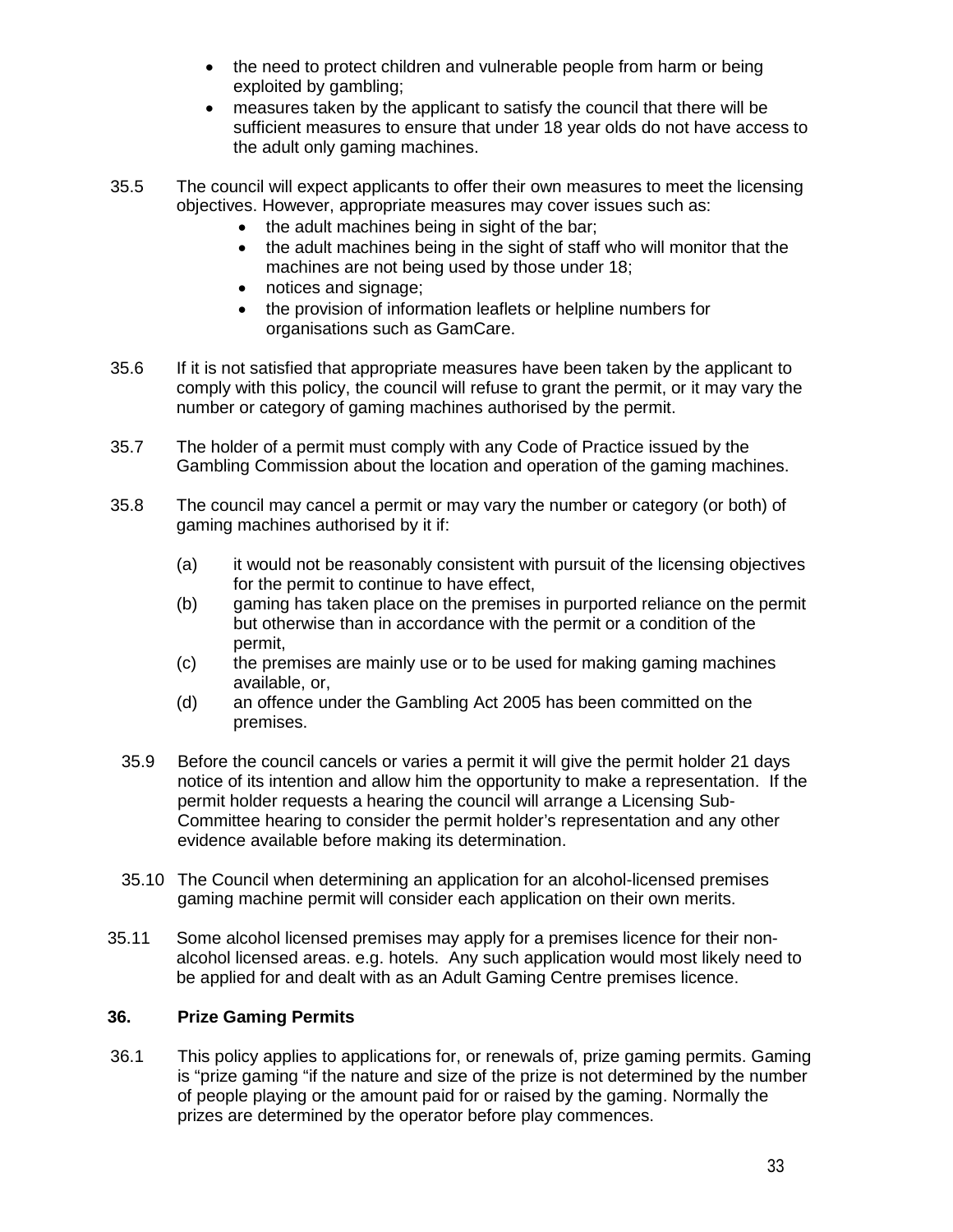- the need to protect children and vulnerable people from harm or being exploited by gambling;
- measures taken by the applicant to satisfy the council that there will be sufficient measures to ensure that under 18 year olds do not have access to the adult only gaming machines.
- 35.5 The council will expect applicants to offer their own measures to meet the licensing objectives. However, appropriate measures may cover issues such as:
	- the adult machines being in sight of the bar;
	- the adult machines being in the sight of staff who will monitor that the machines are not being used by those under 18;
	- notices and signage;
	- the provision of information leaflets or helpline numbers for organisations such as GamCare.
- 35.6 If it is not satisfied that appropriate measures have been taken by the applicant to comply with this policy, the council will refuse to grant the permit, or it may vary the number or category of gaming machines authorised by the permit.
- 35.7 The holder of a permit must comply with any Code of Practice issued by the Gambling Commission about the location and operation of the gaming machines.
- 35.8 The council may cancel a permit or may vary the number or category (or both) of gaming machines authorised by it if:
	- (a) it would not be reasonably consistent with pursuit of the licensing objectives for the permit to continue to have effect,
	- (b) gaming has taken place on the premises in purported reliance on the permit but otherwise than in accordance with the permit or a condition of the permit,
	- (c) the premises are mainly use or to be used for making gaming machines available, or,
	- (d) an offence under the Gambling Act 2005 has been committed on the premises.
	- 35.9 Before the council cancels or varies a permit it will give the permit holder 21 days notice of its intention and allow him the opportunity to make a representation. If the permit holder requests a hearing the council will arrange a Licensing Sub-Committee hearing to consider the permit holder's representation and any other evidence available before making its determination.
	- 35.10 The Council when determining an application for an alcohol-licensed premises gaming machine permit will consider each application on their own merits.
- 35.11 Some alcohol licensed premises may apply for a premises licence for their nonalcohol licensed areas. e.g. hotels. Any such application would most likely need to be applied for and dealt with as an Adult Gaming Centre premises licence.

#### **36. Prize Gaming Permits**

36.1 This policy applies to applications for, or renewals of, prize gaming permits. Gaming is "prize gaming "if the nature and size of the prize is not determined by the number of people playing or the amount paid for or raised by the gaming. Normally the prizes are determined by the operator before play commences.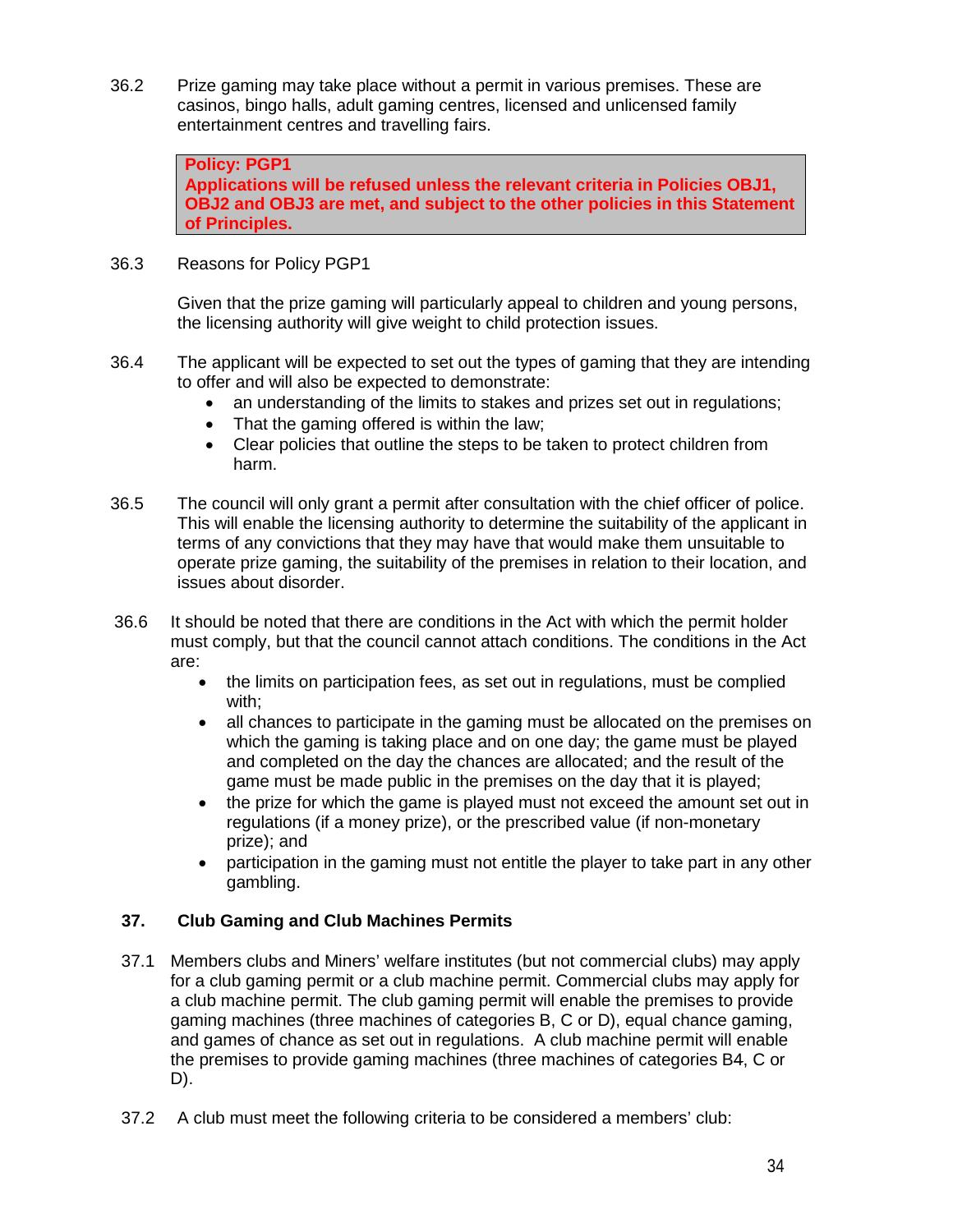36.2 Prize gaming may take place without a permit in various premises. These are casinos, bingo halls, adult gaming centres, licensed and unlicensed family entertainment centres and travelling fairs.

> **Policy: PGP1 Applications will be refused unless the relevant criteria in Policies OBJ1, OBJ2 and OBJ3 are met, and subject to the other policies in this Statement of Principles.**

#### 36.3 Reasons for Policy PGP1

Given that the prize gaming will particularly appeal to children and young persons, the licensing authority will give weight to child protection issues.

- 36.4 The applicant will be expected to set out the types of gaming that they are intending to offer and will also be expected to demonstrate:
	- an understanding of the limits to stakes and prizes set out in regulations;
	- That the gaming offered is within the law;
	- Clear policies that outline the steps to be taken to protect children from harm.
- 36.5 The council will only grant a permit after consultation with the chief officer of police. This will enable the licensing authority to determine the suitability of the applicant in terms of any convictions that they may have that would make them unsuitable to operate prize gaming, the suitability of the premises in relation to their location, and issues about disorder.
- 36.6 It should be noted that there are conditions in the Act with which the permit holder must comply, but that the council cannot attach conditions. The conditions in the Act are:
	- the limits on participation fees, as set out in regulations, must be complied with;
	- all chances to participate in the gaming must be allocated on the premises on which the gaming is taking place and on one day; the game must be played and completed on the day the chances are allocated; and the result of the game must be made public in the premises on the day that it is played;
	- the prize for which the game is played must not exceed the amount set out in regulations (if a money prize), or the prescribed value (if non-monetary prize); and
	- participation in the gaming must not entitle the player to take part in any other gambling.

#### **37. Club Gaming and Club Machines Permits**

- 37.1 Members clubs and Miners' welfare institutes (but not commercial clubs) may apply for a club gaming permit or a club machine permit. Commercial clubs may apply for a club machine permit. The club gaming permit will enable the premises to provide gaming machines (three machines of categories B, C or D), equal chance gaming, and games of chance as set out in regulations. A club machine permit will enable the premises to provide gaming machines (three machines of categories B4, C or D).
- 37.2 A club must meet the following criteria to be considered a members' club: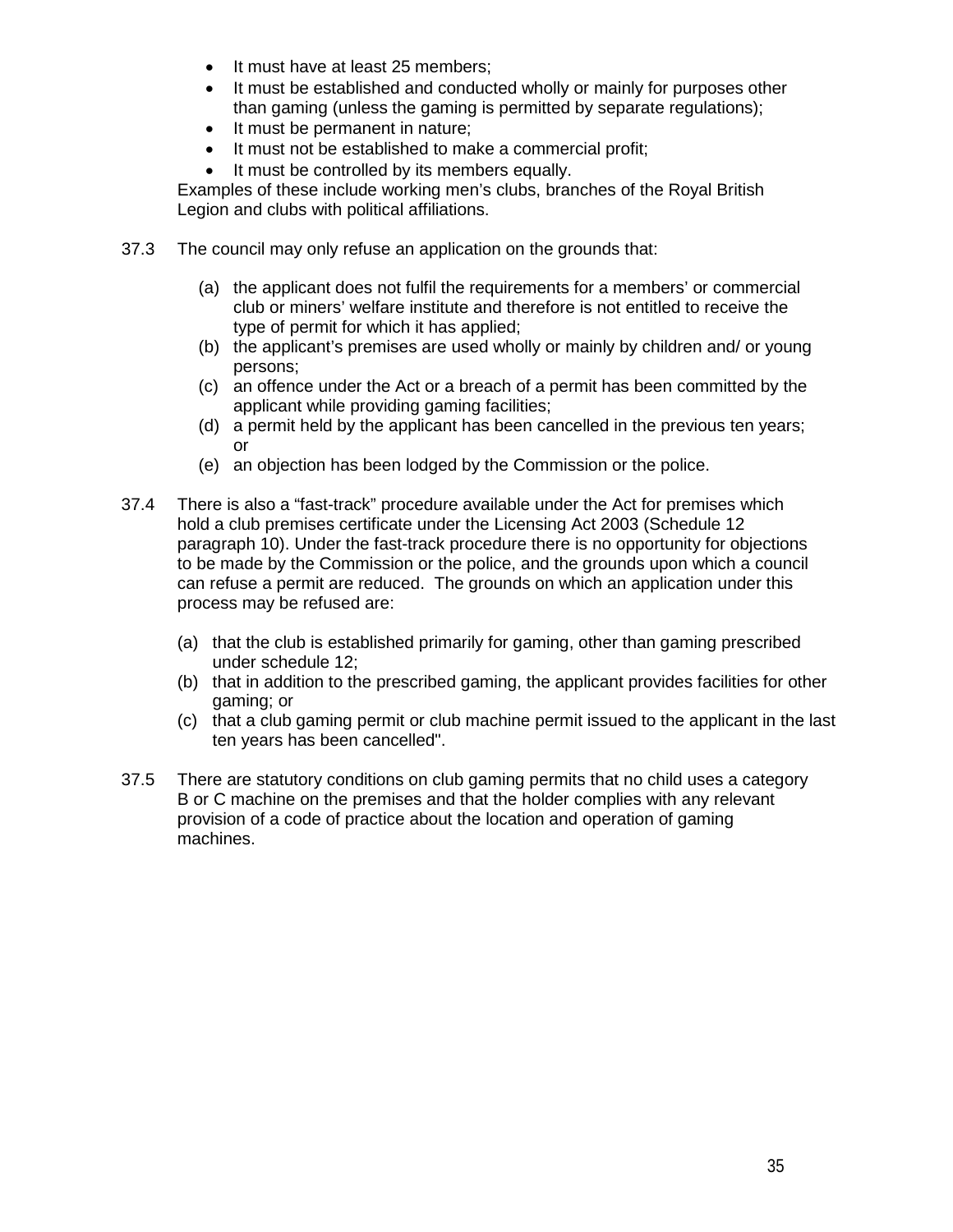- It must have at least 25 members;
- It must be established and conducted wholly or mainly for purposes other than gaming (unless the gaming is permitted by separate regulations);
- It must be permanent in nature;
- It must not be established to make a commercial profit;
- It must be controlled by its members equally.

Examples of these include working men's clubs, branches of the Royal British Legion and clubs with political affiliations.

- 37.3 The council may only refuse an application on the grounds that:
	- (a) the applicant does not fulfil the requirements for a members' or commercial club or miners' welfare institute and therefore is not entitled to receive the type of permit for which it has applied;
	- (b) the applicant's premises are used wholly or mainly by children and/ or young persons;
	- (c) an offence under the Act or a breach of a permit has been committed by the applicant while providing gaming facilities;
	- (d) a permit held by the applicant has been cancelled in the previous ten years; or
	- (e) an objection has been lodged by the Commission or the police.
- 37.4 There is also a "fast-track" procedure available under the Act for premises which hold a club premises certificate under the Licensing Act 2003 (Schedule 12 paragraph 10). Under the fast-track procedure there is no opportunity for objections to be made by the Commission or the police, and the grounds upon which a council can refuse a permit are reduced. The grounds on which an application under this process may be refused are:
	- (a) that the club is established primarily for gaming, other than gaming prescribed under schedule 12;
	- (b) that in addition to the prescribed gaming, the applicant provides facilities for other gaming; or
	- (c) that a club gaming permit or club machine permit issued to the applicant in the last ten years has been cancelled".
- 37.5 There are statutory conditions on club gaming permits that no child uses a category B or C machine on the premises and that the holder complies with any relevant provision of a code of practice about the location and operation of gaming machines.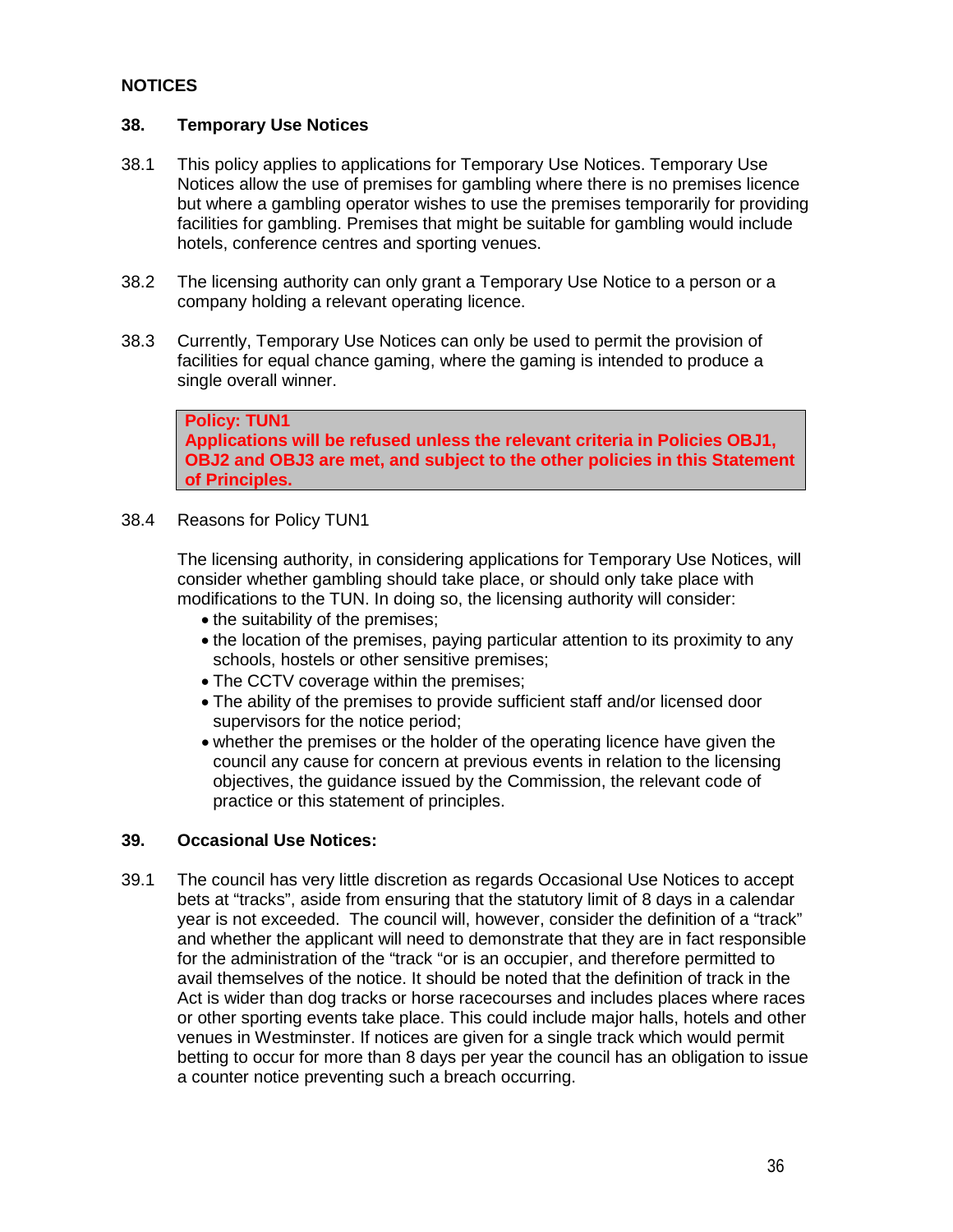## **NOTICES**

#### **38. Temporary Use Notices**

- 38.1 This policy applies to applications for Temporary Use Notices. Temporary Use Notices allow the use of premises for gambling where there is no premises licence but where a gambling operator wishes to use the premises temporarily for providing facilities for gambling. Premises that might be suitable for gambling would include hotels, conference centres and sporting venues.
- 38.2 The licensing authority can only grant a Temporary Use Notice to a person or a company holding a relevant operating licence.
- 38.3 Currently, Temporary Use Notices can only be used to permit the provision of facilities for equal chance gaming, where the gaming is intended to produce a single overall winner.

**Policy: TUN1 Applications will be refused unless the relevant criteria in Policies OBJ1, OBJ2 and OBJ3 are met, and subject to the other policies in this Statement of Principles.**

38.4 Reasons for Policy TUN1

The licensing authority, in considering applications for Temporary Use Notices, will consider whether gambling should take place, or should only take place with modifications to the TUN. In doing so, the licensing authority will consider:

- the suitability of the premises;
- the location of the premises, paying particular attention to its proximity to any schools, hostels or other sensitive premises;
- The CCTV coverage within the premises;
- The ability of the premises to provide sufficient staff and/or licensed door supervisors for the notice period;
- whether the premises or the holder of the operating licence have given the council any cause for concern at previous events in relation to the licensing objectives, the guidance issued by the Commission, the relevant code of practice or this statement of principles.

#### **39. Occasional Use Notices:**

39.1 The council has very little discretion as regards Occasional Use Notices to accept bets at "tracks", aside from ensuring that the statutory limit of 8 days in a calendar year is not exceeded. The council will, however, consider the definition of a "track" and whether the applicant will need to demonstrate that they are in fact responsible for the administration of the "track "or is an occupier, and therefore permitted to avail themselves of the notice. It should be noted that the definition of track in the Act is wider than dog tracks or horse racecourses and includes places where races or other sporting events take place. This could include major halls, hotels and other venues in Westminster. If notices are given for a single track which would permit betting to occur for more than 8 days per year the council has an obligation to issue a counter notice preventing such a breach occurring.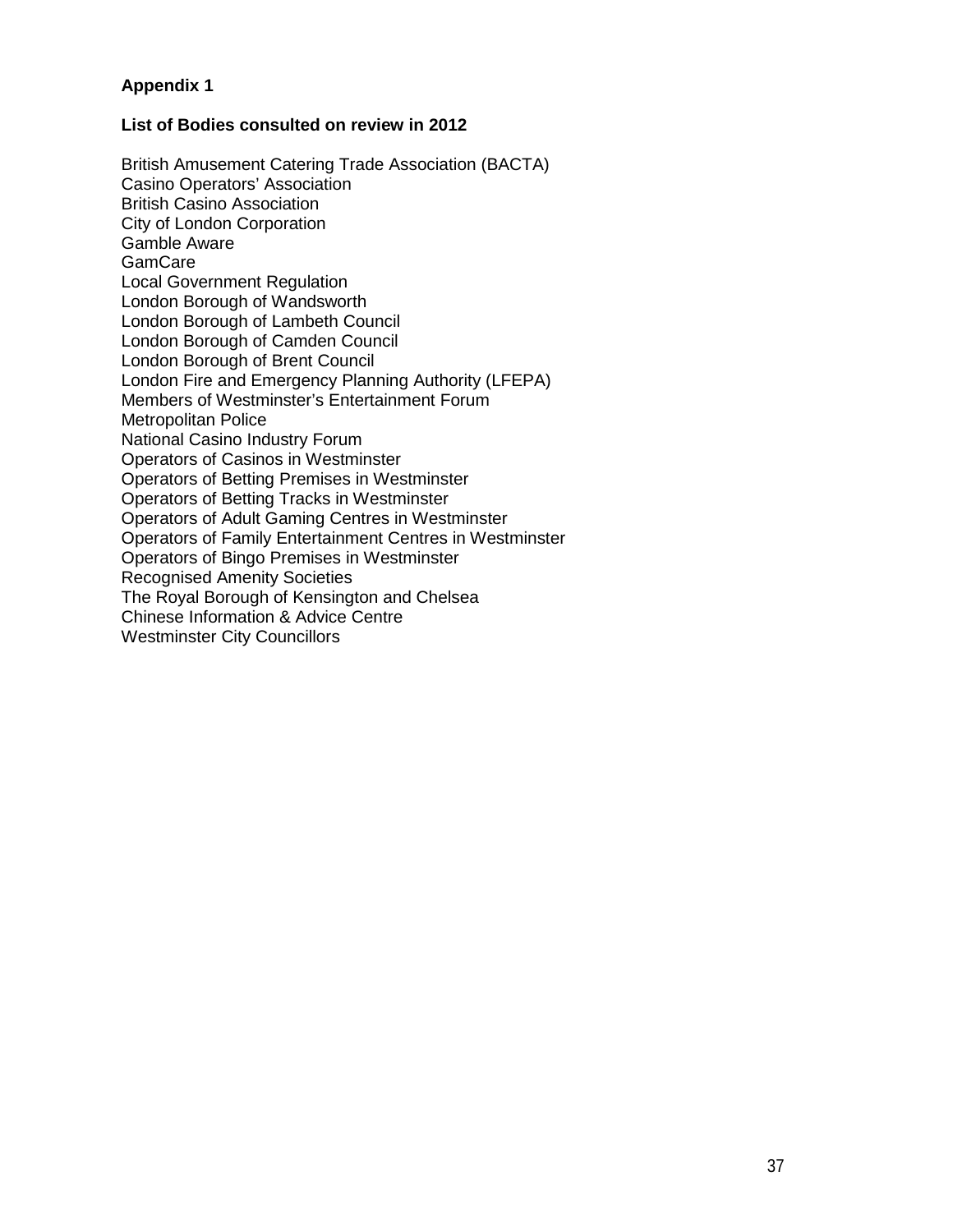## **Appendix 1**

#### **List of Bodies consulted on review in 2012**

British Amusement Catering Trade Association (BACTA) Casino Operators' Association British Casino Association City of London Corporation Gamble Aware **GamCare** Local Government Regulation London Borough of Wandsworth London Borough of Lambeth Council London Borough of Camden Council London Borough of Brent Council London Fire and Emergency Planning Authority (LFEPA) Members of Westminster's Entertainment Forum Metropolitan Police National Casino Industry Forum Operators of Casinos in Westminster Operators of Betting Premises in Westminster Operators of Betting Tracks in Westminster Operators of Adult Gaming Centres in Westminster Operators of Family Entertainment Centres in Westminster Operators of Bingo Premises in Westminster Recognised Amenity Societies The Royal Borough of Kensington and Chelsea Chinese Information & Advice Centre Westminster City Councillors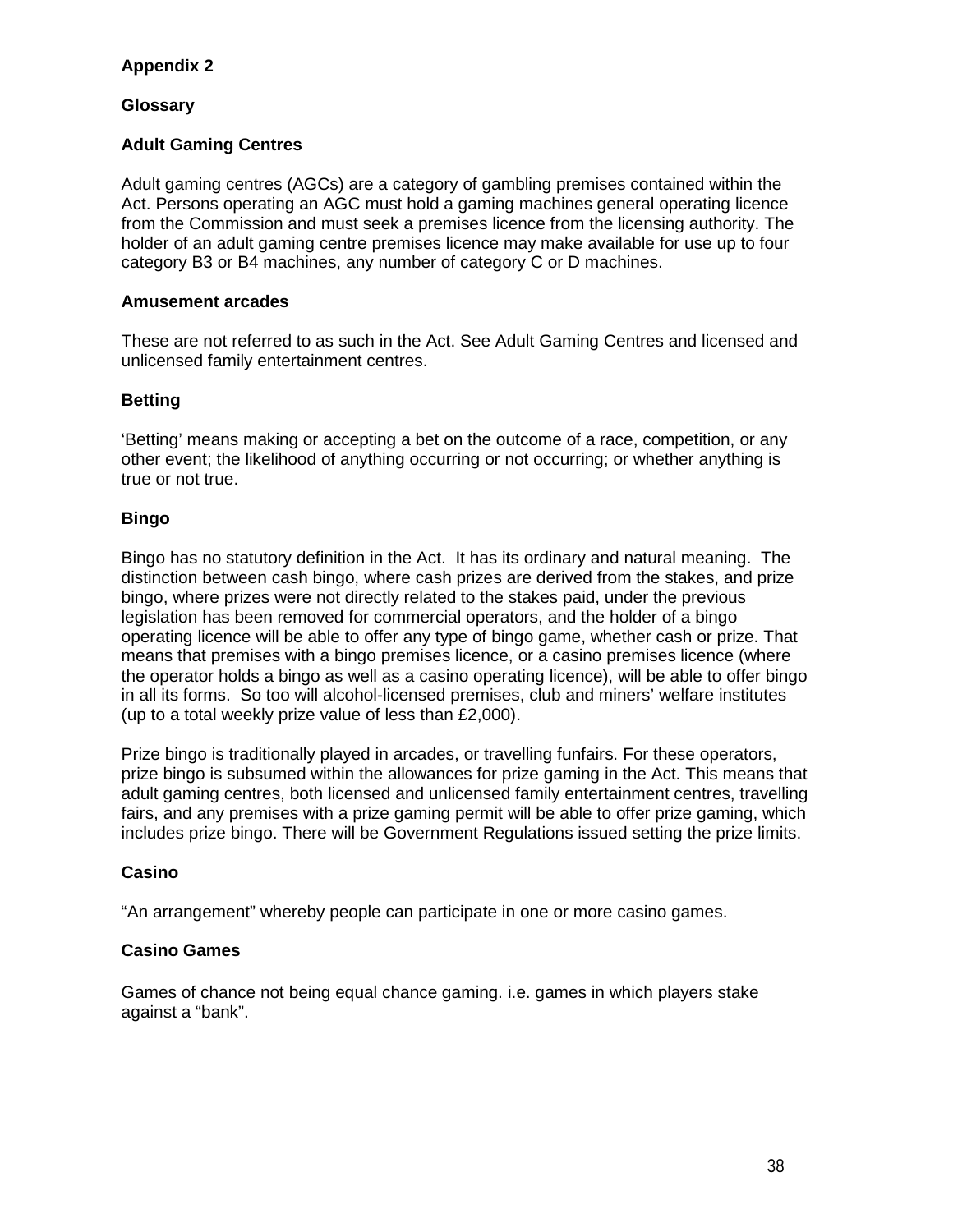## **Appendix 2**

#### **Glossary**

#### **Adult Gaming Centres**

Adult gaming centres (AGCs) are a category of gambling premises contained within the Act. Persons operating an AGC must hold a gaming machines general operating licence from the Commission and must seek a premises licence from the licensing authority. The holder of an adult gaming centre premises licence may make available for use up to four category B3 or B4 machines, any number of category C or D machines.

#### **Amusement arcades**

These are not referred to as such in the Act. See Adult Gaming Centres and licensed and unlicensed family entertainment centres.

#### **Betting**

'Betting' means making or accepting a bet on the outcome of a race, competition, or any other event; the likelihood of anything occurring or not occurring; or whether anything is true or not true.

#### **Bingo**

Bingo has no statutory definition in the Act. It has its ordinary and natural meaning. The distinction between cash bingo, where cash prizes are derived from the stakes, and prize bingo, where prizes were not directly related to the stakes paid, under the previous legislation has been removed for commercial operators, and the holder of a bingo operating licence will be able to offer any type of bingo game, whether cash or prize. That means that premises with a bingo premises licence, or a casino premises licence (where the operator holds a bingo as well as a casino operating licence), will be able to offer bingo in all its forms. So too will alcohol-licensed premises, club and miners' welfare institutes (up to a total weekly prize value of less than £2,000).

Prize bingo is traditionally played in arcades, or travelling funfairs. For these operators, prize bingo is subsumed within the allowances for prize gaming in the Act. This means that adult gaming centres, both licensed and unlicensed family entertainment centres, travelling fairs, and any premises with a prize gaming permit will be able to offer prize gaming, which includes prize bingo. There will be Government Regulations issued setting the prize limits.

#### **Casino**

"An arrangement" whereby people can participate in one or more casino games.

#### **Casino Games**

Games of chance not being equal chance gaming. i.e. games in which players stake against a "bank".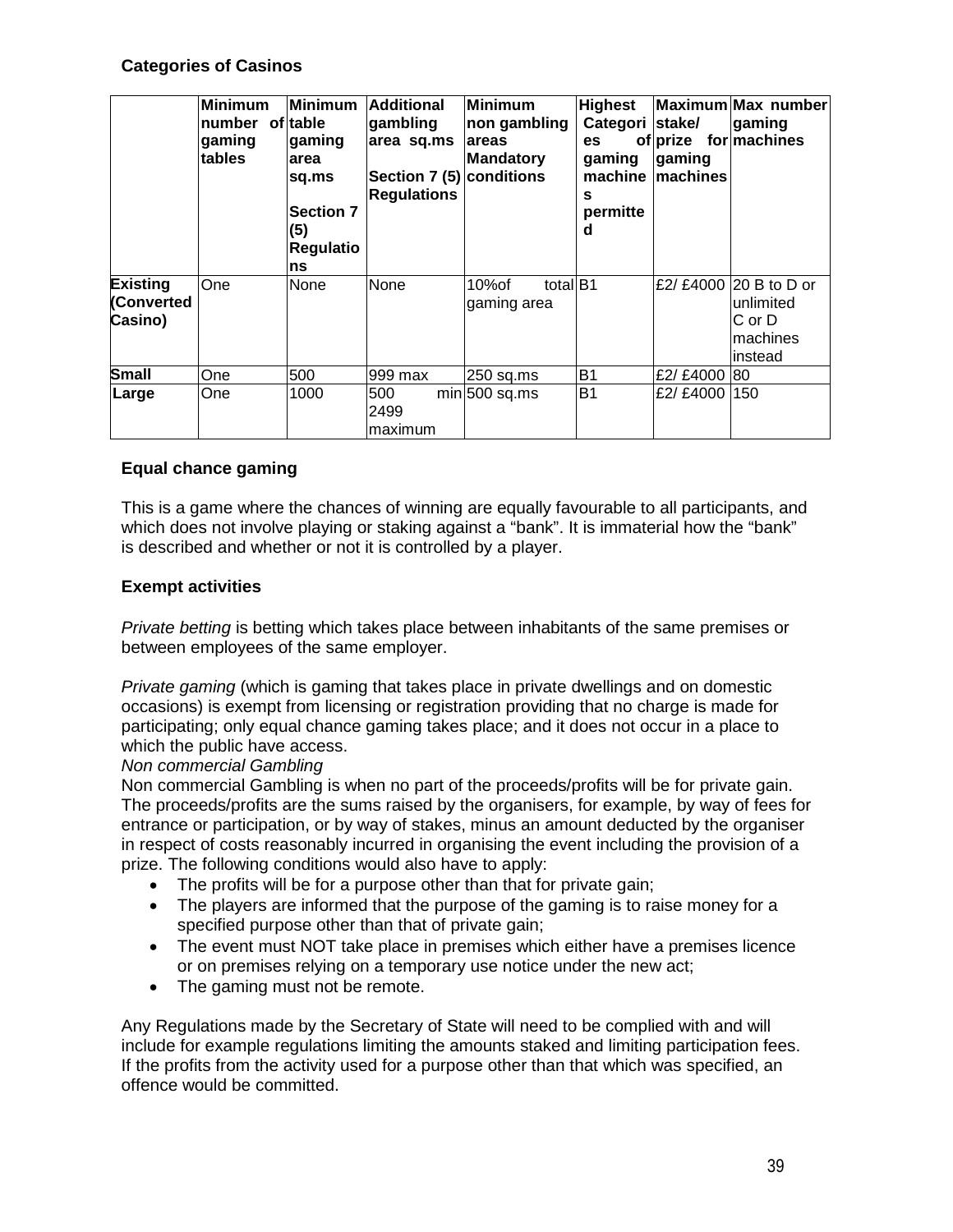#### **Categories of Casinos**

|                                                | <b>Minimum</b><br>number<br>gaming<br>tables | <b>Minimum</b><br>of table<br>gaming<br>area<br>sq.ms<br><b>Section 7</b><br>(5)<br><b>Regulatio</b><br>ns | <b>Additional</b><br>gambling<br>area sq.ms<br>Section 7 (5) conditions<br><b>Regulations</b> | Minimum<br>non gambling<br>lareas<br>Mandatory | <b>Highest</b><br>Categori stake/<br><b>es</b><br>gaming<br>s<br>permitte<br>d | of prize for machines<br>gaming<br>machine machines | Maximum Max number<br>lgaming                                        |
|------------------------------------------------|----------------------------------------------|------------------------------------------------------------------------------------------------------------|-----------------------------------------------------------------------------------------------|------------------------------------------------|--------------------------------------------------------------------------------|-----------------------------------------------------|----------------------------------------------------------------------|
| <b>Existing</b><br><b>Converted</b><br>Casino) | One                                          | None                                                                                                       | None                                                                                          | total B1<br>10% of<br>gaming area              |                                                                                |                                                     | £2/ £4000 20 B to D or<br>unlimited<br>C or D<br>machines<br>instead |
| <b>Small</b>                                   | One                                          | 500                                                                                                        | 999 max                                                                                       | 250 sq.ms                                      | <b>B1</b>                                                                      | £2/£4000                                            | 180                                                                  |
| Large                                          | One                                          | 1000                                                                                                       | 500<br>2499<br>maximum                                                                        | $min$ 500 sq.ms                                | <b>B1</b>                                                                      | £2/£4000                                            | 150                                                                  |

#### **Equal chance gaming**

This is a game where the chances of winning are equally favourable to all participants, and which does not involve playing or staking against a "bank". It is immaterial how the "bank" is described and whether or not it is controlled by a player.

## **Exempt activities**

*Private betting* is betting which takes place between inhabitants of the same premises or between employees of the same employer.

*Private gaming* (which is gaming that takes place in private dwellings and on domestic occasions) is exempt from licensing or registration providing that no charge is made for participating; only equal chance gaming takes place; and it does not occur in a place to which the public have access.

*Non commercial Gambling* 

Non commercial Gambling is when no part of the proceeds/profits will be for private gain. The proceeds/profits are the sums raised by the organisers, for example, by way of fees for entrance or participation, or by way of stakes, minus an amount deducted by the organiser in respect of costs reasonably incurred in organising the event including the provision of a prize. The following conditions would also have to apply:

- The profits will be for a purpose other than that for private gain;
- The players are informed that the purpose of the gaming is to raise money for a specified purpose other than that of private gain;
- The event must NOT take place in premises which either have a premises licence or on premises relying on a temporary use notice under the new act;
- The gaming must not be remote.

Any Regulations made by the Secretary of State will need to be complied with and will include for example regulations limiting the amounts staked and limiting participation fees. If the profits from the activity used for a purpose other than that which was specified, an offence would be committed.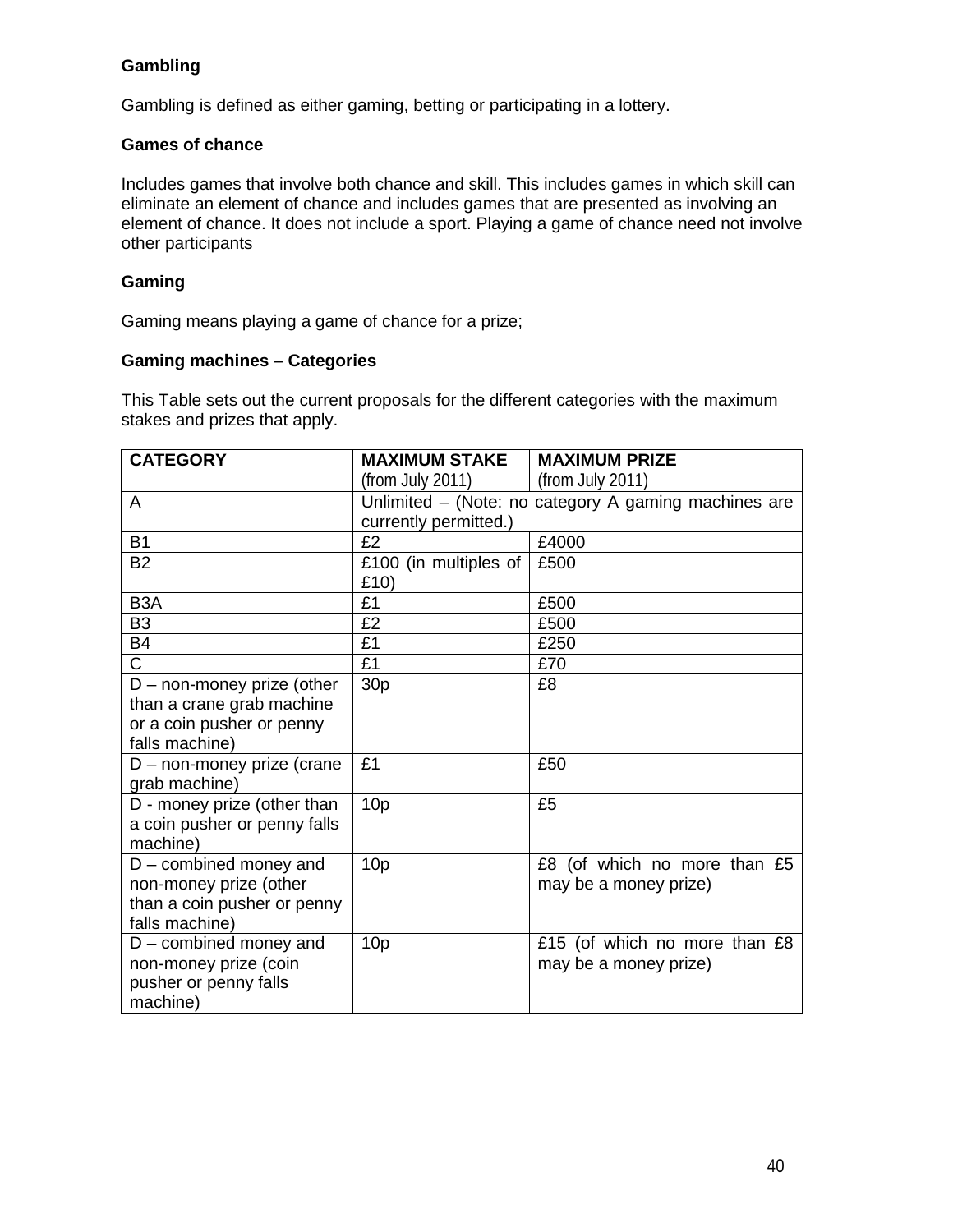## **Gambling**

Gambling is defined as either gaming, betting or participating in a lottery.

#### **Games of chance**

Includes games that involve both chance and skill. This includes games in which skill can eliminate an element of chance and includes games that are presented as involving an element of chance. It does not include a sport. Playing a game of chance need not involve other participants

#### **Gaming**

Gaming means playing a game of chance for a prize;

#### **Gaming machines – Categories**

This Table sets out the current proposals for the different categories with the maximum stakes and prizes that apply.

| <b>CATEGORY</b>              | <b>MAXIMUM STAKE</b>  | <b>MAXIMUM PRIZE</b>                                 |
|------------------------------|-----------------------|------------------------------------------------------|
|                              | (from July 2011)      | (from July 2011)                                     |
| A                            |                       | Unlimited - (Note: no category A gaming machines are |
|                              | currently permitted.) |                                                      |
| <b>B1</b>                    | £2                    | £4000                                                |
| <b>B2</b>                    | £100 (in multiples of | £500                                                 |
|                              | £10)                  |                                                      |
| B <sub>3</sub> A             | £1                    | £500                                                 |
| B <sub>3</sub>               | £2                    | £500                                                 |
| <b>B4</b>                    | £1                    | £250                                                 |
| $\overline{\text{C}}$        | £1                    | £70                                                  |
| $D$ – non-money prize (other | 30 <sub>p</sub>       | £8                                                   |
| than a crane grab machine    |                       |                                                      |
| or a coin pusher or penny    |                       |                                                      |
| falls machine)               |                       |                                                      |
| $D$ – non-money prize (crane | £1                    | £50                                                  |
| grab machine)                |                       |                                                      |
| D - money prize (other than  | 10 <sub>p</sub>       | £5                                                   |
| a coin pusher or penny falls |                       |                                                      |
| machine)                     |                       |                                                      |
| $D$ – combined money and     | 10 <sub>p</sub>       | £8 (of which no more than £5                         |
| non-money prize (other       |                       | may be a money prize)                                |
| than a coin pusher or penny  |                       |                                                      |
| falls machine)               |                       |                                                      |
| $D$ – combined money and     | 10 <sub>p</sub>       | £15 (of which no more than £8                        |
| non-money prize (coin        |                       | may be a money prize)                                |
| pusher or penny falls        |                       |                                                      |
| machine)                     |                       |                                                      |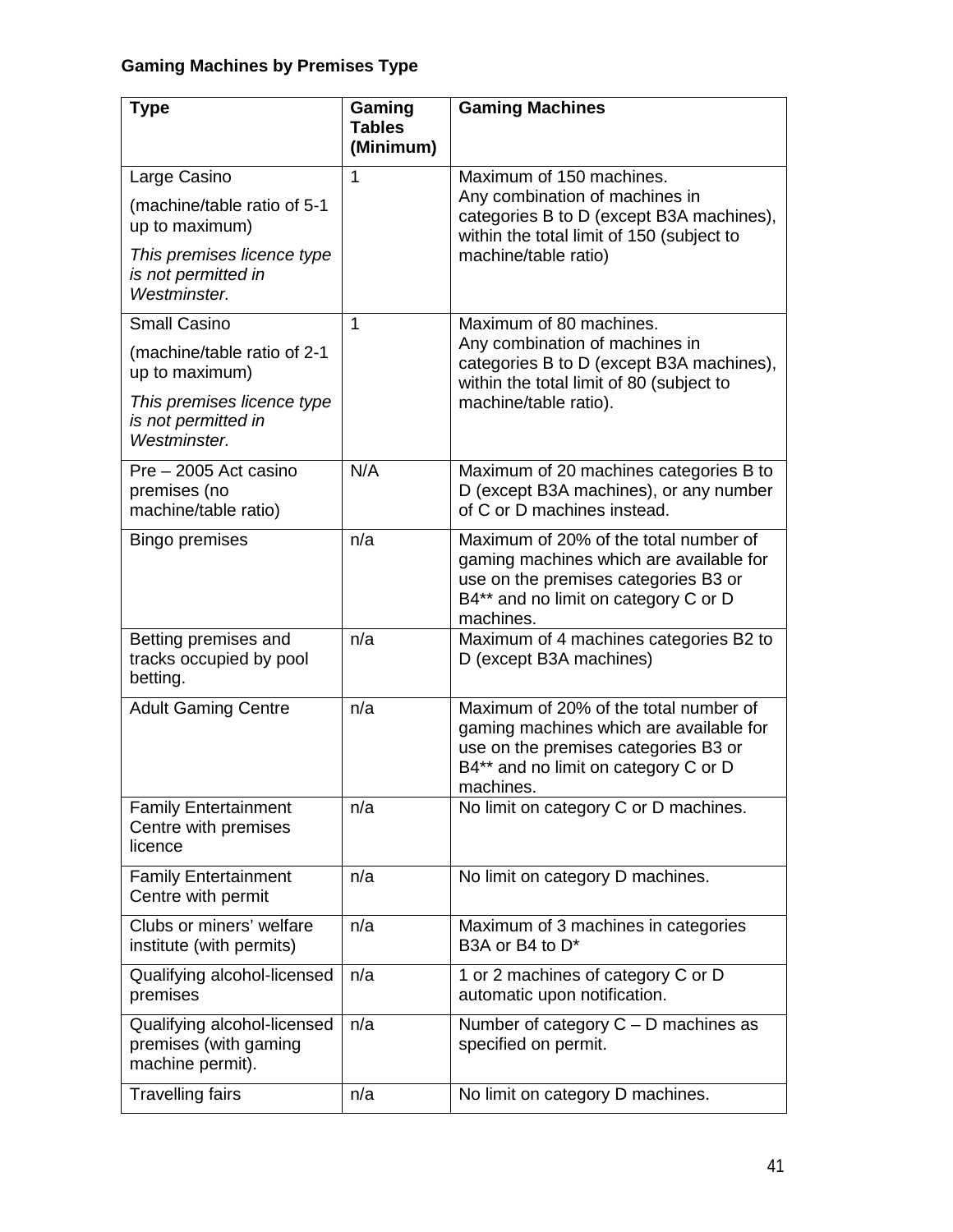## **Gaming Machines by Premises Type**

| <b>Type</b>                                                              | Gaming<br><b>Tables</b><br>(Minimum) | <b>Gaming Machines</b>                                                                                                                                                        |
|--------------------------------------------------------------------------|--------------------------------------|-------------------------------------------------------------------------------------------------------------------------------------------------------------------------------|
| Large Casino<br>(machine/table ratio of 5-1<br>up to maximum)            | $\mathbf 1$                          | Maximum of 150 machines.<br>Any combination of machines in<br>categories B to D (except B3A machines),<br>within the total limit of 150 (subject to                           |
| This premises licence type<br>is not permitted in<br>Westminster.        |                                      | machine/table ratio)                                                                                                                                                          |
| <b>Small Casino</b>                                                      | $\mathbf{1}$                         | Maximum of 80 machines.                                                                                                                                                       |
| (machine/table ratio of 2-1<br>up to maximum)                            |                                      | Any combination of machines in<br>categories B to D (except B3A machines),<br>within the total limit of 80 (subject to                                                        |
| This premises licence type<br>is not permitted in<br>Westminster.        |                                      | machine/table ratio).                                                                                                                                                         |
| Pre - 2005 Act casino<br>premises (no<br>machine/table ratio)            | N/A                                  | Maximum of 20 machines categories B to<br>D (except B3A machines), or any number<br>of C or D machines instead.                                                               |
| <b>Bingo premises</b>                                                    | n/a                                  | Maximum of 20% of the total number of<br>gaming machines which are available for<br>use on the premises categories B3 or<br>B4** and no limit on category C or D<br>machines. |
| Betting premises and<br>tracks occupied by pool<br>betting.              | n/a                                  | Maximum of 4 machines categories B2 to<br>D (except B3A machines)                                                                                                             |
| <b>Adult Gaming Centre</b>                                               | n/a                                  | Maximum of 20% of the total number of<br>gaming machines which are available for<br>use on the premises categories B3 or<br>B4** and no limit on category C or D<br>machines. |
| <b>Family Entertainment</b><br>Centre with premises<br>licence           | n/a                                  | No limit on category C or D machines.                                                                                                                                         |
| <b>Family Entertainment</b><br>Centre with permit                        | n/a                                  | No limit on category D machines.                                                                                                                                              |
| Clubs or miners' welfare<br>institute (with permits)                     | n/a                                  | Maximum of 3 machines in categories<br>B3A or B4 to D*                                                                                                                        |
| Qualifying alcohol-licensed<br>premises                                  | n/a                                  | 1 or 2 machines of category C or D<br>automatic upon notification.                                                                                                            |
| Qualifying alcohol-licensed<br>premises (with gaming<br>machine permit). | n/a                                  | Number of category $C - D$ machines as<br>specified on permit.                                                                                                                |
| <b>Travelling fairs</b>                                                  | n/a                                  | No limit on category D machines.                                                                                                                                              |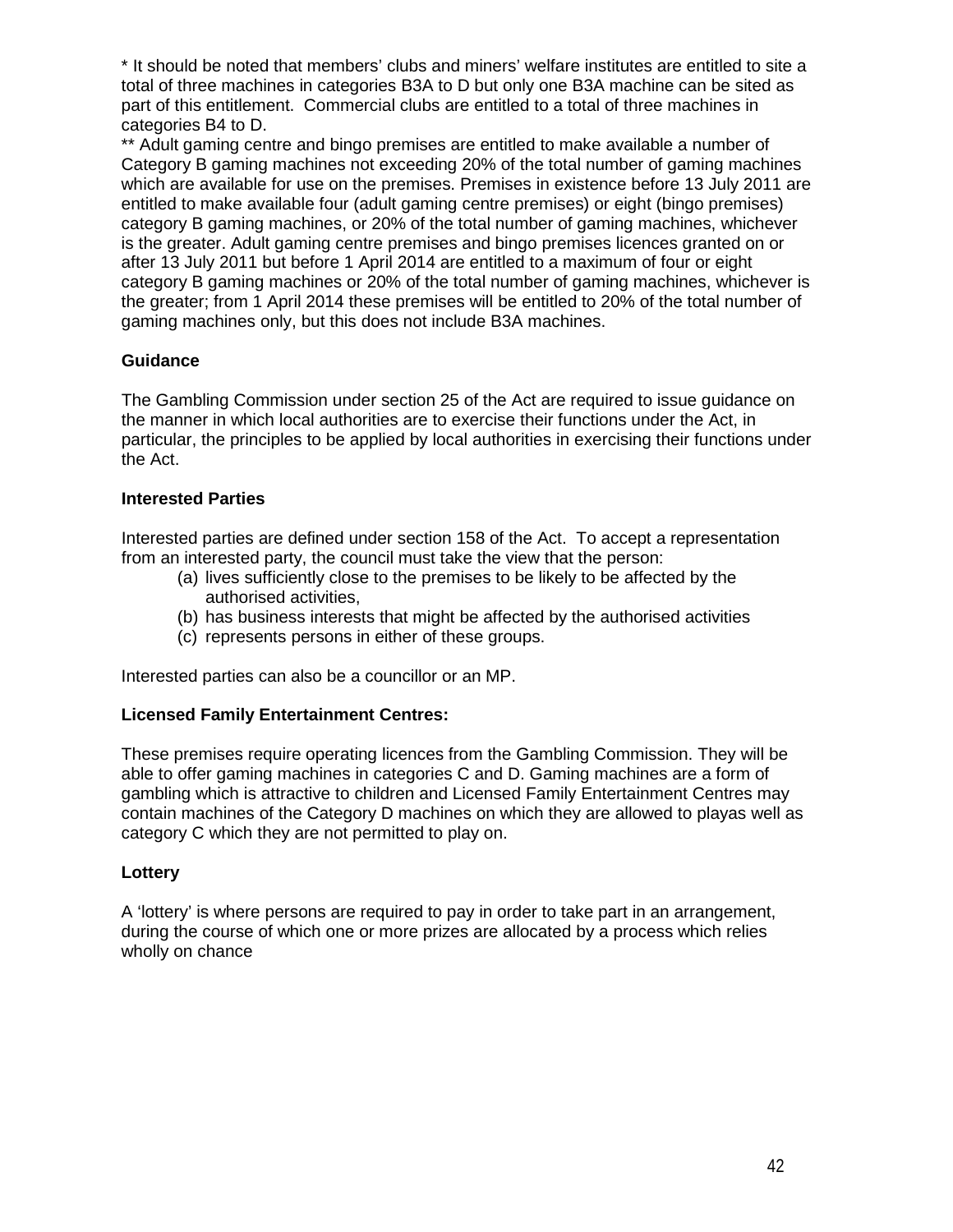\* It should be noted that members' clubs and miners' welfare institutes are entitled to site a total of three machines in categories B3A to D but only one B3A machine can be sited as part of this entitlement. Commercial clubs are entitled to a total of three machines in categories B4 to D.

\*\* Adult gaming centre and bingo premises are entitled to make available a number of Category B gaming machines not exceeding 20% of the total number of gaming machines which are available for use on the premises. Premises in existence before 13 July 2011 are entitled to make available four (adult gaming centre premises) or eight (bingo premises) category B gaming machines, or 20% of the total number of gaming machines, whichever is the greater. Adult gaming centre premises and bingo premises licences granted on or after 13 July 2011 but before 1 April 2014 are entitled to a maximum of four or eight category B gaming machines or 20% of the total number of gaming machines, whichever is the greater; from 1 April 2014 these premises will be entitled to 20% of the total number of gaming machines only, but this does not include B3A machines.

## **Guidance**

The Gambling Commission under section 25 of the Act are required to issue guidance on the manner in which local authorities are to exercise their functions under the Act, in particular, the principles to be applied by local authorities in exercising their functions under the Act.

#### **Interested Parties**

Interested parties are defined under section 158 of the Act. To accept a representation from an interested party, the council must take the view that the person:

- (a) lives sufficiently close to the premises to be likely to be affected by the authorised activities,
- (b) has business interests that might be affected by the authorised activities
- (c) represents persons in either of these groups.

Interested parties can also be a councillor or an MP.

#### **Licensed Family Entertainment Centres:**

These premises require operating licences from the Gambling Commission. They will be able to offer gaming machines in categories C and D. Gaming machines are a form of gambling which is attractive to children and Licensed Family Entertainment Centres may contain machines of the Category D machines on which they are allowed to playas well as category C which they are not permitted to play on.

#### **Lottery**

A 'lottery' is where persons are required to pay in order to take part in an arrangement, during the course of which one or more prizes are allocated by a process which relies wholly on chance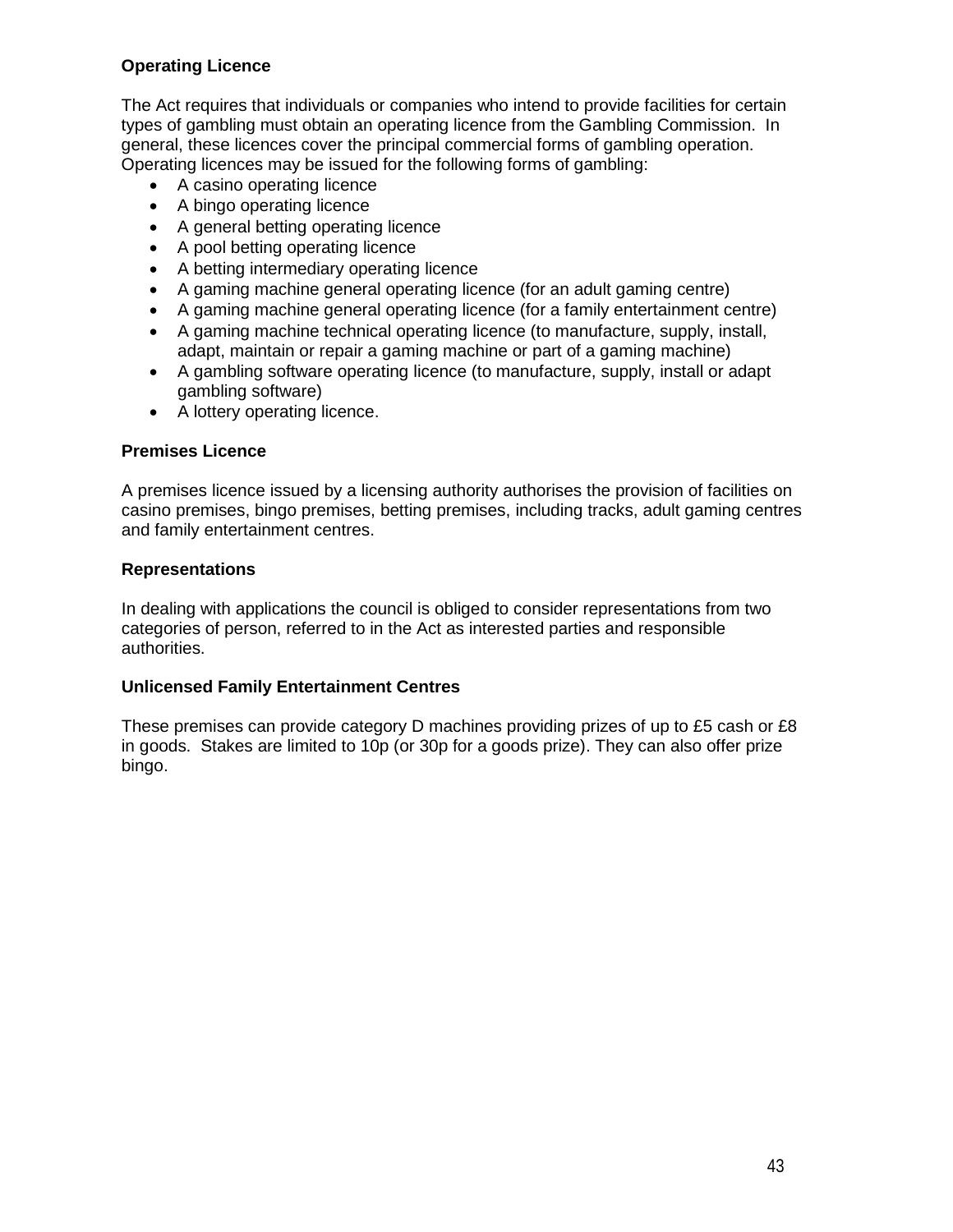## **Operating Licence**

The Act requires that individuals or companies who intend to provide facilities for certain types of gambling must obtain an operating licence from the Gambling Commission. In general, these licences cover the principal commercial forms of gambling operation. Operating licences may be issued for the following forms of gambling:

- A casino operating licence
- A bingo operating licence
- A general betting operating licence
- A pool betting operating licence
- A betting intermediary operating licence
- A gaming machine general operating licence (for an adult gaming centre)
- A gaming machine general operating licence (for a family entertainment centre)
- A gaming machine technical operating licence (to manufacture, supply, install, adapt, maintain or repair a gaming machine or part of a gaming machine)
- A gambling software operating licence (to manufacture, supply, install or adapt gambling software)
- A lottery operating licence.

#### **Premises Licence**

A premises licence issued by a licensing authority authorises the provision of facilities on casino premises, bingo premises, betting premises, including tracks, adult gaming centres and family entertainment centres.

#### **Representations**

In dealing with applications the council is obliged to consider representations from two categories of person, referred to in the Act as interested parties and responsible authorities.

#### **Unlicensed Family Entertainment Centres**

These premises can provide category D machines providing prizes of up to £5 cash or £8 in goods. Stakes are limited to 10p (or 30p for a goods prize). They can also offer prize bingo.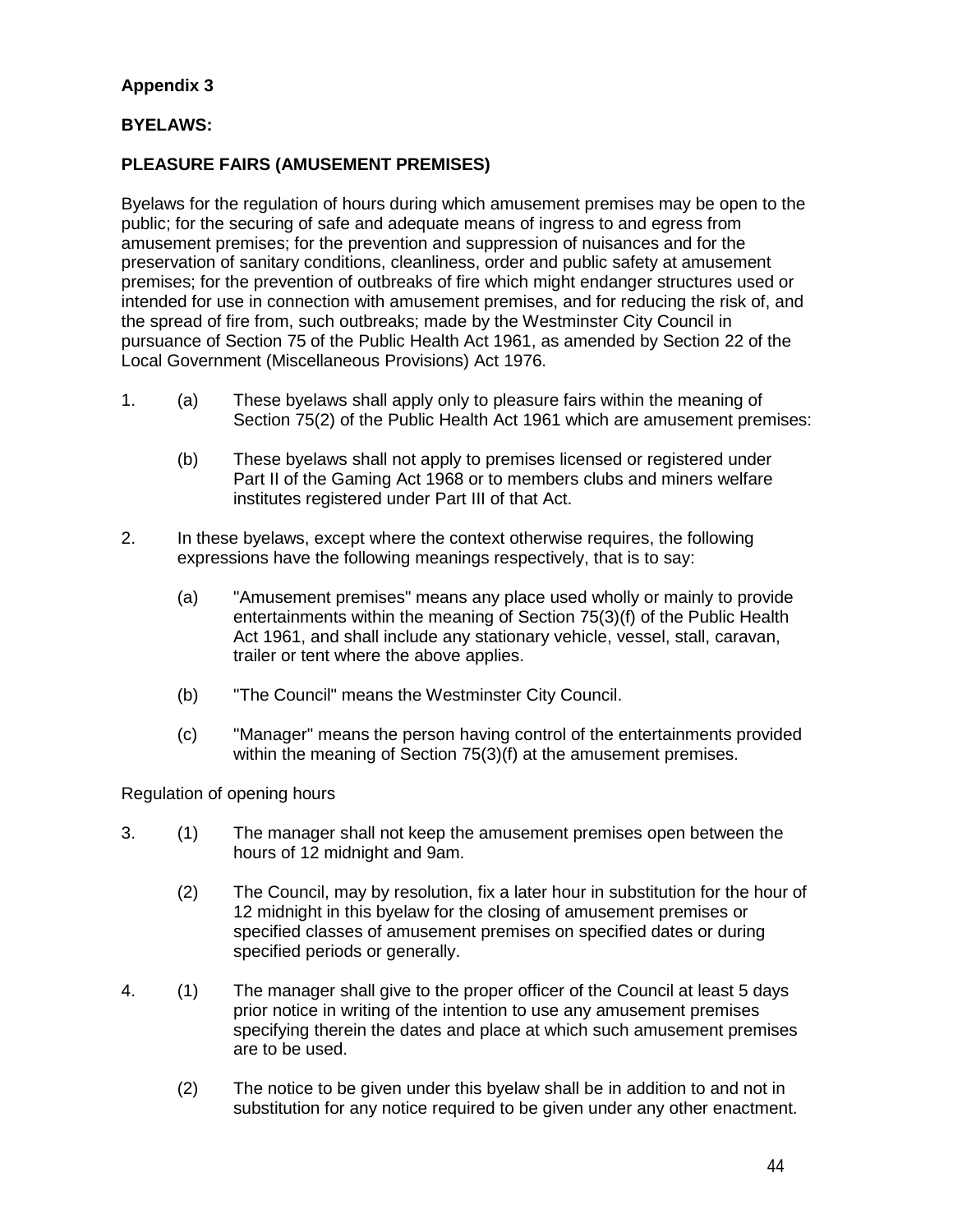## **Appendix 3**

#### **BYELAWS:**

#### **PLEASURE FAIRS (AMUSEMENT PREMISES)**

Byelaws for the regulation of hours during which amusement premises may be open to the public; for the securing of safe and adequate means of ingress to and egress from amusement premises; for the prevention and suppression of nuisances and for the preservation of sanitary conditions, cleanliness, order and public safety at amusement premises; for the prevention of outbreaks of fire which might endanger structures used or intended for use in connection with amusement premises, and for reducing the risk of, and the spread of fire from, such outbreaks; made by the Westminster City Council in pursuance of Section 75 of the Public Health Act 1961, as amended by Section 22 of the Local Government (Miscellaneous Provisions) Act 1976.

- 1. (a) These byelaws shall apply only to pleasure fairs within the meaning of Section 75(2) of the Public Health Act 1961 which are amusement premises:
	- (b) These byelaws shall not apply to premises licensed or registered under Part II of the Gaming Act 1968 or to members clubs and miners welfare institutes registered under Part III of that Act.
- 2. In these byelaws, except where the context otherwise requires, the following expressions have the following meanings respectively, that is to say:
	- (a) "Amusement premises" means any place used wholly or mainly to provide entertainments within the meaning of Section 75(3)(f) of the Public Health Act 1961, and shall include any stationary vehicle, vessel, stall, caravan, trailer or tent where the above applies.
	- (b) "The Council" means the Westminster City Council.
	- (c) "Manager" means the person having control of the entertainments provided within the meaning of Section 75(3)(f) at the amusement premises.

Regulation of opening hours

- 3. (1) The manager shall not keep the amusement premises open between the hours of 12 midnight and 9am.
	- (2) The Council, may by resolution, fix a later hour in substitution for the hour of 12 midnight in this byelaw for the closing of amusement premises or specified classes of amusement premises on specified dates or during specified periods or generally.
- 4. (1) The manager shall give to the proper officer of the Council at least 5 days prior notice in writing of the intention to use any amusement premises specifying therein the dates and place at which such amusement premises are to be used.
	- (2) The notice to be given under this byelaw shall be in addition to and not in substitution for any notice required to be given under any other enactment.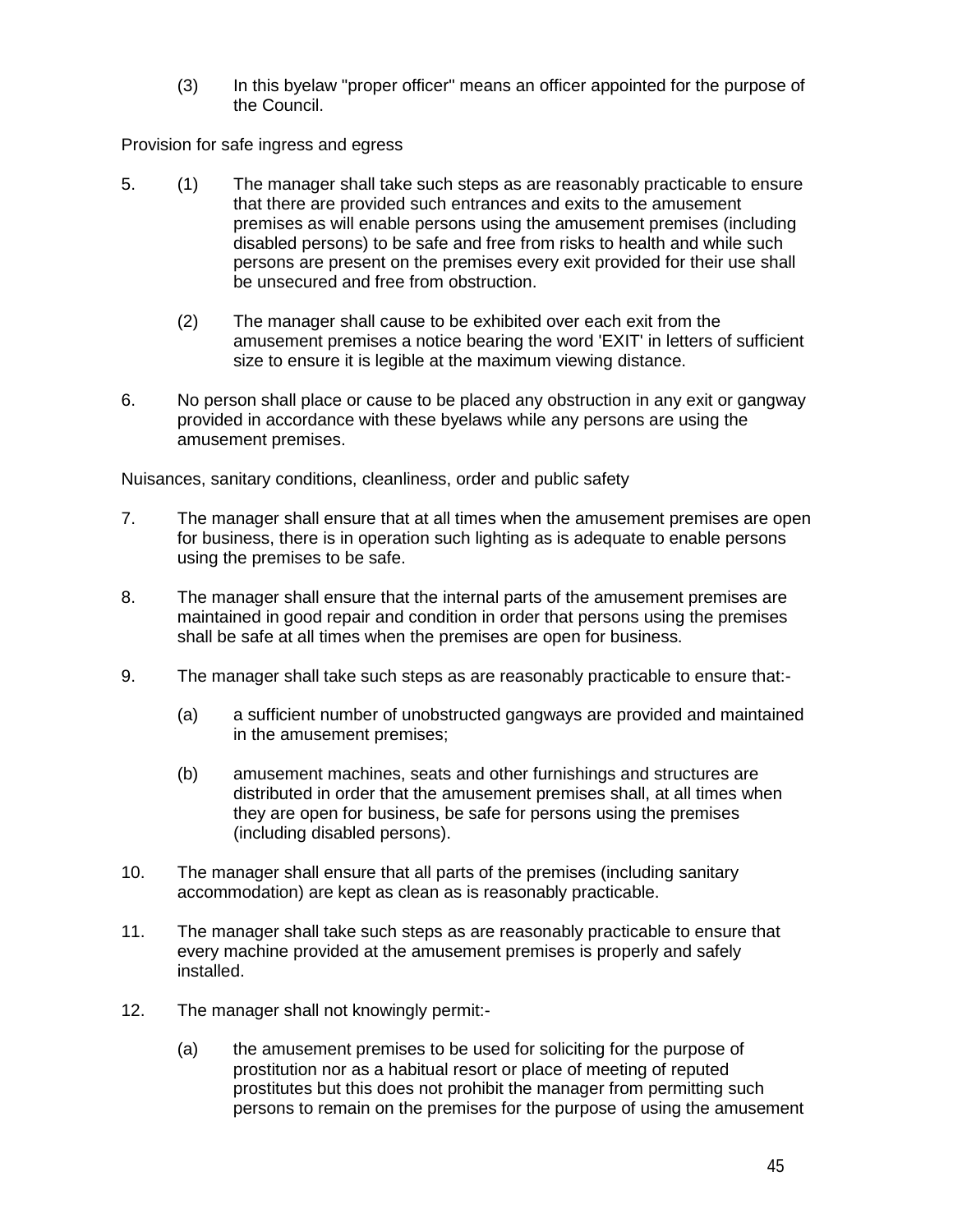(3) In this byelaw "proper officer" means an officer appointed for the purpose of the Council.

Provision for safe ingress and egress

- 5. (1) The manager shall take such steps as are reasonably practicable to ensure that there are provided such entrances and exits to the amusement premises as will enable persons using the amusement premises (including disabled persons) to be safe and free from risks to health and while such persons are present on the premises every exit provided for their use shall be unsecured and free from obstruction.
	- (2) The manager shall cause to be exhibited over each exit from the amusement premises a notice bearing the word 'EXIT' in letters of sufficient size to ensure it is legible at the maximum viewing distance.
- 6. No person shall place or cause to be placed any obstruction in any exit or gangway provided in accordance with these byelaws while any persons are using the amusement premises.

Nuisances, sanitary conditions, cleanliness, order and public safety

- 7. The manager shall ensure that at all times when the amusement premises are open for business, there is in operation such lighting as is adequate to enable persons using the premises to be safe.
- 8. The manager shall ensure that the internal parts of the amusement premises are maintained in good repair and condition in order that persons using the premises shall be safe at all times when the premises are open for business.
- 9. The manager shall take such steps as are reasonably practicable to ensure that:-
	- (a) a sufficient number of unobstructed gangways are provided and maintained in the amusement premises;
	- (b) amusement machines, seats and other furnishings and structures are distributed in order that the amusement premises shall, at all times when they are open for business, be safe for persons using the premises (including disabled persons).
- 10. The manager shall ensure that all parts of the premises (including sanitary accommodation) are kept as clean as is reasonably practicable.
- 11. The manager shall take such steps as are reasonably practicable to ensure that every machine provided at the amusement premises is properly and safely installed.
- 12. The manager shall not knowingly permit:-
	- (a) the amusement premises to be used for soliciting for the purpose of prostitution nor as a habitual resort or place of meeting of reputed prostitutes but this does not prohibit the manager from permitting such persons to remain on the premises for the purpose of using the amusement